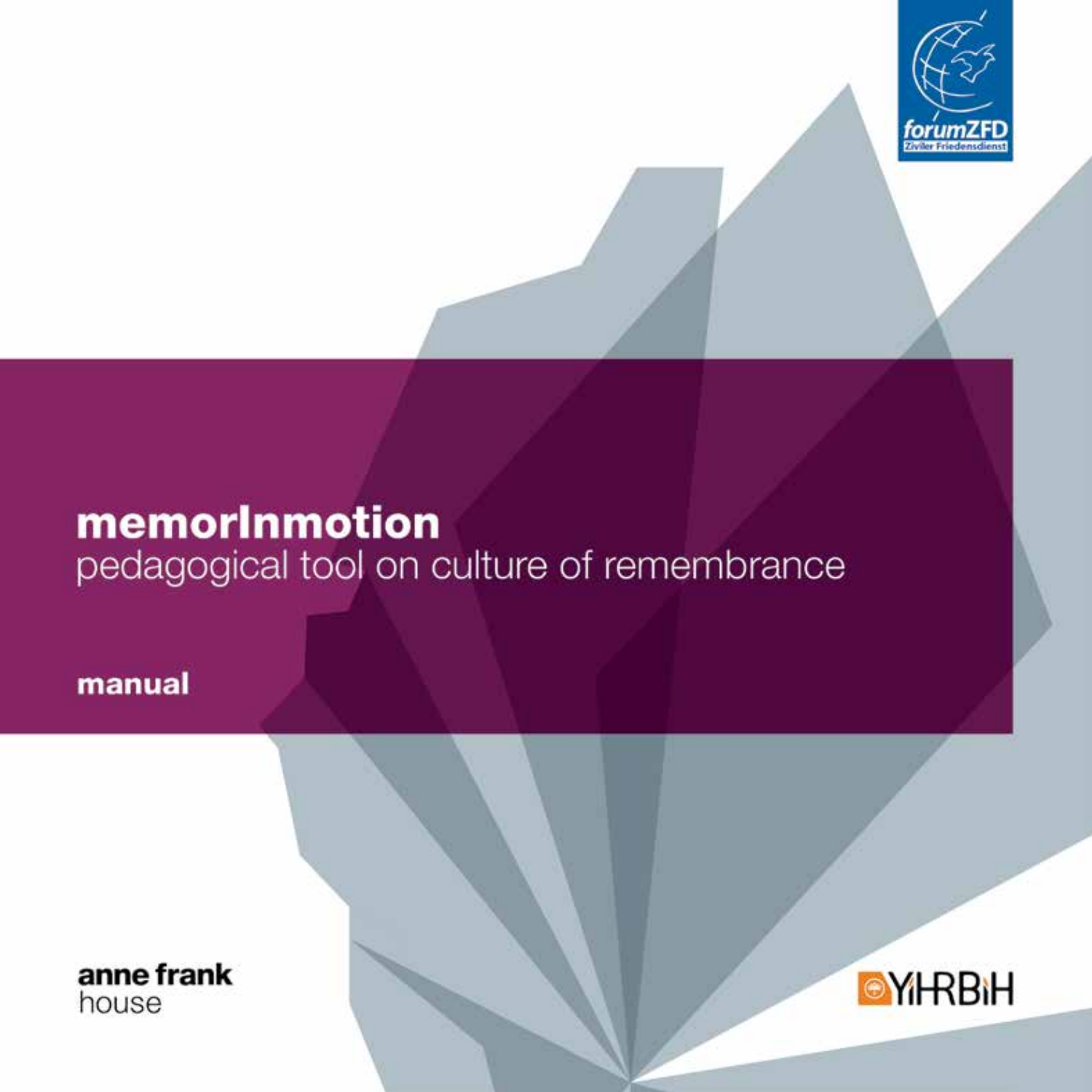

# memorInmotion pedagogical tool on culture of remembrance

manual

anne frank house

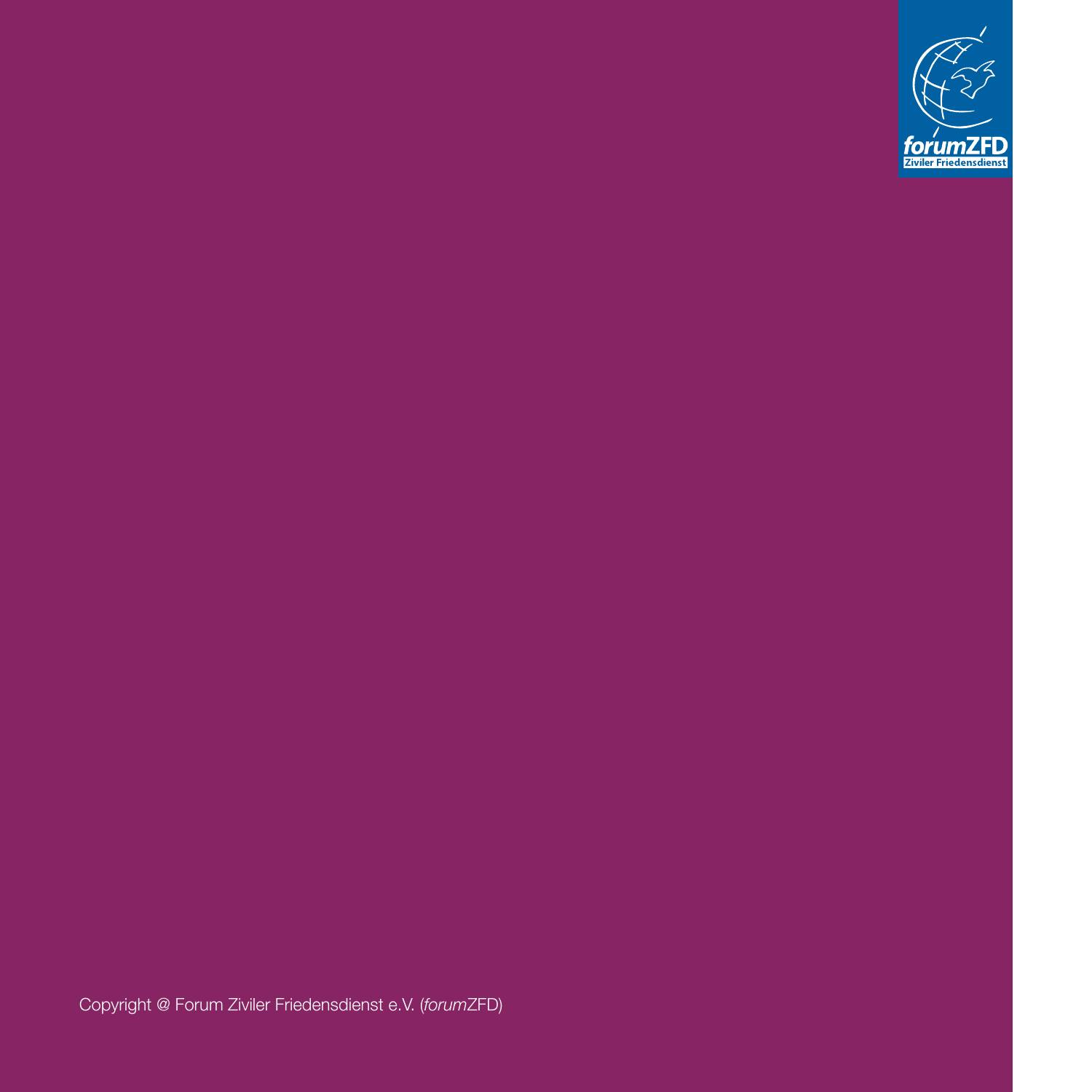

Copyright @ Forum Ziviler Friedensdienst e.V. (*forum*ZFD)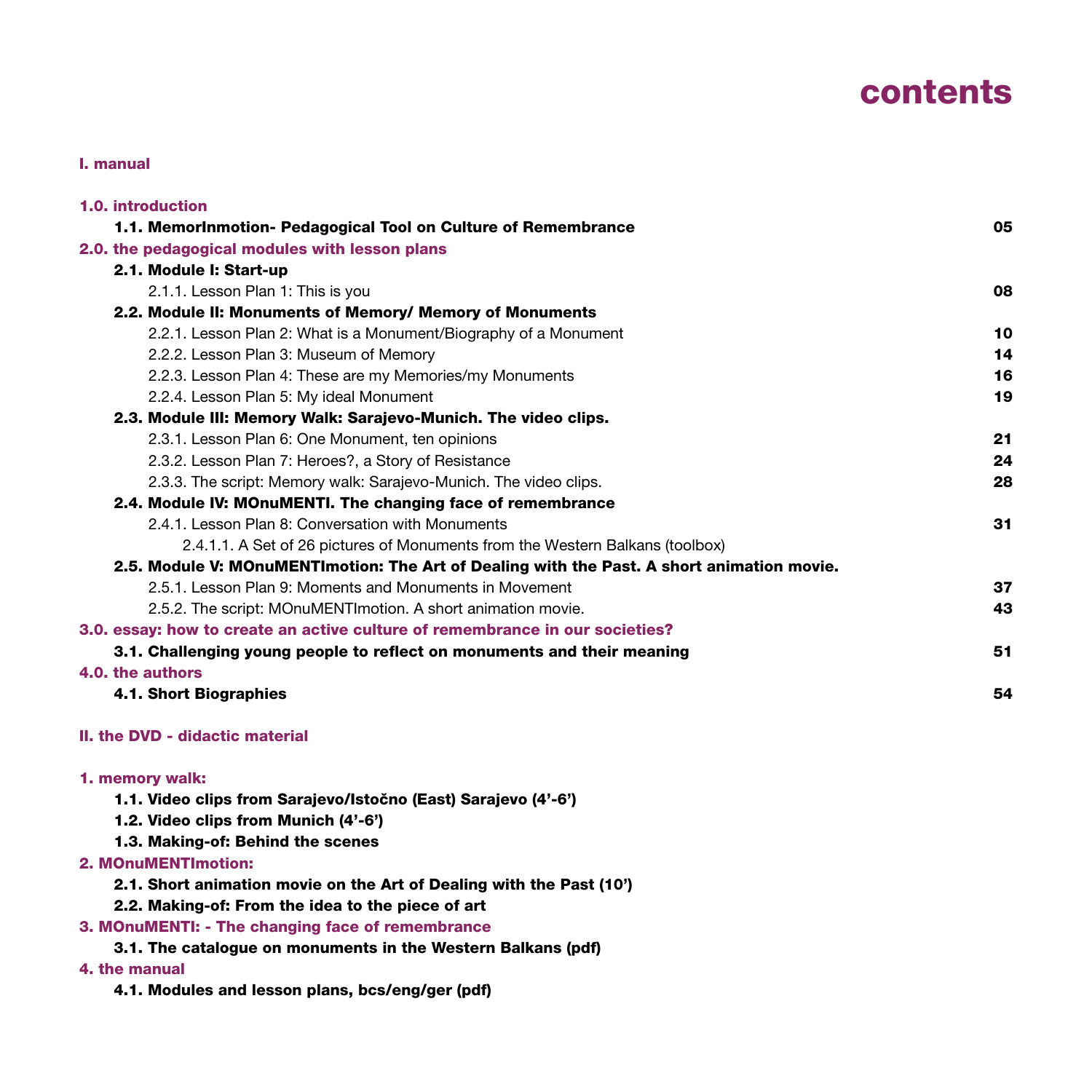# contents

#### I. manual

| 1.0. introduction                                                                          |    |
|--------------------------------------------------------------------------------------------|----|
| 1.1. Memorinmotion- Pedagogical Tool on Culture of Remembrance                             | 05 |
| 2.0. the pedagogical modules with lesson plans                                             |    |
| 2.1. Module I: Start-up                                                                    |    |
| 2.1.1. Lesson Plan 1: This is you                                                          | 08 |
| 2.2. Module II: Monuments of Memory/ Memory of Monuments                                   |    |
| 2.2.1. Lesson Plan 2: What is a Monument/Biography of a Monument                           | 10 |
| 2.2.2. Lesson Plan 3: Museum of Memory                                                     | 14 |
| 2.2.3. Lesson Plan 4: These are my Memories/my Monuments                                   | 16 |
| 2.2.4. Lesson Plan 5: My ideal Monument                                                    | 19 |
| 2.3. Module III: Memory Walk: Sarajevo-Munich. The video clips.                            |    |
| 2.3.1. Lesson Plan 6: One Monument, ten opinions                                           | 21 |
| 2.3.2. Lesson Plan 7: Heroes?, a Story of Resistance                                       | 24 |
| 2.3.3. The script: Memory walk: Sarajevo-Munich. The video clips.                          | 28 |
| 2.4. Module IV: MOnuMENTI. The changing face of remembrance                                |    |
| 2.4.1. Lesson Plan 8: Conversation with Monuments                                          | 31 |
| 2.4.1.1. A Set of 26 pictures of Monuments from the Western Balkans (toolbox)              |    |
| 2.5. Module V: MOnuMENTImotion: The Art of Dealing with the Past. A short animation movie. |    |
| 2.5.1. Lesson Plan 9: Moments and Monuments in Movement                                    | 37 |
| 2.5.2. The script: MOnuMENTImotion. A short animation movie.                               | 43 |
| 3.0. essay: how to create an active culture of remembrance in our societies?               |    |
| 3.1. Challenging young people to reflect on monuments and their meaning                    | 51 |
| 4.0. the authors                                                                           |    |
| 4.1. Short Biographies                                                                     | 54 |
| II. the DVD - didactic material                                                            |    |
| 1. memory walk:                                                                            |    |
| 1.1. Video clips from Sarajevo/Istočno (East) Sarajevo (4'-6')                             |    |
| 1.2. Video clips from Munich (4'-6')                                                       |    |
| 1.3. Making-of: Behind the scenes                                                          |    |
| 2. MOnuMENTImotion:                                                                        |    |
| 2.1. Short animation movie on the Art of Dealing with the Past (10')                       |    |
| 2.2. Making-of: From the idea to the piece of art                                          |    |
|                                                                                            |    |

#### 3. MOnuMENTI: - The changing face of remembrance

3.1. The catalogue on monuments in the Western Balkans (pdf)

### 4. the manual

4.1. Modules and lesson plans, bcs/eng/ger (pdf)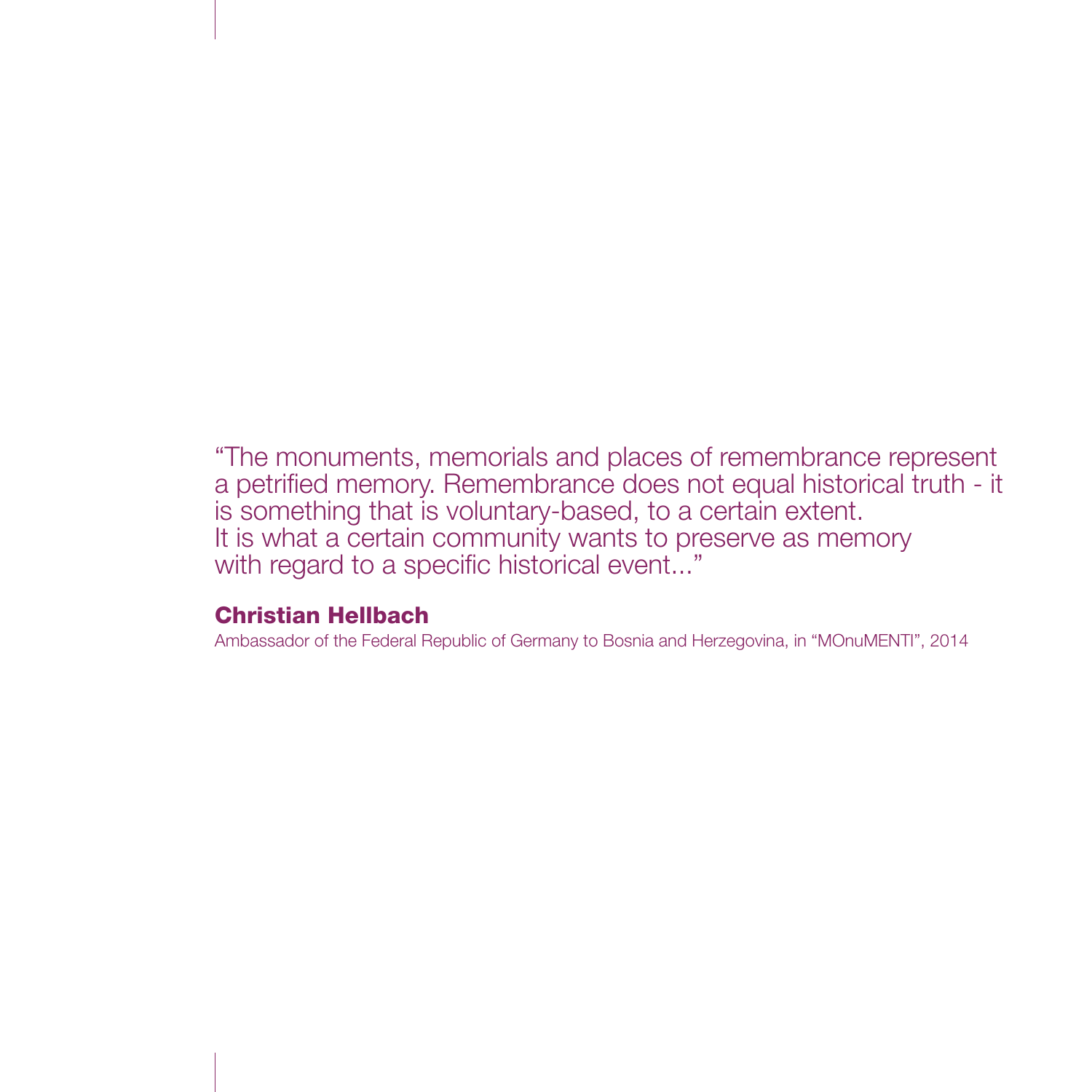"The monuments, memorials and places of remembrance represent a petrified memory. Remembrance does not equal historical truth - it is something that is voluntary-based, to a certain extent. It is what a certain community wants to preserve as memory with regard to a specific historical event..."

## Christian Hellbach

Ambassador of the Federal Republic of Germany to Bosnia and Herzegovina, in "MOnuMENTI", 2014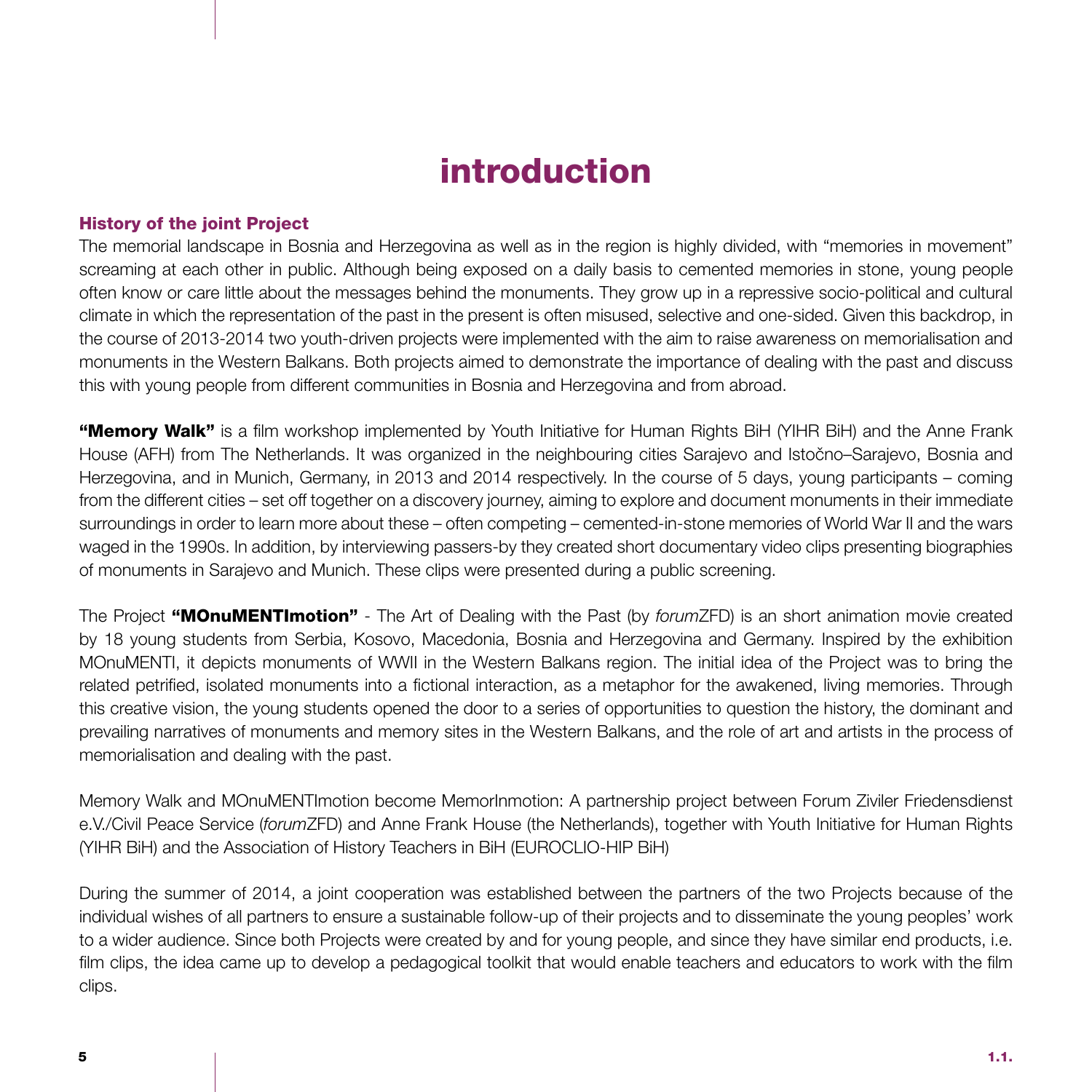# introduction

### History of the joint Project

The memorial landscape in Bosnia and Herzegovina as well as in the region is highly divided, with "memories in movement" screaming at each other in public. Although being exposed on a daily basis to cemented memories in stone, young people often know or care little about the messages behind the monuments. They grow up in a repressive socio-political and cultural climate in which the representation of the past in the present is often misused, selective and one-sided. Given this backdrop, in the course of 2013-2014 two youth-driven projects were implemented with the aim to raise awareness on memorialisation and monuments in the Western Balkans. Both projects aimed to demonstrate the importance of dealing with the past and discuss this with young people from different communities in Bosnia and Herzegovina and from abroad.

"Memory Walk" is a film workshop implemented by Youth Initiative for Human Rights BiH (YIHR BiH) and the Anne Frank House (AFH) from The Netherlands. It was organized in the neighbouring cities Sarajevo and Istočno–Sarajevo, Bosnia and Herzegovina, and in Munich, Germany, in 2013 and 2014 respectively. In the course of 5 days, young participants – coming from the different cities – set off together on a discovery journey, aiming to explore and document monuments in their immediate surroundings in order to learn more about these – often competing – cemented-in-stone memories of World War II and the wars waged in the 1990s. In addition, by interviewing passers-by they created short documentary video clips presenting biographies of monuments in Sarajevo and Munich. These clips were presented during a public screening.

The Project "MOnuMENTImotion" - The Art of Dealing with the Past (by *forum*ZFD) is an short animation movie created by 18 young students from Serbia, Kosovo, Macedonia, Bosnia and Herzegovina and Germany. Inspired by the exhibition MOnuMENTI, it depicts monuments of WWII in the Western Balkans region. The initial idea of the Project was to bring the related petrified, isolated monuments into a fictional interaction, as a metaphor for the awakened, living memories. Through this creative vision, the young students opened the door to a series of opportunities to question the history, the dominant and prevailing narratives of monuments and memory sites in the Western Balkans, and the role of art and artists in the process of memorialisation and dealing with the past.

Memory Walk and MOnuMENTImotion become MemorInmotion: A partnership project between Forum Ziviler Friedensdienst e.V./Civil Peace Service (*forum*ZFD) and Anne Frank House (the Netherlands), together with Youth Initiative for Human Rights (YIHR BiH) and the Association of History Teachers in BiH (EUROCLIO-HIP BiH)

During the summer of 2014, a joint cooperation was established between the partners of the two Projects because of the individual wishes of all partners to ensure a sustainable follow-up of their projects and to disseminate the young peoples' work to a wider audience. Since both Projects were created by and for young people, and since they have similar end products, i.e. film clips, the idea came up to develop a pedagogical toolkit that would enable teachers and educators to work with the film clips.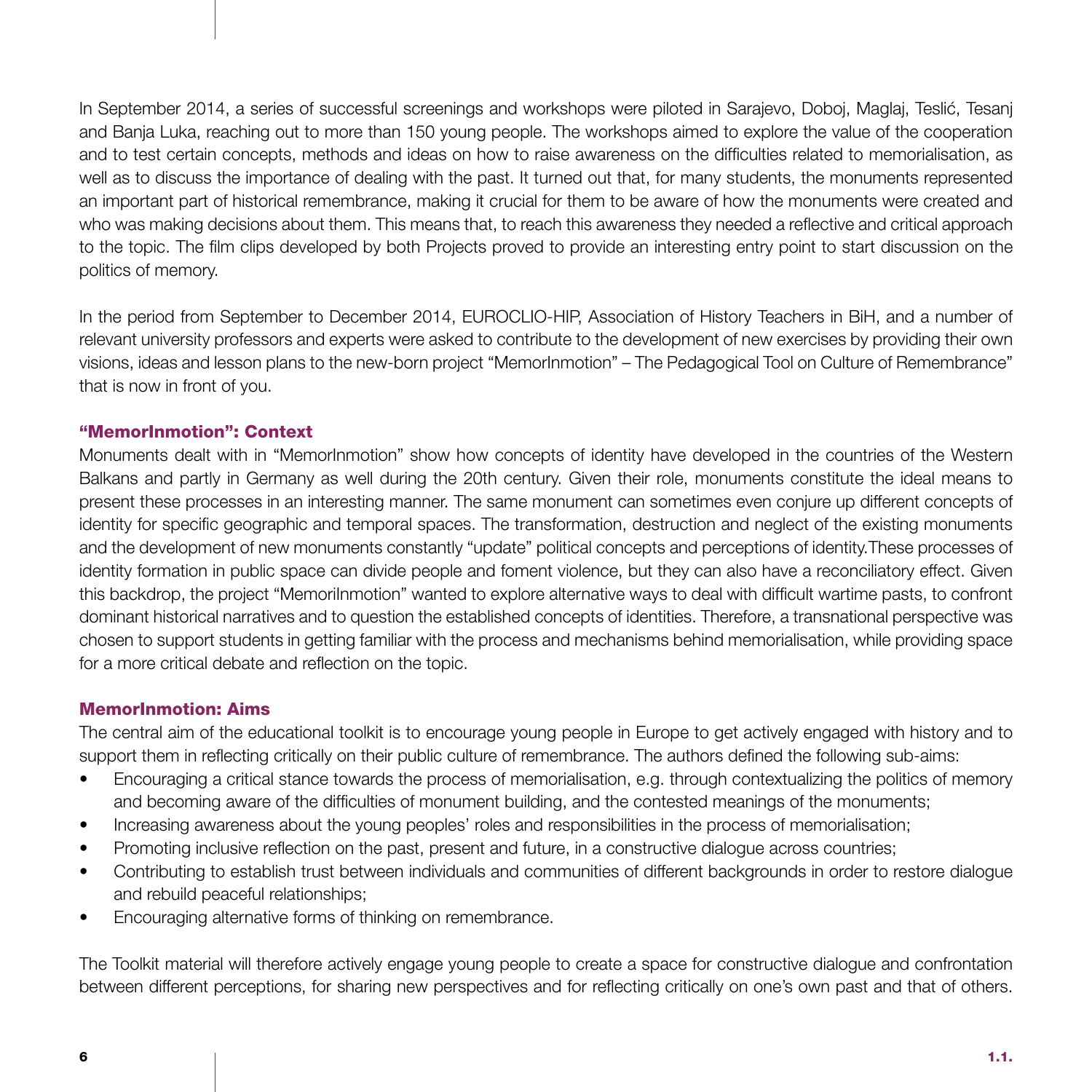In September 2014, a series of successful screenings and workshops were piloted in Sarajevo, Doboj, Maglaj, Teslić, Tesanj and Banja Luka, reaching out to more than 150 young people. The workshops aimed to explore the value of the cooperation and to test certain concepts, methods and ideas on how to raise awareness on the difficulties related to memorialisation, as well as to discuss the importance of dealing with the past. It turned out that, for many students, the monuments represented an important part of historical remembrance, making it crucial for them to be aware of how the monuments were created and who was making decisions about them. This means that, to reach this awareness they needed a reflective and critical approach to the topic. The film clips developed by both Projects proved to provide an interesting entry point to start discussion on the politics of memory.

In the period from September to December 2014, EUROCLIO-HIP, Association of History Teachers in BiH, and a number of relevant university professors and experts were asked to contribute to the development of new exercises by providing their own visions, ideas and lesson plans to the new-born project "MemorInmotion" – The Pedagogical Tool on Culture of Remembrance" that is now in front of you.

### "MemorInmotion": Context

Monuments dealt with in "MemorInmotion" show how concepts of identity have developed in the countries of the Western Balkans and partly in Germany as well during the 20th century. Given their role, monuments constitute the ideal means to present these processes in an interesting manner. The same monument can sometimes even conjure up different concepts of identity for specific geographic and temporal spaces. The transformation, destruction and neglect of the existing monuments and the development of new monuments constantly "update" political concepts and perceptions of identity.These processes of identity formation in public space can divide people and foment violence, but they can also have a reconciliatory effect. Given this backdrop, the project "MemoriInmotion" wanted to explore alternative ways to deal with difficult wartime pasts, to confront dominant historical narratives and to question the established concepts of identities. Therefore, a transnational perspective was chosen to support students in getting familiar with the process and mechanisms behind memorialisation, while providing space for a more critical debate and reflection on the topic.

### MemorInmotion: Aims

The central aim of the educational toolkit is to encourage young people in Europe to get actively engaged with history and to support them in reflecting critically on their public culture of remembrance. The authors defined the following sub-aims:

- Encouraging a critical stance towards the process of memorialisation, e.g. through contextualizing the politics of memory and becoming aware of the difficulties of monument building, and the contested meanings of the monuments;
- Increasing awareness about the young peoples' roles and responsibilities in the process of memorialisation;
- Promoting inclusive reflection on the past, present and future, in a constructive dialogue across countries;
- Contributing to establish trust between individuals and communities of different backgrounds in order to restore dialogue and rebuild peaceful relationships;
- Encouraging alternative forms of thinking on remembrance.

The Toolkit material will therefore actively engage young people to create a space for constructive dialogue and confrontation between different perceptions, for sharing new perspectives and for reflecting critically on one's own past and that of others.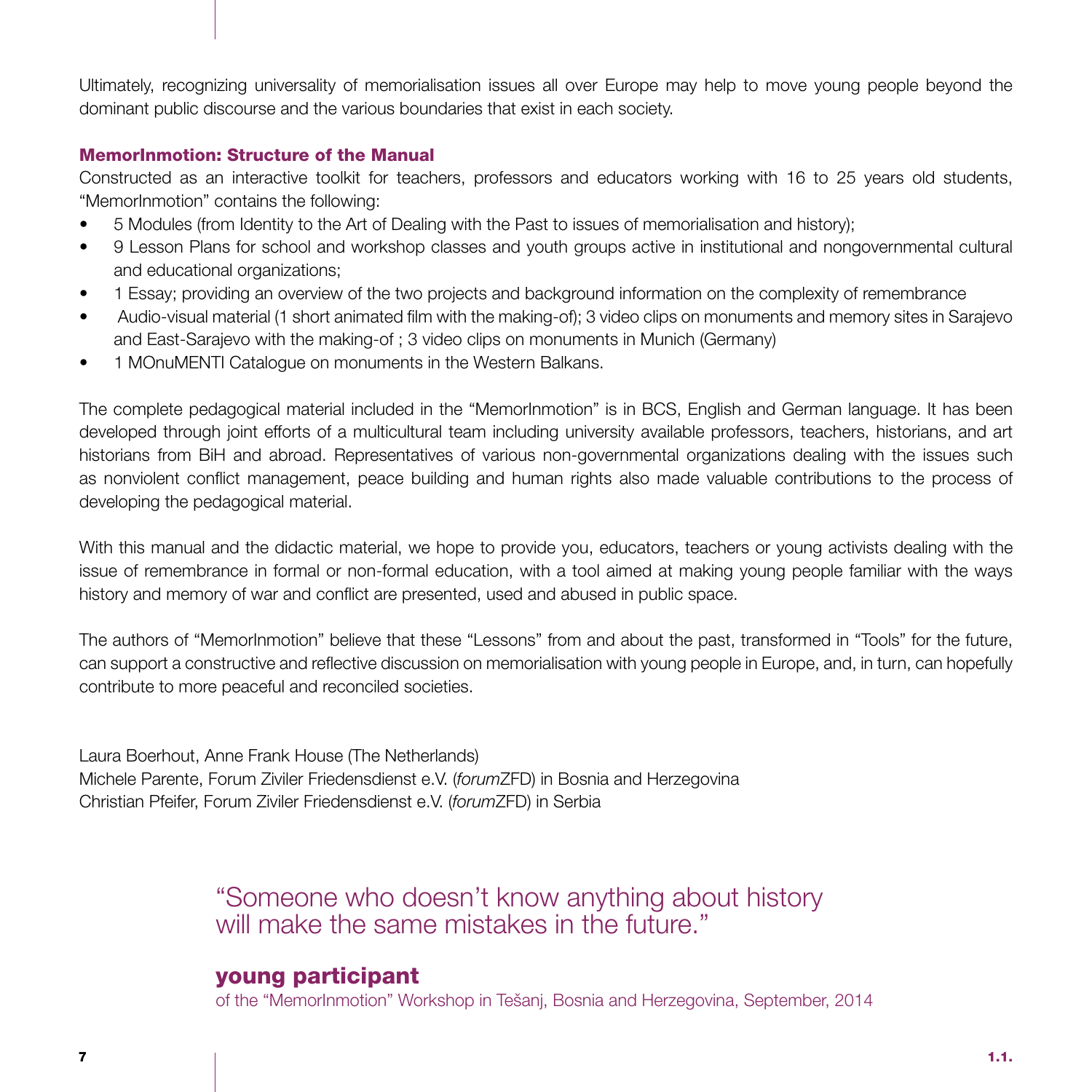Ultimately, recognizing universality of memorialisation issues all over Europe may help to move young people beyond the dominant public discourse and the various boundaries that exist in each society.

### MemorInmotion: Structure of the Manual

Constructed as an interactive toolkit for teachers, professors and educators working with 16 to 25 years old students, "MemorInmotion" contains the following:

- 5 Modules (from Identity to the Art of Dealing with the Past to issues of memorialisation and history);
- 9 Lesson Plans for school and workshop classes and youth groups active in institutional and nongovernmental cultural and educational organizations;
- 1 Essay; providing an overview of the two projects and background information on the complexity of remembrance
- Audio-visual material (1 short animated film with the making-of); 3 video clips on monuments and memory sites in Sarajevo and East-Sarajevo with the making-of ; 3 video clips on monuments in Munich (Germany)
- 1 MOnuMENTI Catalogue on monuments in the Western Balkans.

The complete pedagogical material included in the "MemorInmotion" is in BCS, English and German language. It has been developed through joint efforts of a multicultural team including university available professors, teachers, historians, and art historians from BiH and abroad. Representatives of various non-governmental organizations dealing with the issues such as nonviolent conflict management, peace building and human rights also made valuable contributions to the process of developing the pedagogical material.

With this manual and the didactic material, we hope to provide you, educators, teachers or young activists dealing with the issue of remembrance in formal or non-formal education, with a tool aimed at making young people familiar with the ways history and memory of war and conflict are presented, used and abused in public space.

The authors of "MemorInmotion" believe that these "Lessons" from and about the past, transformed in "Tools" for the future, can support a constructive and reflective discussion on memorialisation with young people in Europe, and, in turn, can hopefully contribute to more peaceful and reconciled societies.

Laura Boerhout, Anne Frank House (The Netherlands) Michele Parente, Forum Ziviler Friedensdienst e.V. (*forum*ZFD) in Bosnia and Herzegovina Christian Pfeifer, Forum Ziviler Friedensdienst e.V. (*forum*ZFD) in Serbia

> "Someone who doesn't know anything about history will make the same mistakes in the future."

### young participant

of the "MemorInmotion" Workshop in Tešanj, Bosnia and Herzegovina, September, 2014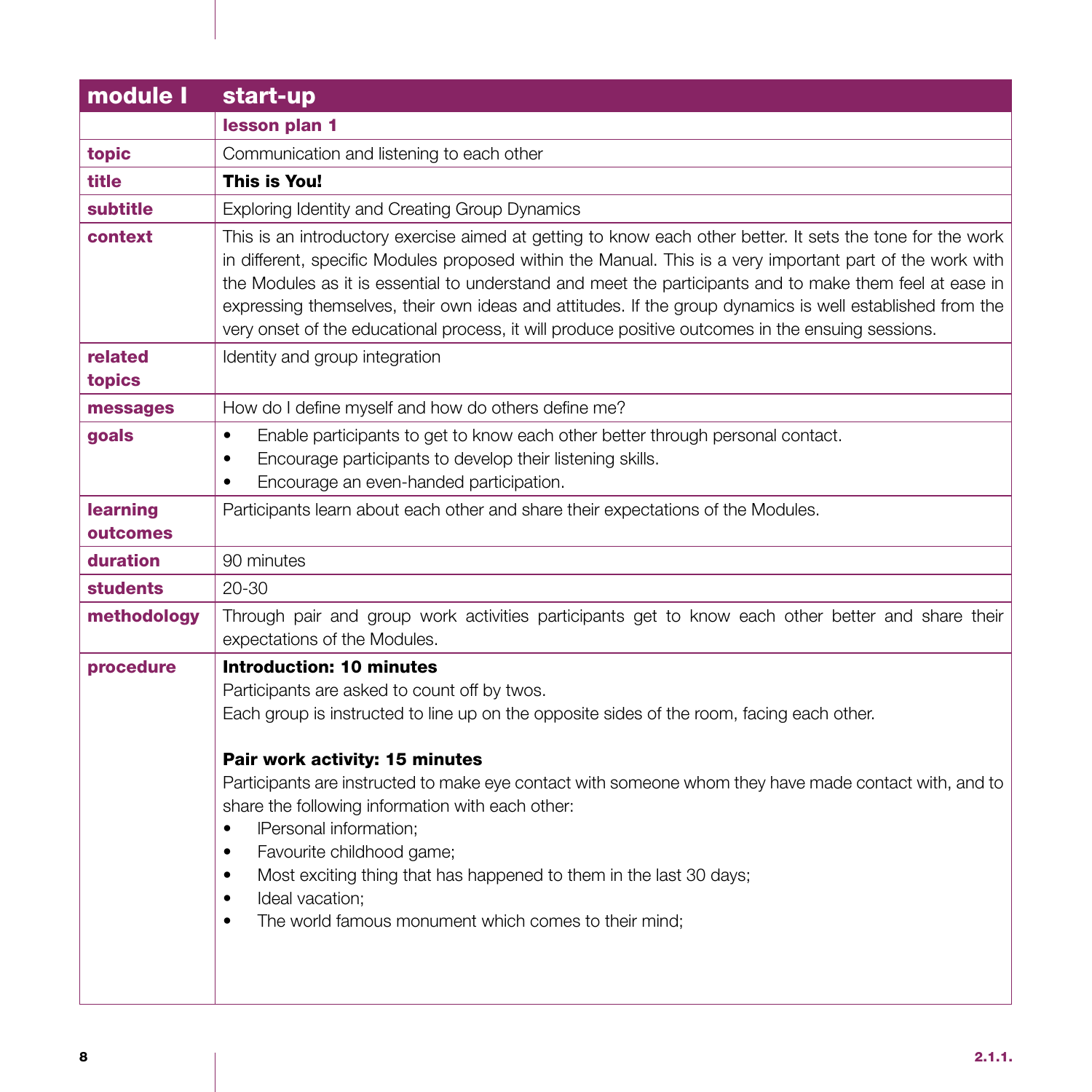| start-up                                                                                                                                                                                                                                                                                                                                                                                                                                                                                                                                                                                                                                     |
|----------------------------------------------------------------------------------------------------------------------------------------------------------------------------------------------------------------------------------------------------------------------------------------------------------------------------------------------------------------------------------------------------------------------------------------------------------------------------------------------------------------------------------------------------------------------------------------------------------------------------------------------|
| lesson plan 1                                                                                                                                                                                                                                                                                                                                                                                                                                                                                                                                                                                                                                |
| Communication and listening to each other                                                                                                                                                                                                                                                                                                                                                                                                                                                                                                                                                                                                    |
| This is You!                                                                                                                                                                                                                                                                                                                                                                                                                                                                                                                                                                                                                                 |
| Exploring Identity and Creating Group Dynamics                                                                                                                                                                                                                                                                                                                                                                                                                                                                                                                                                                                               |
| This is an introductory exercise aimed at getting to know each other better. It sets the tone for the work<br>in different, specific Modules proposed within the Manual. This is a very important part of the work with<br>the Modules as it is essential to understand and meet the participants and to make them feel at ease in<br>expressing themselves, their own ideas and attitudes. If the group dynamics is well established from the<br>very onset of the educational process, it will produce positive outcomes in the ensuing sessions.                                                                                          |
| Identity and group integration                                                                                                                                                                                                                                                                                                                                                                                                                                                                                                                                                                                                               |
| How do I define myself and how do others define me?                                                                                                                                                                                                                                                                                                                                                                                                                                                                                                                                                                                          |
| Enable participants to get to know each other better through personal contact.<br>$\bullet$<br>Encourage participants to develop their listening skills.<br>$\bullet$<br>Encourage an even-handed participation.<br>$\bullet$                                                                                                                                                                                                                                                                                                                                                                                                                |
| Participants learn about each other and share their expectations of the Modules.                                                                                                                                                                                                                                                                                                                                                                                                                                                                                                                                                             |
|                                                                                                                                                                                                                                                                                                                                                                                                                                                                                                                                                                                                                                              |
| 90 minutes                                                                                                                                                                                                                                                                                                                                                                                                                                                                                                                                                                                                                                   |
| 20-30                                                                                                                                                                                                                                                                                                                                                                                                                                                                                                                                                                                                                                        |
| Through pair and group work activities participants get to know each other better and share their<br>expectations of the Modules.                                                                                                                                                                                                                                                                                                                                                                                                                                                                                                            |
| <b>Introduction: 10 minutes</b><br>Participants are asked to count off by twos.<br>Each group is instructed to line up on the opposite sides of the room, facing each other.<br>Pair work activity: 15 minutes<br>Participants are instructed to make eye contact with someone whom they have made contact with, and to<br>share the following information with each other:<br>IPersonal information;<br>$\bullet$<br>Favourite childhood game;<br>$\bullet$<br>Most exciting thing that has happened to them in the last 30 days;<br>٠<br>Ideal vacation;<br>$\bullet$<br>The world famous monument which comes to their mind;<br>$\bullet$ |
|                                                                                                                                                                                                                                                                                                                                                                                                                                                                                                                                                                                                                                              |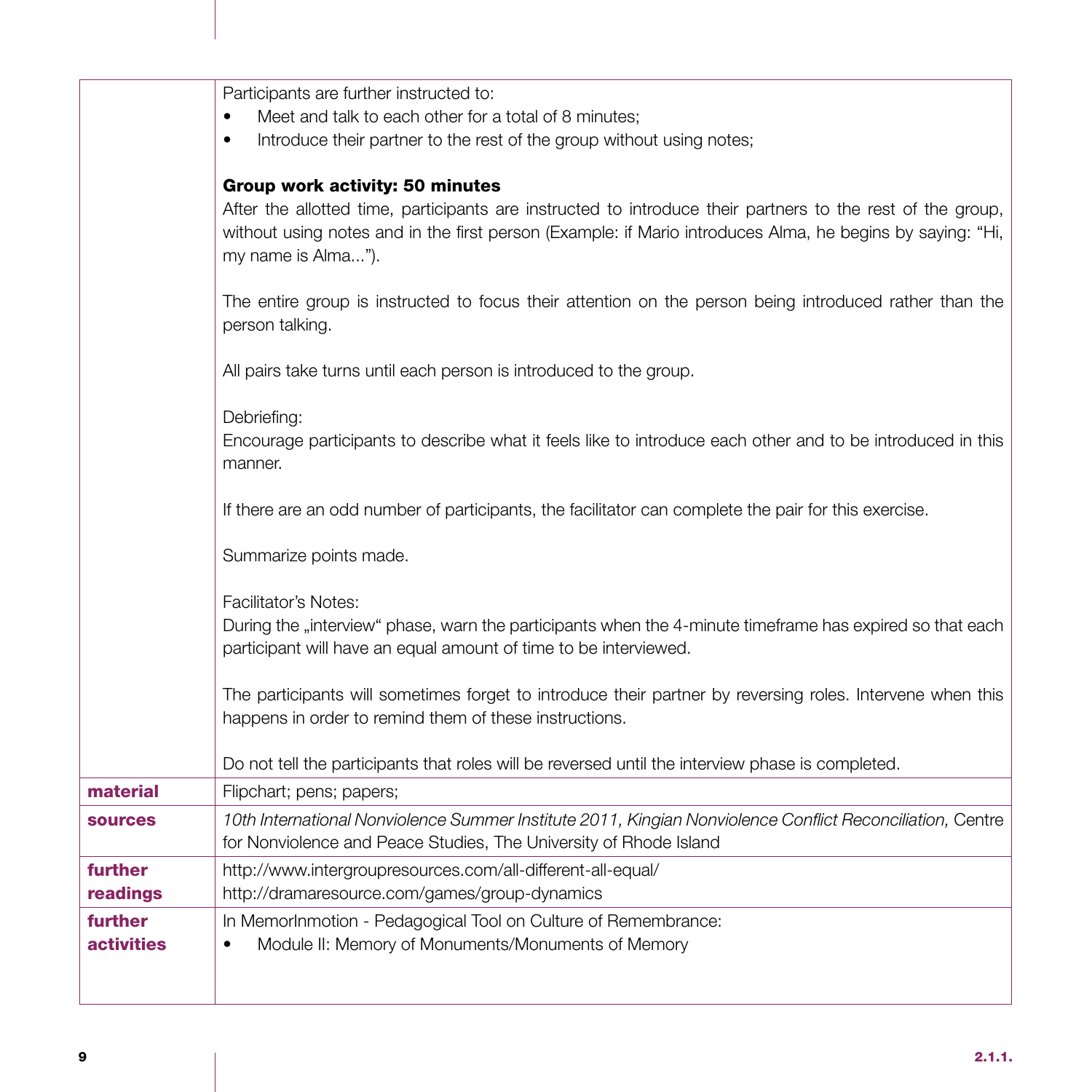|                              | Participants are further instructed to:<br>Meet and talk to each other for a total of 8 minutes;<br>Introduce their partner to the rest of the group without using notes;<br>$\bullet$                                                                                           |
|------------------------------|----------------------------------------------------------------------------------------------------------------------------------------------------------------------------------------------------------------------------------------------------------------------------------|
|                              | Group work activity: 50 minutes<br>After the allotted time, participants are instructed to introduce their partners to the rest of the group,<br>without using notes and in the first person (Example: if Mario introduces Alma, he begins by saying: "Hi,<br>my name is Alma"). |
|                              | The entire group is instructed to focus their attention on the person being introduced rather than the<br>person talking.                                                                                                                                                        |
|                              | All pairs take turns until each person is introduced to the group.                                                                                                                                                                                                               |
|                              | Debriefing:<br>Encourage participants to describe what it feels like to introduce each other and to be introduced in this<br>manner.                                                                                                                                             |
|                              | If there are an odd number of participants, the facilitator can complete the pair for this exercise.                                                                                                                                                                             |
|                              | Summarize points made.                                                                                                                                                                                                                                                           |
|                              | Facilitator's Notes:<br>During the "interview" phase, warn the participants when the 4-minute timeframe has expired so that each<br>participant will have an equal amount of time to be interviewed.                                                                             |
|                              | The participants will sometimes forget to introduce their partner by reversing roles. Intervene when this<br>happens in order to remind them of these instructions.                                                                                                              |
|                              | Do not tell the participants that roles will be reversed until the interview phase is completed.                                                                                                                                                                                 |
| material                     | Flipchart; pens; papers;                                                                                                                                                                                                                                                         |
| <b>sources</b>               | 10th International Nonviolence Summer Institute 2011, Kingian Nonviolence Conflict Reconciliation, Centre<br>for Nonviolence and Peace Studies, The University of Rhode Island                                                                                                   |
| further<br>readings          | http://www.intergroupresources.com/all-different-all-equal/<br>http://dramaresource.com/games/group-dynamics                                                                                                                                                                     |
| further<br><b>activities</b> | In MemorInmotion - Pedagogical Tool on Culture of Remembrance:<br>Module II: Memory of Monuments/Monuments of Memory<br>$\bullet$                                                                                                                                                |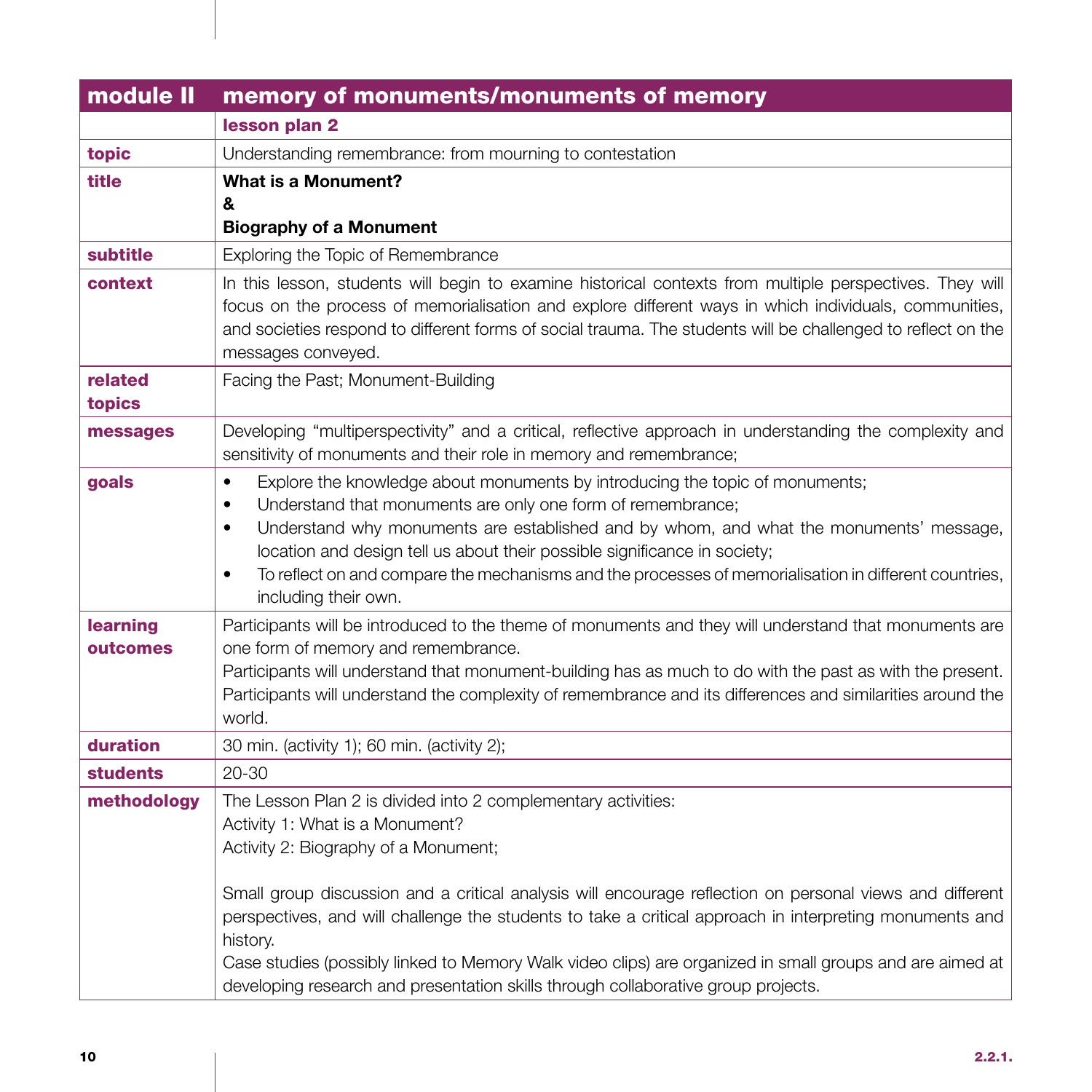| module II       | memory of monuments/monuments of memory                                                                                                                                                                           |
|-----------------|-------------------------------------------------------------------------------------------------------------------------------------------------------------------------------------------------------------------|
|                 | lesson plan 2                                                                                                                                                                                                     |
| topic           | Understanding remembrance: from mourning to contestation                                                                                                                                                          |
| title           | What is a Monument?                                                                                                                                                                                               |
|                 | &<br><b>Biography of a Monument</b>                                                                                                                                                                               |
| subtitle        | Exploring the Topic of Remembrance                                                                                                                                                                                |
| context         |                                                                                                                                                                                                                   |
|                 | In this lesson, students will begin to examine historical contexts from multiple perspectives. They will<br>focus on the process of memorialisation and explore different ways in which individuals, communities, |
|                 | and societies respond to different forms of social trauma. The students will be challenged to reflect on the                                                                                                      |
|                 | messages conveyed.                                                                                                                                                                                                |
| related         | Facing the Past; Monument-Building                                                                                                                                                                                |
| topics          |                                                                                                                                                                                                                   |
| messages        | Developing "multiperspectivity" and a critical, reflective approach in understanding the complexity and<br>sensitivity of monuments and their role in memory and remembrance;                                     |
| goals           | Explore the knowledge about monuments by introducing the topic of monuments;<br>$\bullet$                                                                                                                         |
|                 | Understand that monuments are only one form of remembrance;<br>$\bullet$                                                                                                                                          |
|                 | Understand why monuments are established and by whom, and what the monuments' message,<br>$\bullet$<br>location and design tell us about their possible significance in society;                                  |
|                 | To reflect on and compare the mechanisms and the processes of memorialisation in different countries,<br>٠                                                                                                        |
|                 | including their own.                                                                                                                                                                                              |
| learning        | Participants will be introduced to the theme of monuments and they will understand that monuments are                                                                                                             |
| outcomes        | one form of memory and remembrance.<br>Participants will understand that monument-building has as much to do with the past as with the present.                                                                   |
|                 | Participants will understand the complexity of remembrance and its differences and similarities around the                                                                                                        |
|                 | world.                                                                                                                                                                                                            |
| duration        | 30 min. (activity 1); 60 min. (activity 2);                                                                                                                                                                       |
| <b>students</b> | $20 - 30$                                                                                                                                                                                                         |
| methodology     | The Lesson Plan 2 is divided into 2 complementary activities:                                                                                                                                                     |
|                 | Activity 1: What is a Monument?                                                                                                                                                                                   |
|                 | Activity 2: Biography of a Monument;                                                                                                                                                                              |
|                 | Small group discussion and a critical analysis will encourage reflection on personal views and different                                                                                                          |
|                 | perspectives, and will challenge the students to take a critical approach in interpreting monuments and                                                                                                           |
|                 | history.                                                                                                                                                                                                          |
|                 | Case studies (possibly linked to Memory Walk video clips) are organized in small groups and are aimed at                                                                                                          |
|                 | developing research and presentation skills through collaborative group projects.                                                                                                                                 |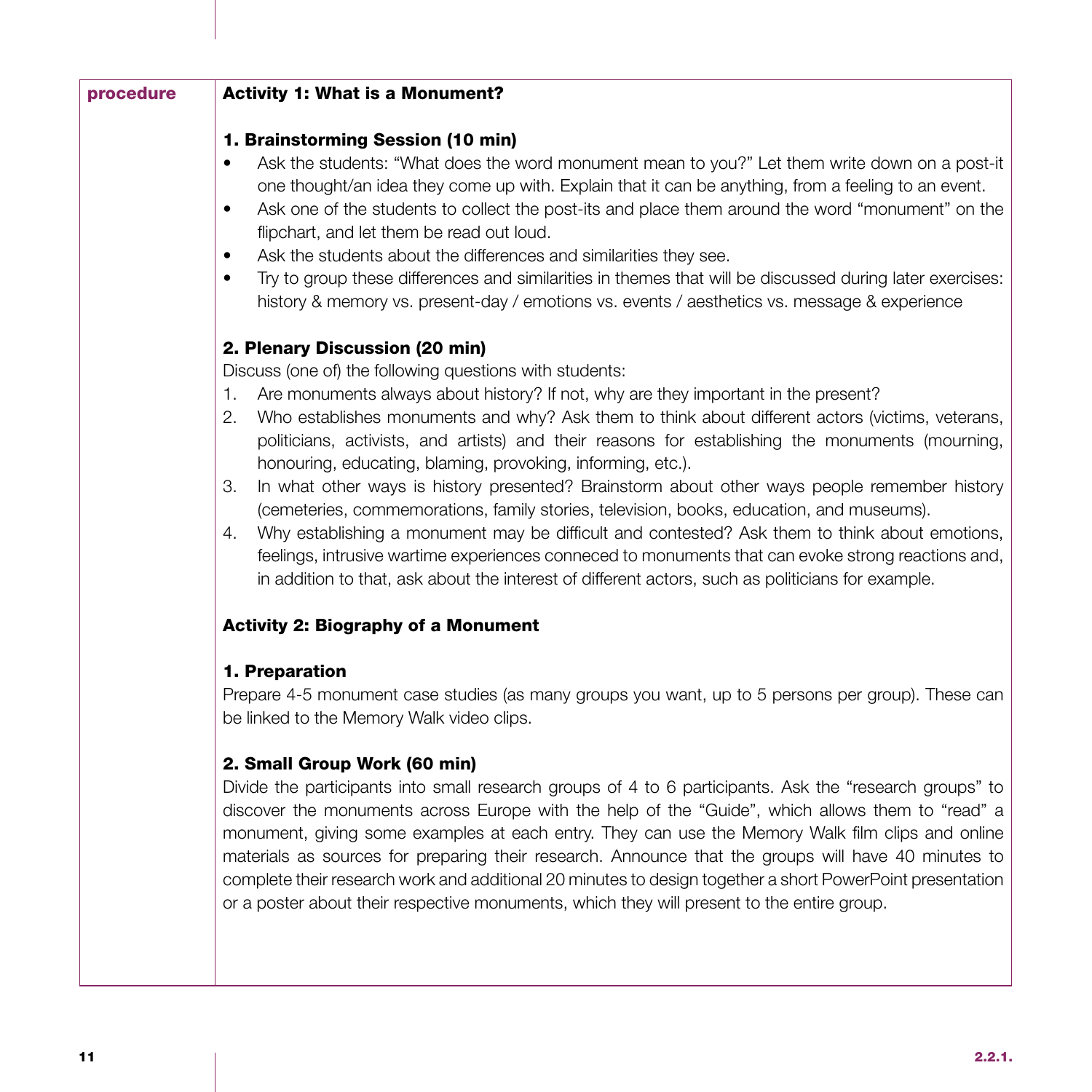| procedure | <b>Activity 1: What is a Monument?</b>                                                                                                                                                                                                                                                                                                                                                                                                                                                                                                                                                                                                                                                                                                                                                                                                                                                   |
|-----------|------------------------------------------------------------------------------------------------------------------------------------------------------------------------------------------------------------------------------------------------------------------------------------------------------------------------------------------------------------------------------------------------------------------------------------------------------------------------------------------------------------------------------------------------------------------------------------------------------------------------------------------------------------------------------------------------------------------------------------------------------------------------------------------------------------------------------------------------------------------------------------------|
|           | 1. Brainstorming Session (10 min)<br>Ask the students: "What does the word monument mean to you?" Let them write down on a post-it<br>one thought/an idea they come up with. Explain that it can be anything, from a feeling to an event.<br>Ask one of the students to collect the post-its and place them around the word "monument" on the<br>٠<br>flipchart, and let them be read out loud.<br>Ask the students about the differences and similarities they see.<br>٠<br>Try to group these differences and similarities in themes that will be discussed during later exercises:<br>٠<br>history & memory vs. present-day / emotions vs. events / aesthetics vs. message & experience                                                                                                                                                                                               |
|           | 2. Plenary Discussion (20 min)<br>Discuss (one of) the following questions with students:                                                                                                                                                                                                                                                                                                                                                                                                                                                                                                                                                                                                                                                                                                                                                                                                |
|           | Are monuments always about history? If not, why are they important in the present?<br>1.<br>Who establishes monuments and why? Ask them to think about different actors (victims, veterans,<br>2.<br>politicians, activists, and artists) and their reasons for establishing the monuments (mourning,<br>honouring, educating, blaming, provoking, informing, etc.).<br>In what other ways is history presented? Brainstorm about other ways people remember history<br>З.<br>(cemeteries, commemorations, family stories, television, books, education, and museums).<br>Why establishing a monument may be difficult and contested? Ask them to think about emotions,<br>4.<br>feelings, intrusive wartime experiences conneced to monuments that can evoke strong reactions and,<br>in addition to that, ask about the interest of different actors, such as politicians for example. |
|           | <b>Activity 2: Biography of a Monument</b>                                                                                                                                                                                                                                                                                                                                                                                                                                                                                                                                                                                                                                                                                                                                                                                                                                               |
|           | 1. Preparation<br>Prepare 4-5 monument case studies (as many groups you want, up to 5 persons per group). These can<br>be linked to the Memory Walk video clips.                                                                                                                                                                                                                                                                                                                                                                                                                                                                                                                                                                                                                                                                                                                         |
|           | 2. Small Group Work (60 min)<br>Divide the participants into small research groups of 4 to 6 participants. Ask the "research groups" to<br>discover the monuments across Europe with the help of the "Guide", which allows them to "read" a<br>monument, giving some examples at each entry. They can use the Memory Walk film clips and online<br>materials as sources for preparing their research. Announce that the groups will have 40 minutes to<br>complete their research work and additional 20 minutes to design together a short PowerPoint presentation<br>or a poster about their respective monuments, which they will present to the entire group.                                                                                                                                                                                                                        |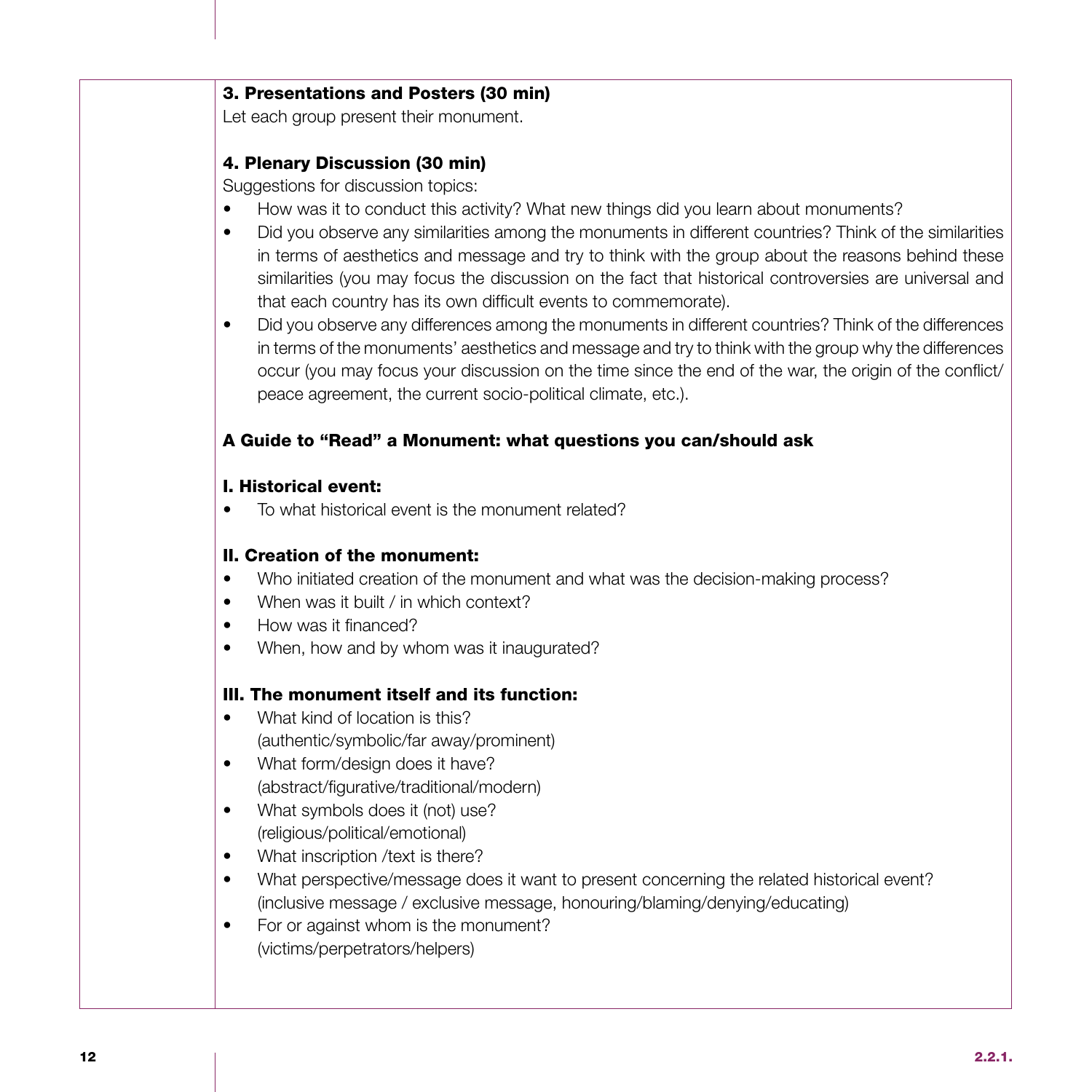#### 3. Presentations and Posters (30 min)

Let each group present their monument.

### 4. Plenary Discussion (30 min)

Suggestions for discussion topics:

- How was it to conduct this activity? What new things did you learn about monuments?
- Did you observe any similarities among the monuments in different countries? Think of the similarities in terms of aesthetics and message and try to think with the group about the reasons behind these similarities (you may focus the discussion on the fact that historical controversies are universal and that each country has its own difficult events to commemorate).
- Did you observe any differences among the monuments in different countries? Think of the differences in terms of the monuments' aesthetics and message and try to think with the group why the differences occur (you may focus your discussion on the time since the end of the war, the origin of the conflict/ peace agreement, the current socio-political climate, etc.).

### A Guide to "Read" a Monument: what questions you can/should ask

### I. Historical event:

• To what historical event is the monument related?

### II. Creation of the monument:

- Who initiated creation of the monument and what was the decision-making process?
- When was it built / in which context?
- How was it financed?
- When, how and by whom was it inaugurated?

### III. The monument itself and its function:

- What kind of location is this? (authentic/symbolic/far away/prominent)
- What form/design does it have? (abstract/figurative/traditional/modern)
- What symbols does it (not) use? (religious/political/emotional)
- What inscription /text is there?
- What perspective/message does it want to present concerning the related historical event? (inclusive message / exclusive message, honouring/blaming/denying/educating)
- For or against whom is the monument? (victims/perpetrators/helpers)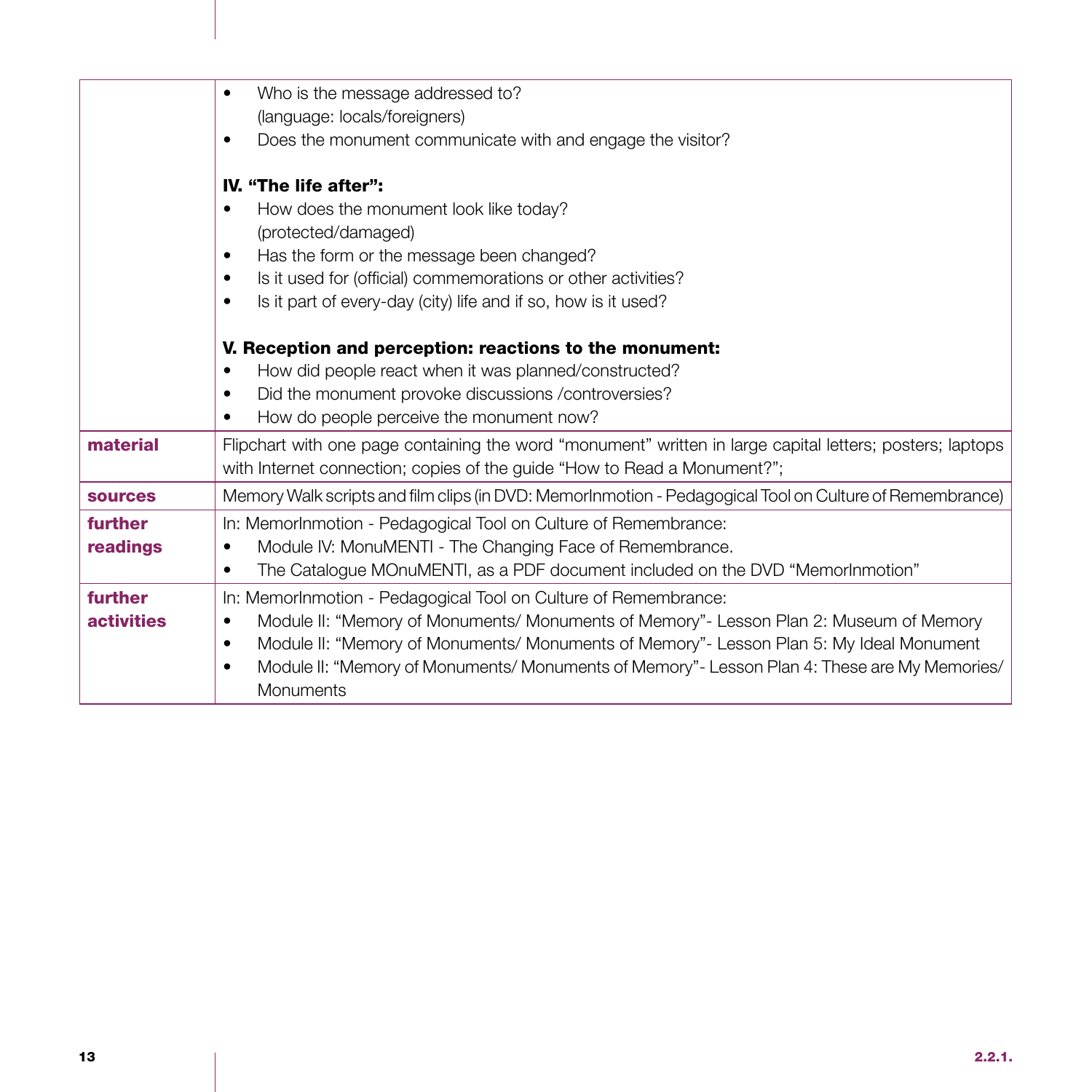|                   | Who is the message addressed to?                                                                           |
|-------------------|------------------------------------------------------------------------------------------------------------|
|                   | (language: locals/foreigners)                                                                              |
|                   | Does the monument communicate with and engage the visitor?<br>$\bullet$                                    |
|                   | IV. "The life after":                                                                                      |
|                   | How does the monument look like today?<br>$\bullet$                                                        |
|                   | (protected/damaged)                                                                                        |
|                   | Has the form or the message been changed?<br>$\bullet$                                                     |
|                   | Is it used for (official) commemorations or other activities?<br>$\bullet$                                 |
|                   | Is it part of every-day (city) life and if so, how is it used?<br>$\bullet$                                |
|                   |                                                                                                            |
|                   | V. Reception and perception: reactions to the monument:                                                    |
|                   | How did people react when it was planned/constructed?<br>٠                                                 |
|                   | Did the monument provoke discussions /controversies?<br>$\bullet$                                          |
|                   | How do people perceive the monument now?<br>$\bullet$                                                      |
| material          | Flipchart with one page containing the word "monument" written in large capital letters; posters; laptops  |
|                   | with Internet connection; copies of the guide "How to Read a Monument?";                                   |
| <b>sources</b>    | Memory Walk scripts and film clips (in DVD: MemorInmotion - Pedagogical Tool on Culture of Remembrance)    |
| further           | In: MemorInmotion - Pedagogical Tool on Culture of Remembrance:                                            |
| readings          | Module IV: MonuMENTI - The Changing Face of Remembrance.<br>$\bullet$                                      |
|                   | The Catalogue MOnuMENTI, as a PDF document included on the DVD "MemorInmotion"<br>٠                        |
| further           | In: MemorInmotion - Pedagogical Tool on Culture of Remembrance:                                            |
| <b>activities</b> | Module II: "Memory of Monuments/ Monuments of Memory"- Lesson Plan 2: Museum of Memory<br>$\bullet$        |
|                   | Module II: "Memory of Monuments/ Monuments of Memory" - Lesson Plan 5: My Ideal Monument<br>$\bullet$      |
|                   | Module II: "Memory of Monuments/ Monuments of Memory" - Lesson Plan 4: These are My Memories/<br>$\bullet$ |
|                   | Monuments                                                                                                  |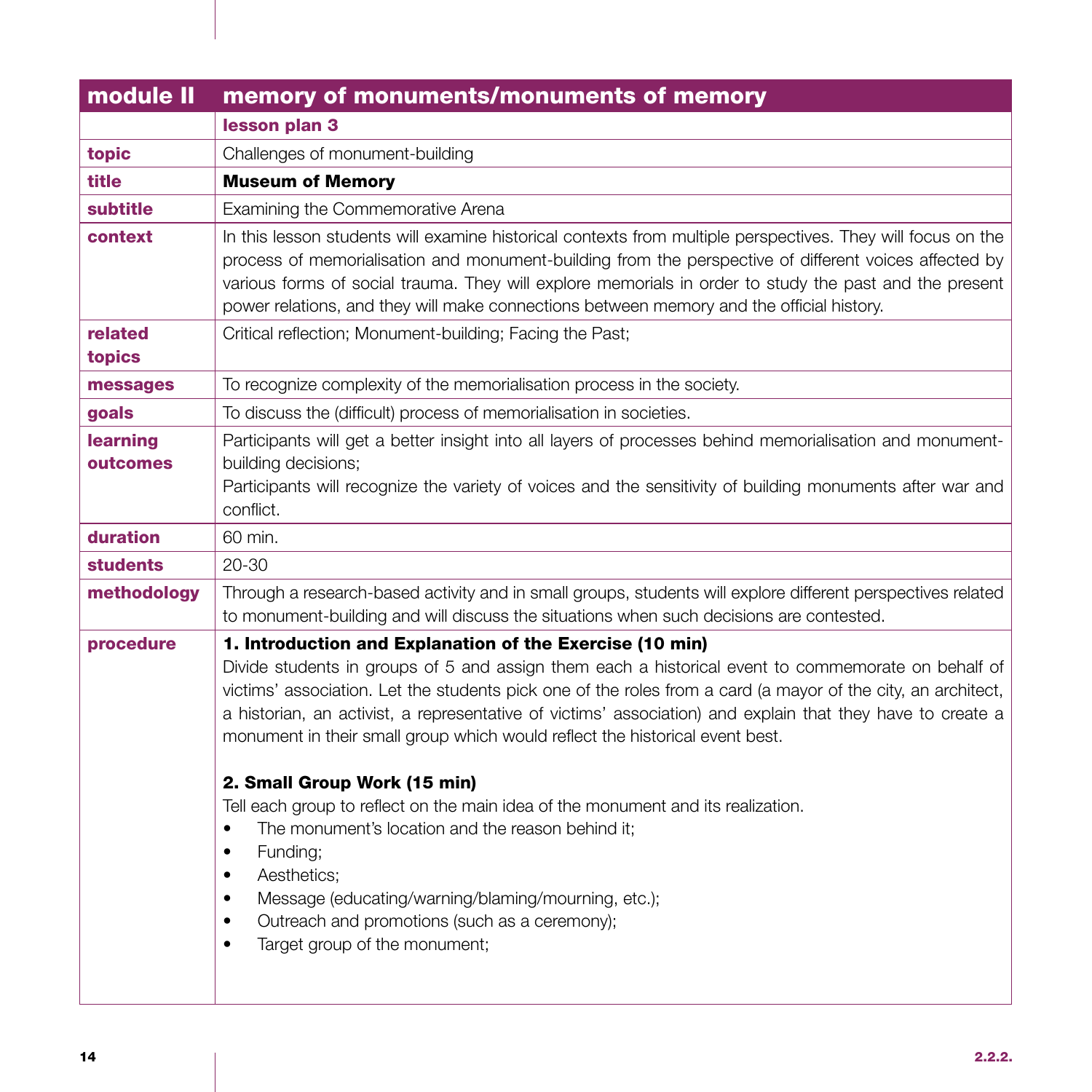| module II            | memory of monuments/monuments of memory                                                                                                                                                                                                                                                                                                                                                                                                                                                                                                                                                                                                                                                                                                                                                                                                                                       |
|----------------------|-------------------------------------------------------------------------------------------------------------------------------------------------------------------------------------------------------------------------------------------------------------------------------------------------------------------------------------------------------------------------------------------------------------------------------------------------------------------------------------------------------------------------------------------------------------------------------------------------------------------------------------------------------------------------------------------------------------------------------------------------------------------------------------------------------------------------------------------------------------------------------|
|                      | lesson plan 3                                                                                                                                                                                                                                                                                                                                                                                                                                                                                                                                                                                                                                                                                                                                                                                                                                                                 |
| topic                | Challenges of monument-building                                                                                                                                                                                                                                                                                                                                                                                                                                                                                                                                                                                                                                                                                                                                                                                                                                               |
| title                | <b>Museum of Memory</b>                                                                                                                                                                                                                                                                                                                                                                                                                                                                                                                                                                                                                                                                                                                                                                                                                                                       |
| <b>subtitle</b>      | Examining the Commemorative Arena                                                                                                                                                                                                                                                                                                                                                                                                                                                                                                                                                                                                                                                                                                                                                                                                                                             |
| context              | In this lesson students will examine historical contexts from multiple perspectives. They will focus on the<br>process of memorialisation and monument-building from the perspective of different voices affected by<br>various forms of social trauma. They will explore memorials in order to study the past and the present<br>power relations, and they will make connections between memory and the official history.                                                                                                                                                                                                                                                                                                                                                                                                                                                    |
| related<br>topics    | Critical reflection; Monument-building; Facing the Past;                                                                                                                                                                                                                                                                                                                                                                                                                                                                                                                                                                                                                                                                                                                                                                                                                      |
| messages             | To recognize complexity of the memorialisation process in the society.                                                                                                                                                                                                                                                                                                                                                                                                                                                                                                                                                                                                                                                                                                                                                                                                        |
| goals                | To discuss the (difficult) process of memorialisation in societies.                                                                                                                                                                                                                                                                                                                                                                                                                                                                                                                                                                                                                                                                                                                                                                                                           |
| learning<br>outcomes | Participants will get a better insight into all layers of processes behind memorialisation and monument-<br>building decisions;<br>Participants will recognize the variety of voices and the sensitivity of building monuments after war and<br>conflict.                                                                                                                                                                                                                                                                                                                                                                                                                                                                                                                                                                                                                     |
| duration             | 60 min.                                                                                                                                                                                                                                                                                                                                                                                                                                                                                                                                                                                                                                                                                                                                                                                                                                                                       |
| <b>students</b>      | $20 - 30$                                                                                                                                                                                                                                                                                                                                                                                                                                                                                                                                                                                                                                                                                                                                                                                                                                                                     |
| methodology          | Through a research-based activity and in small groups, students will explore different perspectives related<br>to monument-building and will discuss the situations when such decisions are contested.                                                                                                                                                                                                                                                                                                                                                                                                                                                                                                                                                                                                                                                                        |
| procedure            | 1. Introduction and Explanation of the Exercise (10 min)<br>Divide students in groups of 5 and assign them each a historical event to commemorate on behalf of<br>victims' association. Let the students pick one of the roles from a card (a mayor of the city, an architect,<br>a historian, an activist, a representative of victims' association) and explain that they have to create a<br>monument in their small group which would reflect the historical event best.<br>2. Small Group Work (15 min)<br>Tell each group to reflect on the main idea of the monument and its realization.<br>The monument's location and the reason behind it;<br>$\bullet$<br>Funding;<br>$\bullet$<br>Aesthetics;<br>$\bullet$<br>Message (educating/warning/blaming/mourning, etc.);<br>Outreach and promotions (such as a ceremony);<br>Target group of the monument;<br>$\bullet$ |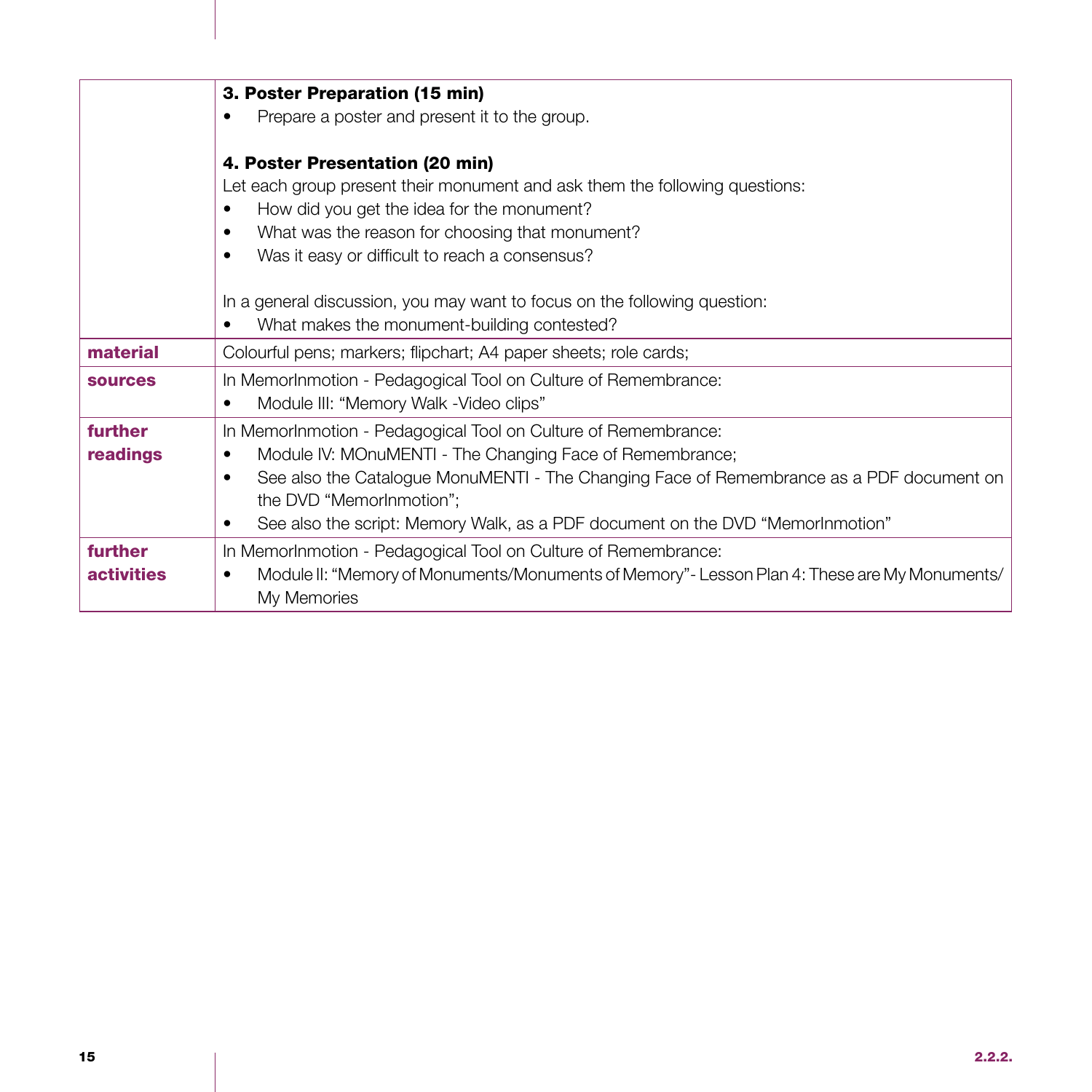|                              | 3. Poster Preparation (15 min)                                                                                                                                                                                                                                                                                                                                           |
|------------------------------|--------------------------------------------------------------------------------------------------------------------------------------------------------------------------------------------------------------------------------------------------------------------------------------------------------------------------------------------------------------------------|
|                              | Prepare a poster and present it to the group.                                                                                                                                                                                                                                                                                                                            |
|                              | 4. Poster Presentation (20 min)<br>Let each group present their monument and ask them the following questions:<br>How did you get the idea for the monument?<br>What was the reason for choosing that monument?<br>$\bullet$<br>Was it easy or difficult to reach a consensus?<br>$\bullet$<br>In a general discussion, you may want to focus on the following question: |
|                              | What makes the monument-building contested?                                                                                                                                                                                                                                                                                                                              |
| material                     | Colourful pens; markers; flipchart; A4 paper sheets; role cards;                                                                                                                                                                                                                                                                                                         |
| <b>sources</b>               | In MemorInmotion - Pedagogical Tool on Culture of Remembrance:<br>Module III: "Memory Walk - Video clips"<br>$\bullet$                                                                                                                                                                                                                                                   |
| further<br>readings          | In MemorInmotion - Pedagogical Tool on Culture of Remembrance:<br>Module IV: MOnuMENTI - The Changing Face of Remembrance;<br>See also the Catalogue MonuMENTI - The Changing Face of Remembrance as a PDF document on<br>$\bullet$<br>the DVD "MemorInmotion";<br>See also the script: Memory Walk, as a PDF document on the DVD "MemorInmotion"                        |
| further<br><b>activities</b> | In MemorInmotion - Pedagogical Tool on Culture of Remembrance:<br>Module II: "Memory of Monuments/Monuments of Memory" - Lesson Plan 4: These are My Monuments/<br>٠<br>My Memories                                                                                                                                                                                      |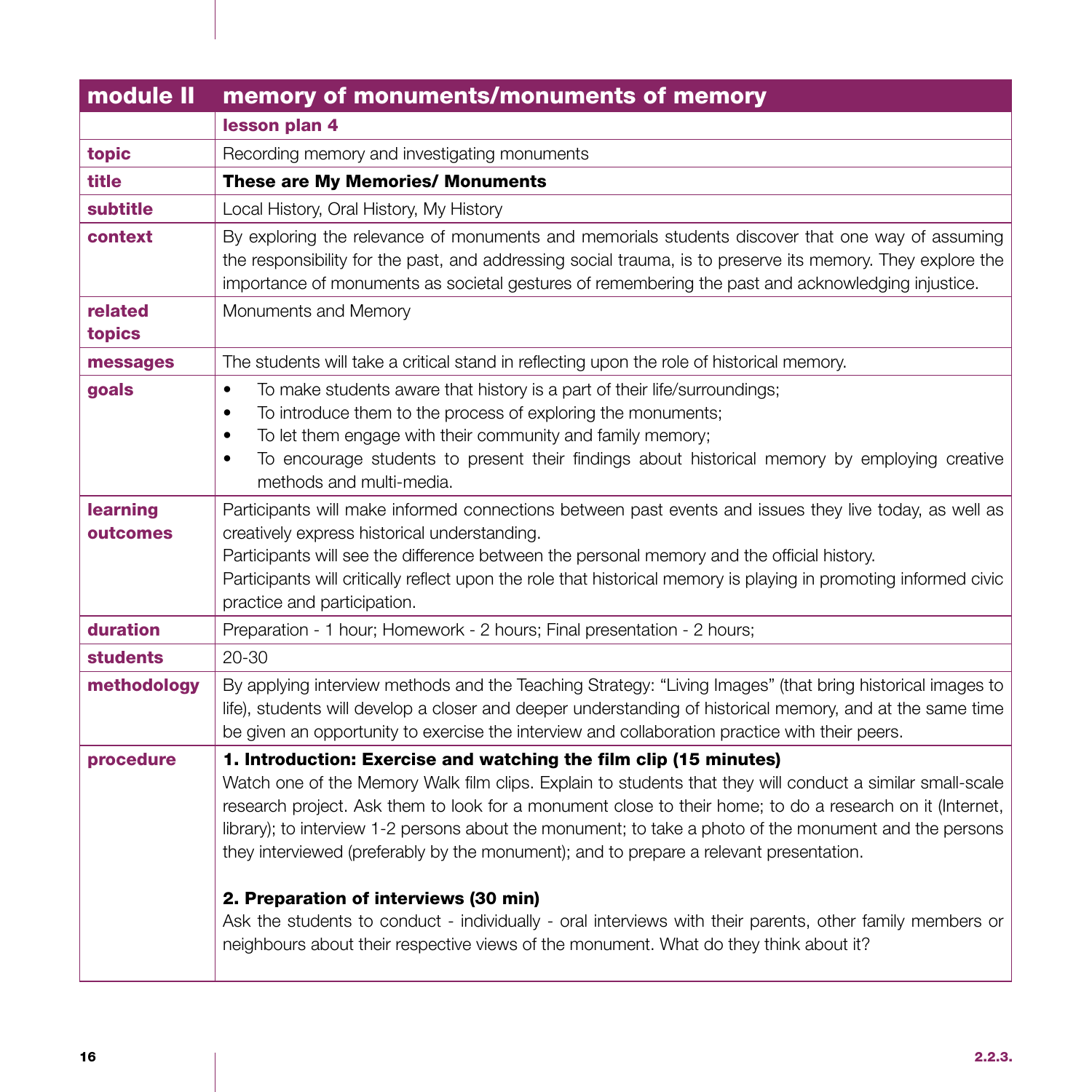| module II            | memory of monuments/monuments of memory                                                                                                                                                                                                                                                                                                                                                                                                                                                                                                                                                                                                                                                                                                      |
|----------------------|----------------------------------------------------------------------------------------------------------------------------------------------------------------------------------------------------------------------------------------------------------------------------------------------------------------------------------------------------------------------------------------------------------------------------------------------------------------------------------------------------------------------------------------------------------------------------------------------------------------------------------------------------------------------------------------------------------------------------------------------|
|                      | lesson plan 4                                                                                                                                                                                                                                                                                                                                                                                                                                                                                                                                                                                                                                                                                                                                |
| topic                | Recording memory and investigating monuments                                                                                                                                                                                                                                                                                                                                                                                                                                                                                                                                                                                                                                                                                                 |
| title                | <b>These are My Memories/ Monuments</b>                                                                                                                                                                                                                                                                                                                                                                                                                                                                                                                                                                                                                                                                                                      |
| subtitle             | Local History, Oral History, My History                                                                                                                                                                                                                                                                                                                                                                                                                                                                                                                                                                                                                                                                                                      |
| context              | By exploring the relevance of monuments and memorials students discover that one way of assuming<br>the responsibility for the past, and addressing social trauma, is to preserve its memory. They explore the<br>importance of monuments as societal gestures of remembering the past and acknowledging injustice.                                                                                                                                                                                                                                                                                                                                                                                                                          |
| related<br>topics    | Monuments and Memory                                                                                                                                                                                                                                                                                                                                                                                                                                                                                                                                                                                                                                                                                                                         |
| messages             | The students will take a critical stand in reflecting upon the role of historical memory.                                                                                                                                                                                                                                                                                                                                                                                                                                                                                                                                                                                                                                                    |
| goals                | To make students aware that history is a part of their life/surroundings;<br>$\bullet$<br>To introduce them to the process of exploring the monuments;<br>$\bullet$<br>To let them engage with their community and family memory;<br>$\bullet$<br>To encourage students to present their findings about historical memory by employing creative<br>$\bullet$<br>methods and multi-media.                                                                                                                                                                                                                                                                                                                                                     |
| learning<br>outcomes | Participants will make informed connections between past events and issues they live today, as well as<br>creatively express historical understanding.<br>Participants will see the difference between the personal memory and the official history.<br>Participants will critically reflect upon the role that historical memory is playing in promoting informed civic<br>practice and participation.                                                                                                                                                                                                                                                                                                                                      |
| duration             | Preparation - 1 hour; Homework - 2 hours; Final presentation - 2 hours;                                                                                                                                                                                                                                                                                                                                                                                                                                                                                                                                                                                                                                                                      |
| <b>students</b>      | $20 - 30$                                                                                                                                                                                                                                                                                                                                                                                                                                                                                                                                                                                                                                                                                                                                    |
| methodology          | By applying interview methods and the Teaching Strategy: "Living Images" (that bring historical images to<br>life), students will develop a closer and deeper understanding of historical memory, and at the same time<br>be given an opportunity to exercise the interview and collaboration practice with their peers.                                                                                                                                                                                                                                                                                                                                                                                                                     |
| procedure            | 1. Introduction: Exercise and watching the film clip (15 minutes)<br>Watch one of the Memory Walk film clips. Explain to students that they will conduct a similar small-scale<br>research project. Ask them to look for a monument close to their home; to do a research on it (Internet,<br>library); to interview 1-2 persons about the monument; to take a photo of the monument and the persons<br>they interviewed (preferably by the monument); and to prepare a relevant presentation.<br>2. Preparation of interviews (30 min)<br>Ask the students to conduct - individually - oral interviews with their parents, other family members or<br>neighbours about their respective views of the monument. What do they think about it? |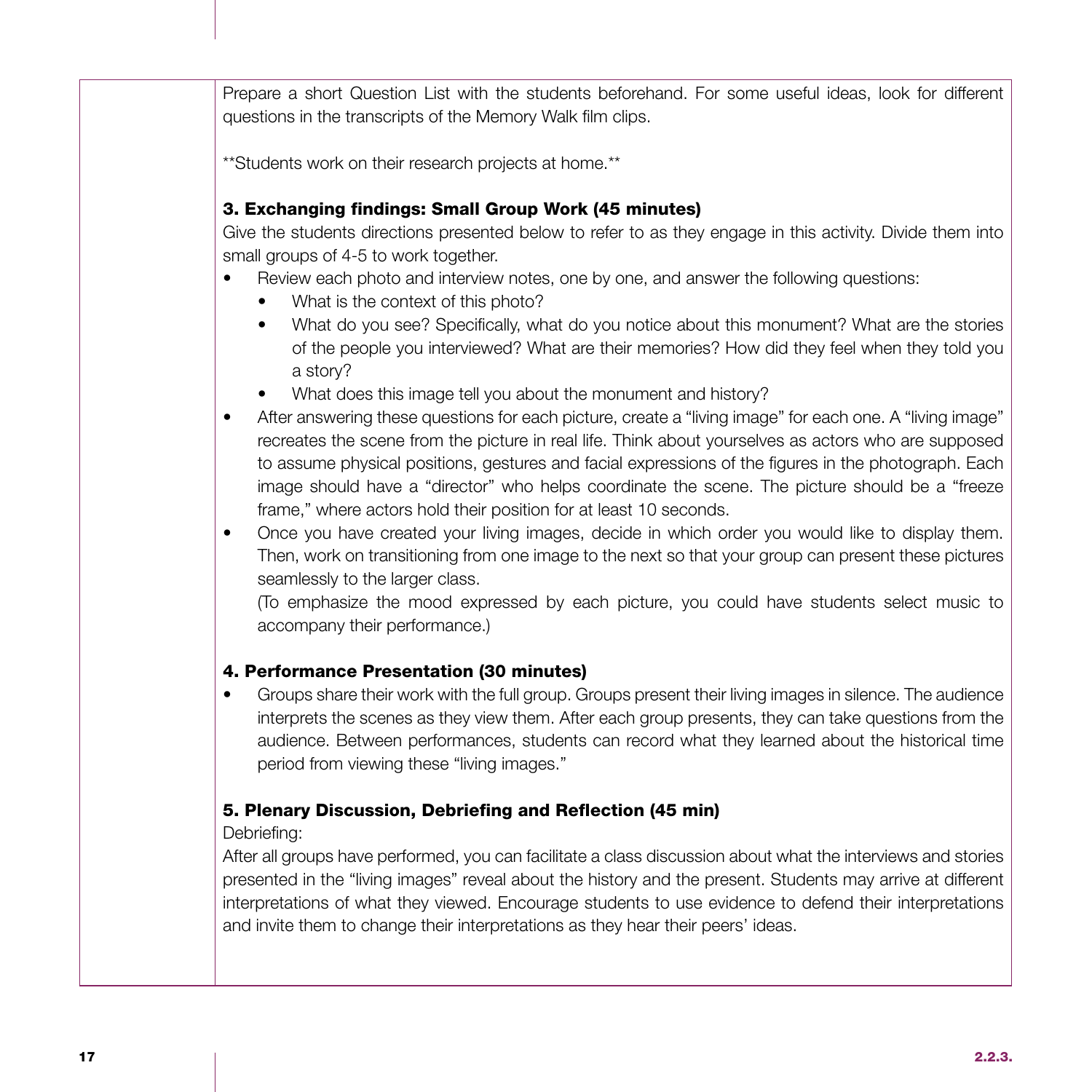Prepare a short Question List with the students beforehand. For some useful ideas, look for different questions in the transcripts of the Memory Walk film clips.

\*\*Students work on their research projects at home.\*\*

### 3. Exchanging findings: Small Group Work (45 minutes)

Give the students directions presented below to refer to as they engage in this activity. Divide them into small groups of 4-5 to work together.

- Review each photo and interview notes, one by one, and answer the following questions:
	- What is the context of this photo?
	- What do you see? Specifically, what do you notice about this monument? What are the stories of the people you interviewed? What are their memories? How did they feel when they told you a story?
	- What does this image tell you about the monument and history?
- After answering these questions for each picture, create a "living image" for each one. A "living image" recreates the scene from the picture in real life. Think about yourselves as actors who are supposed to assume physical positions, gestures and facial expressions of the figures in the photograph. Each image should have a "director" who helps coordinate the scene. The picture should be a "freeze frame," where actors hold their position for at least 10 seconds.
- Once you have created your living images, decide in which order you would like to display them. Then, work on transitioning from one image to the next so that your group can present these pictures seamlessly to the larger class.

(To emphasize the mood expressed by each picture, you could have students select music to accompany their performance.)

### 4. Performance Presentation (30 minutes)

• Groups share their work with the full group. Groups present their living images in silence. The audience interprets the scenes as they view them. After each group presents, they can take questions from the audience. Between performances, students can record what they learned about the historical time period from viewing these "living images."

### 5. Plenary Discussion, Debriefing and Reflection (45 min)

Debriefing:

After all groups have performed, you can facilitate a class discussion about what the interviews and stories presented in the "living images" reveal about the history and the present. Students may arrive at different interpretations of what they viewed. Encourage students to use evidence to defend their interpretations and invite them to change their interpretations as they hear their peers' ideas.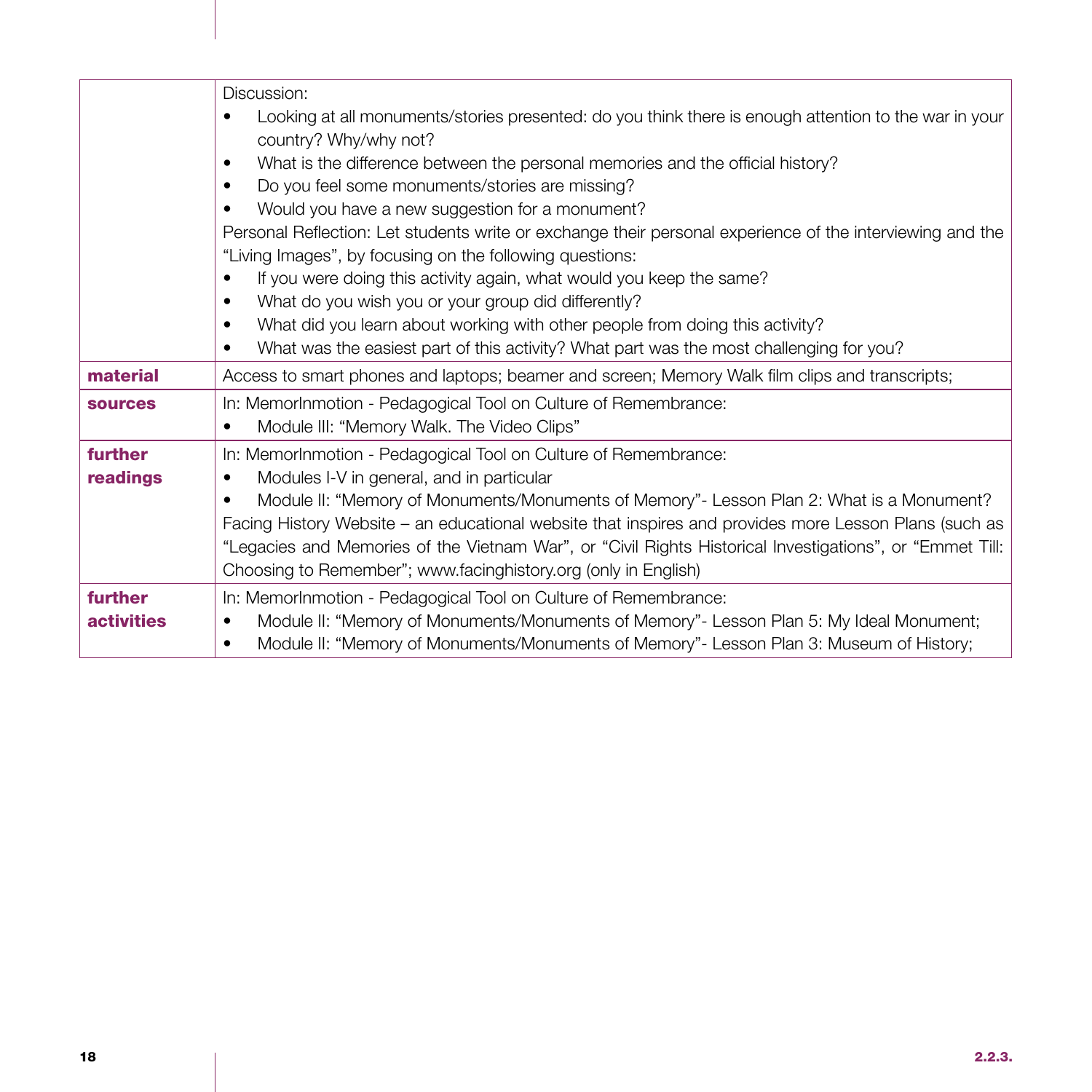|                   | Discussion:                                                                                               |
|-------------------|-----------------------------------------------------------------------------------------------------------|
|                   | Looking at all monuments/stories presented: do you think there is enough attention to the war in your     |
|                   | country? Why/why not?                                                                                     |
|                   | What is the difference between the personal memories and the official history?<br>٠                       |
|                   | Do you feel some monuments/stories are missing?<br>٠                                                      |
|                   | Would you have a new suggestion for a monument?                                                           |
|                   | Personal Reflection: Let students write or exchange their personal experience of the interviewing and the |
|                   | "Living Images", by focusing on the following questions:                                                  |
|                   | If you were doing this activity again, what would you keep the same?                                      |
|                   | What do you wish you or your group did differently?<br>٠                                                  |
|                   | What did you learn about working with other people from doing this activity?<br>٠                         |
|                   | What was the easiest part of this activity? What part was the most challenging for you?                   |
| material          | Access to smart phones and laptops; beamer and screen; Memory Walk film clips and transcripts;            |
| <b>sources</b>    | In: MemorInmotion - Pedagogical Tool on Culture of Remembrance:                                           |
|                   | Module III: "Memory Walk. The Video Clips"                                                                |
| further           | In: MemorInmotion - Pedagogical Tool on Culture of Remembrance:                                           |
| readings          | Modules I-V in general, and in particular<br>٠                                                            |
|                   | Module II: "Memory of Monuments/Monuments of Memory" - Lesson Plan 2: What is a Monument?<br>٠            |
|                   | Facing History Website - an educational website that inspires and provides more Lesson Plans (such as     |
|                   | "Legacies and Memories of the Vietnam War", or "Civil Rights Historical Investigations", or "Emmet Till:  |
|                   | Choosing to Remember"; www.facinghistory.org (only in English)                                            |
| further           | In: MemorInmotion - Pedagogical Tool on Culture of Remembrance:                                           |
| <b>activities</b> | Module II: "Memory of Monuments/Monuments of Memory"- Lesson Plan 5: My Ideal Monument;<br>٠              |
|                   | Module II: "Memory of Monuments/Monuments of Memory" - Lesson Plan 3: Museum of History;<br>٠             |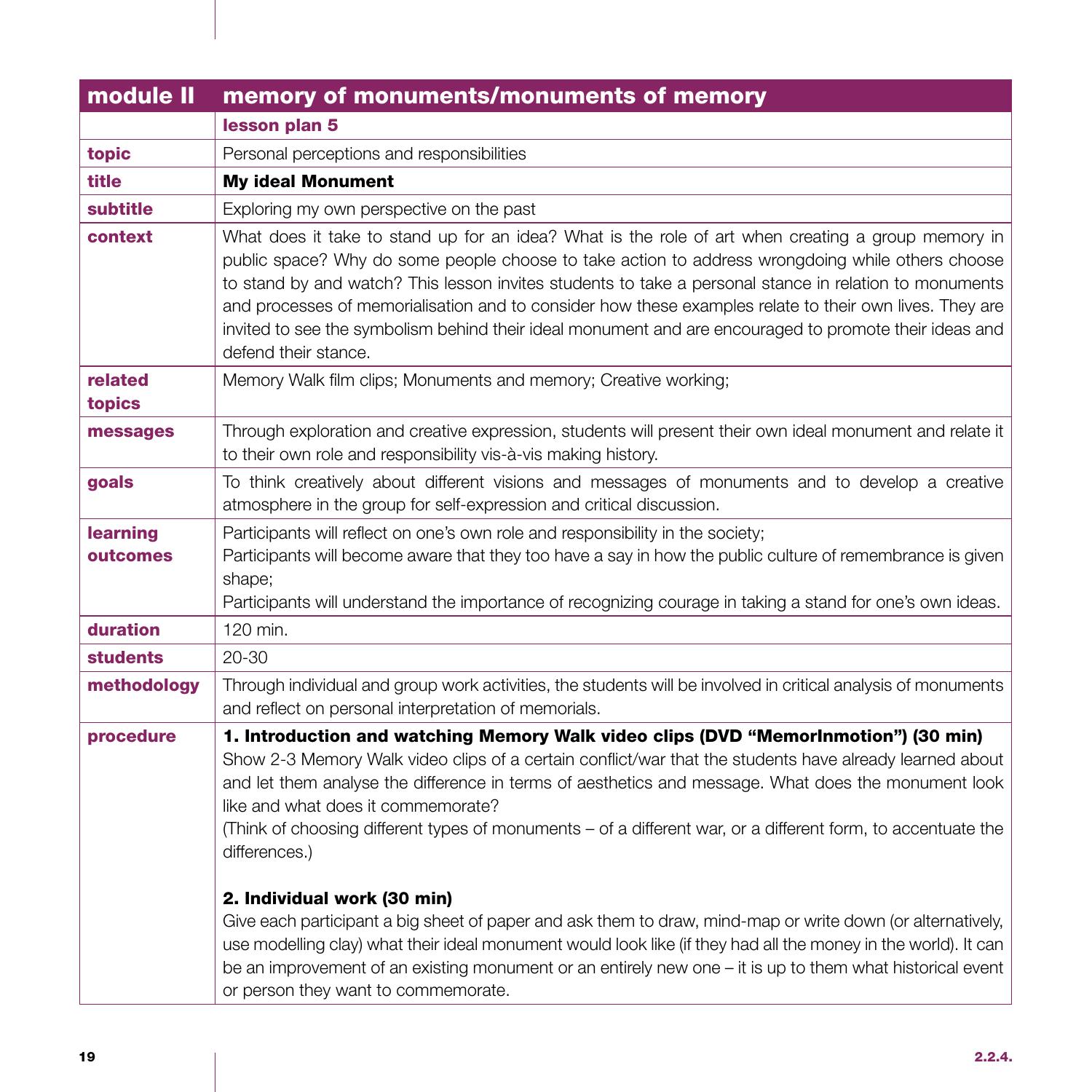| module II            | memory of monuments/monuments of memory                                                                                                                                                                                                                                                                                                                                                                                                                                                                                                                                                                                                                                                                                                                                                                                                                                                         |
|----------------------|-------------------------------------------------------------------------------------------------------------------------------------------------------------------------------------------------------------------------------------------------------------------------------------------------------------------------------------------------------------------------------------------------------------------------------------------------------------------------------------------------------------------------------------------------------------------------------------------------------------------------------------------------------------------------------------------------------------------------------------------------------------------------------------------------------------------------------------------------------------------------------------------------|
|                      | lesson plan 5                                                                                                                                                                                                                                                                                                                                                                                                                                                                                                                                                                                                                                                                                                                                                                                                                                                                                   |
| topic                | Personal perceptions and responsibilities                                                                                                                                                                                                                                                                                                                                                                                                                                                                                                                                                                                                                                                                                                                                                                                                                                                       |
| title                | <b>My ideal Monument</b>                                                                                                                                                                                                                                                                                                                                                                                                                                                                                                                                                                                                                                                                                                                                                                                                                                                                        |
| subtitle             | Exploring my own perspective on the past                                                                                                                                                                                                                                                                                                                                                                                                                                                                                                                                                                                                                                                                                                                                                                                                                                                        |
| context              | What does it take to stand up for an idea? What is the role of art when creating a group memory in<br>public space? Why do some people choose to take action to address wrongdoing while others choose<br>to stand by and watch? This lesson invites students to take a personal stance in relation to monuments<br>and processes of memorialisation and to consider how these examples relate to their own lives. They are<br>invited to see the symbolism behind their ideal monument and are encouraged to promote their ideas and<br>defend their stance.                                                                                                                                                                                                                                                                                                                                   |
| related<br>topics    | Memory Walk film clips; Monuments and memory; Creative working;                                                                                                                                                                                                                                                                                                                                                                                                                                                                                                                                                                                                                                                                                                                                                                                                                                 |
| messages             | Through exploration and creative expression, students will present their own ideal monument and relate it<br>to their own role and responsibility vis-à-vis making history.                                                                                                                                                                                                                                                                                                                                                                                                                                                                                                                                                                                                                                                                                                                     |
| goals                | To think creatively about different visions and messages of monuments and to develop a creative<br>atmosphere in the group for self-expression and critical discussion.                                                                                                                                                                                                                                                                                                                                                                                                                                                                                                                                                                                                                                                                                                                         |
| learning<br>outcomes | Participants will reflect on one's own role and responsibility in the society;<br>Participants will become aware that they too have a say in how the public culture of remembrance is given<br>shape;<br>Participants will understand the importance of recognizing courage in taking a stand for one's own ideas.                                                                                                                                                                                                                                                                                                                                                                                                                                                                                                                                                                              |
| duration             | 120 min.                                                                                                                                                                                                                                                                                                                                                                                                                                                                                                                                                                                                                                                                                                                                                                                                                                                                                        |
| <b>students</b>      | $20 - 30$                                                                                                                                                                                                                                                                                                                                                                                                                                                                                                                                                                                                                                                                                                                                                                                                                                                                                       |
| methodology          | Through individual and group work activities, the students will be involved in critical analysis of monuments<br>and reflect on personal interpretation of memorials.                                                                                                                                                                                                                                                                                                                                                                                                                                                                                                                                                                                                                                                                                                                           |
| procedure            | 1. Introduction and watching Memory Walk video clips (DVD "MemorInmotion") (30 min)<br>Show 2-3 Memory Walk video clips of a certain conflict/war that the students have already learned about<br>and let them analyse the difference in terms of aesthetics and message. What does the monument look<br>like and what does it commemorate?<br>(Think of choosing different types of monuments - of a different war, or a different form, to accentuate the<br>differences.)<br>2. Individual work (30 min)<br>Give each participant a big sheet of paper and ask them to draw, mind-map or write down (or alternatively,<br>use modelling clay) what their ideal monument would look like (if they had all the money in the world). It can<br>be an improvement of an existing monument or an entirely new one - it is up to them what historical event<br>or person they want to commemorate. |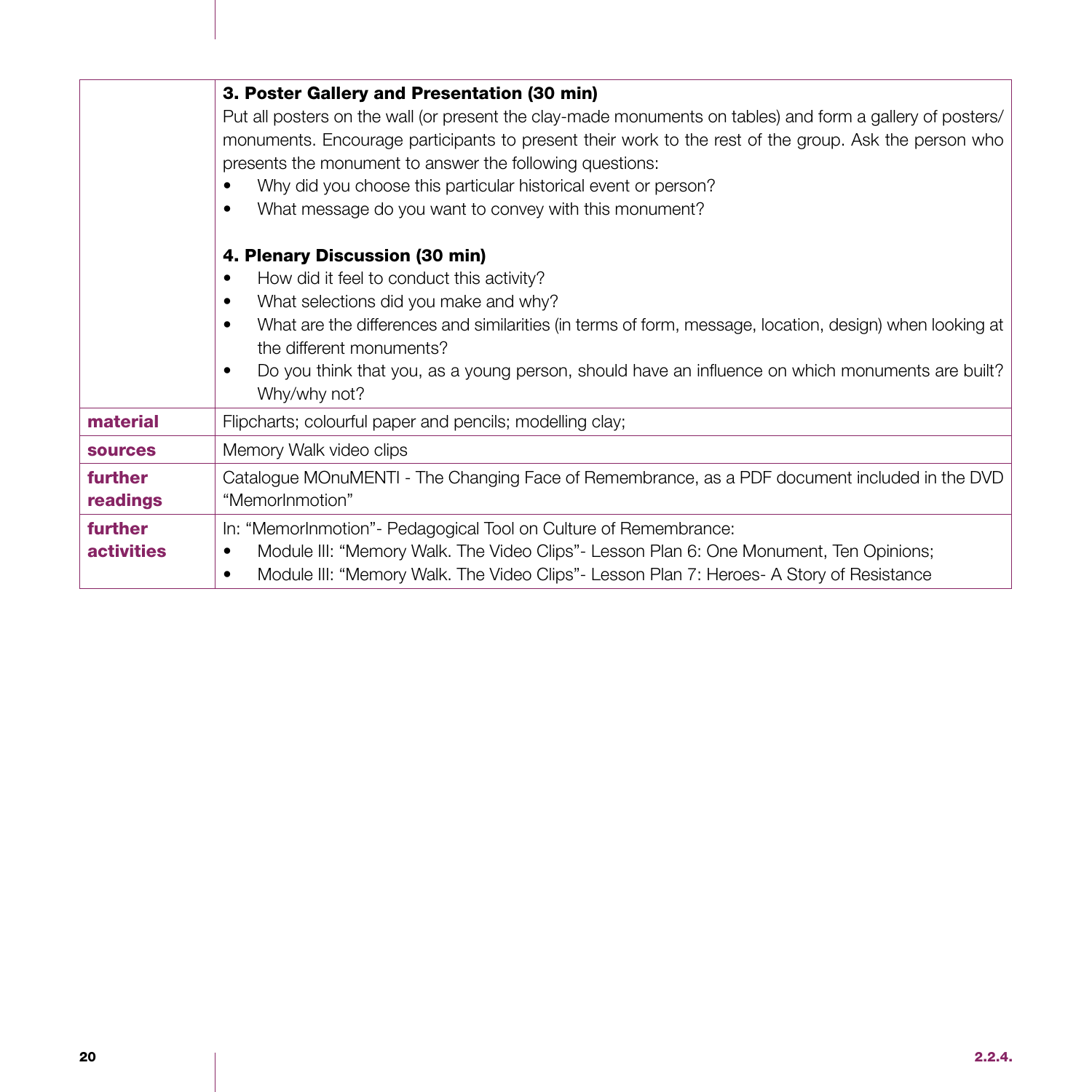|                   | 3. Poster Gallery and Presentation (30 min)                                                                  |
|-------------------|--------------------------------------------------------------------------------------------------------------|
|                   | Put all posters on the wall (or present the clay-made monuments on tables) and form a gallery of posters/    |
|                   | monuments. Encourage participants to present their work to the rest of the group. Ask the person who         |
|                   | presents the monument to answer the following questions:                                                     |
|                   |                                                                                                              |
|                   | Why did you choose this particular historical event or person?                                               |
|                   | What message do you want to convey with this monument?<br>٠                                                  |
|                   | 4. Plenary Discussion (30 min)                                                                               |
|                   | How did it feel to conduct this activity?<br>٠                                                               |
|                   | What selections did you make and why?<br>$\bullet$                                                           |
|                   | What are the differences and similarities (in terms of form, message, location, design) when looking at<br>٠ |
|                   | the different monuments?                                                                                     |
|                   |                                                                                                              |
|                   | Do you think that you, as a young person, should have an influence on which monuments are built?             |
|                   | Why/why not?                                                                                                 |
| material          | Flipcharts; colourful paper and pencils; modelling clay;                                                     |
| <b>sources</b>    | Memory Walk video clips                                                                                      |
| further           | Catalogue MOnuMENTI - The Changing Face of Remembrance, as a PDF document included in the DVD                |
| readings          | "MemorInmotion"                                                                                              |
| further           | In: "MemorInmotion" - Pedagogical Tool on Culture of Remembrance:                                            |
| <b>activities</b> | Module III: "Memory Walk. The Video Clips" - Lesson Plan 6: One Monument, Ten Opinions;<br>٠                 |
|                   | $\bullet$                                                                                                    |
|                   | Module III: "Memory Walk. The Video Clips"- Lesson Plan 7: Heroes- A Story of Resistance                     |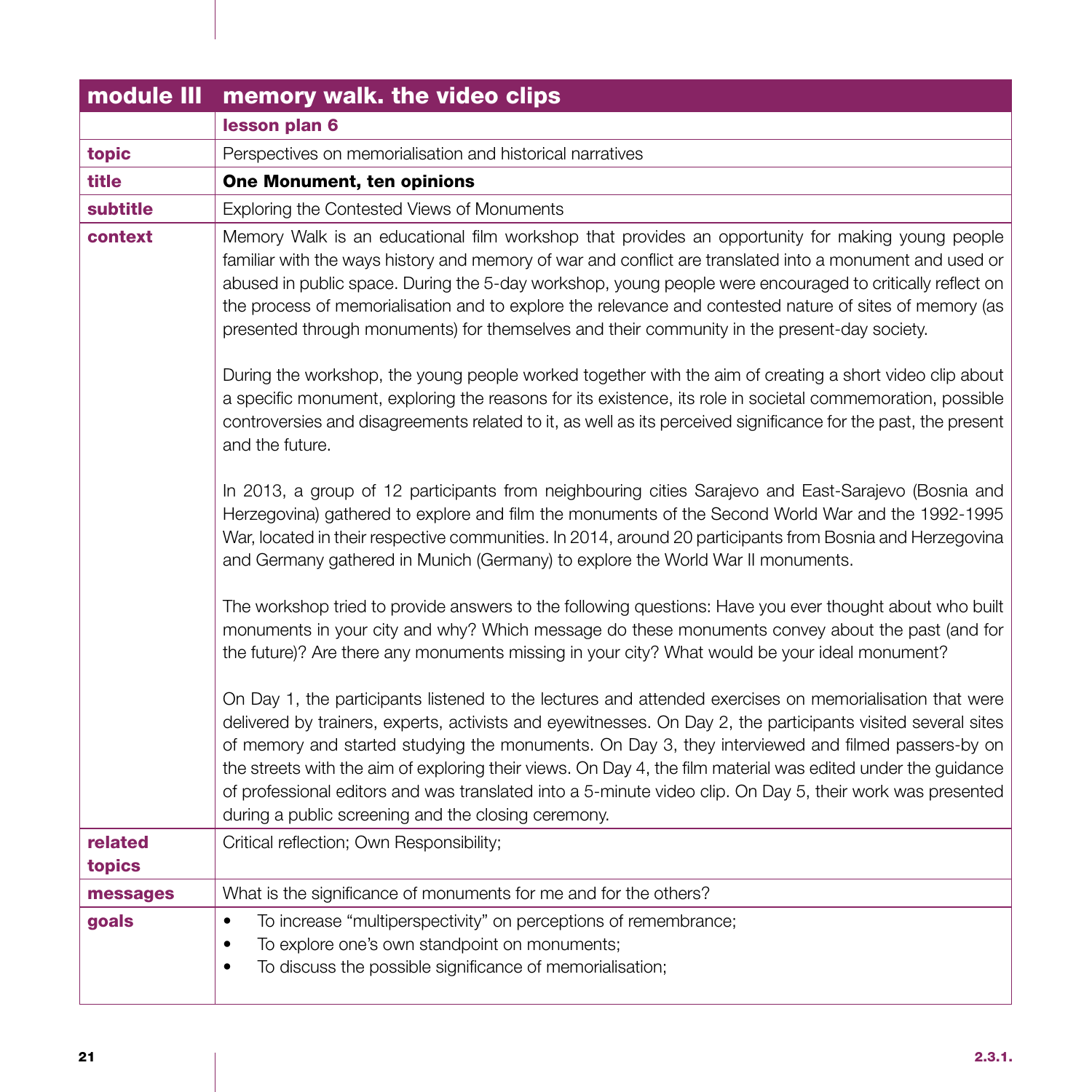| module III        | memory walk. the video clips                                                                                                                                                                                                                                                                                                                                                                                                                                                                                                                                                                                     |
|-------------------|------------------------------------------------------------------------------------------------------------------------------------------------------------------------------------------------------------------------------------------------------------------------------------------------------------------------------------------------------------------------------------------------------------------------------------------------------------------------------------------------------------------------------------------------------------------------------------------------------------------|
|                   | lesson plan 6                                                                                                                                                                                                                                                                                                                                                                                                                                                                                                                                                                                                    |
| topic             | Perspectives on memorialisation and historical narratives                                                                                                                                                                                                                                                                                                                                                                                                                                                                                                                                                        |
| title             | One Monument, ten opinions                                                                                                                                                                                                                                                                                                                                                                                                                                                                                                                                                                                       |
| subtitle          | Exploring the Contested Views of Monuments                                                                                                                                                                                                                                                                                                                                                                                                                                                                                                                                                                       |
| context           | Memory Walk is an educational film workshop that provides an opportunity for making young people<br>familiar with the ways history and memory of war and conflict are translated into a monument and used or<br>abused in public space. During the 5-day workshop, young people were encouraged to critically reflect on<br>the process of memorialisation and to explore the relevance and contested nature of sites of memory (as<br>presented through monuments) for themselves and their community in the present-day society.                                                                               |
|                   | During the workshop, the young people worked together with the aim of creating a short video clip about<br>a specific monument, exploring the reasons for its existence, its role in societal commemoration, possible<br>controversies and disagreements related to it, as well as its perceived significance for the past, the present<br>and the future.                                                                                                                                                                                                                                                       |
|                   | In 2013, a group of 12 participants from neighbouring cities Sarajevo and East-Sarajevo (Bosnia and<br>Herzegovina) gathered to explore and film the monuments of the Second World War and the 1992-1995<br>War, located in their respective communities. In 2014, around 20 participants from Bosnia and Herzegovina<br>and Germany gathered in Munich (Germany) to explore the World War II monuments.                                                                                                                                                                                                         |
|                   | The workshop tried to provide answers to the following questions: Have you ever thought about who built<br>monuments in your city and why? Which message do these monuments convey about the past (and for<br>the future)? Are there any monuments missing in your city? What would be your ideal monument?                                                                                                                                                                                                                                                                                                      |
|                   | On Day 1, the participants listened to the lectures and attended exercises on memorialisation that were<br>delivered by trainers, experts, activists and eyewitnesses. On Day 2, the participants visited several sites<br>of memory and started studying the monuments. On Day 3, they interviewed and filmed passers-by on<br>the streets with the aim of exploring their views. On Day 4, the film material was edited under the guidance<br>of professional editors and was translated into a 5-minute video clip. On Day 5, their work was presented<br>during a public screening and the closing ceremony. |
| related<br>topics | Critical reflection; Own Responsibility;                                                                                                                                                                                                                                                                                                                                                                                                                                                                                                                                                                         |
| messages          | What is the significance of monuments for me and for the others?                                                                                                                                                                                                                                                                                                                                                                                                                                                                                                                                                 |
| goals             | To increase "multiperspectivity" on perceptions of remembrance;<br>$\bullet$<br>To explore one's own standpoint on monuments;<br>$\bullet$<br>To discuss the possible significance of memorialisation;<br>$\bullet$                                                                                                                                                                                                                                                                                                                                                                                              |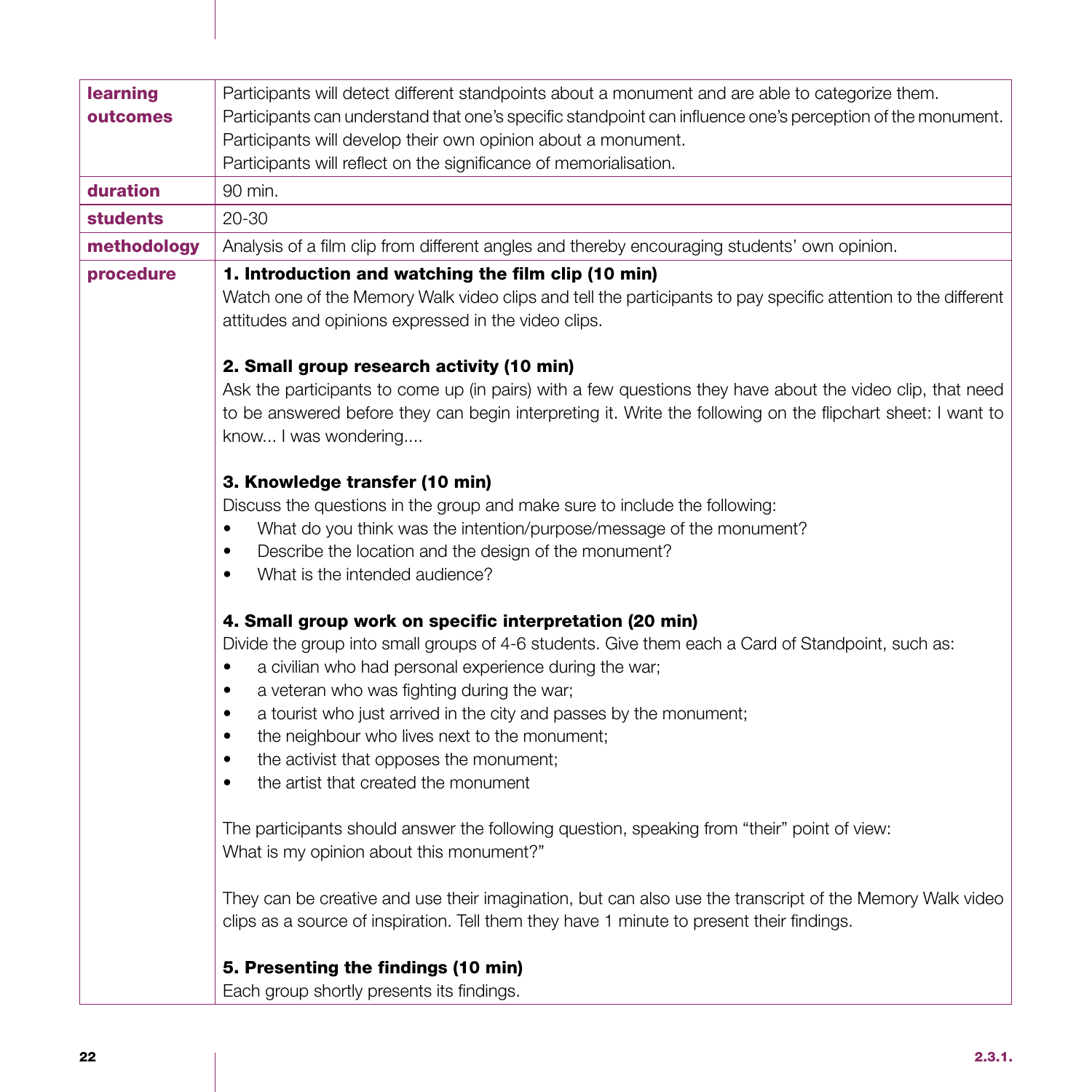| learning        | Participants will detect different standpoints about a monument and are able to categorize them.                                                                                                                                                 |
|-----------------|--------------------------------------------------------------------------------------------------------------------------------------------------------------------------------------------------------------------------------------------------|
| outcomes        | Participants can understand that one's specific standpoint can influence one's perception of the monument.                                                                                                                                       |
|                 | Participants will develop their own opinion about a monument.                                                                                                                                                                                    |
|                 | Participants will reflect on the significance of memorialisation.                                                                                                                                                                                |
| duration        | 90 min.                                                                                                                                                                                                                                          |
| <b>students</b> | $20 - 30$                                                                                                                                                                                                                                        |
| methodology     | Analysis of a film clip from different angles and thereby encouraging students' own opinion.                                                                                                                                                     |
| procedure       | 1. Introduction and watching the film clip (10 min)                                                                                                                                                                                              |
|                 | Watch one of the Memory Walk video clips and tell the participants to pay specific attention to the different<br>attitudes and opinions expressed in the video clips.                                                                            |
|                 | 2. Small group research activity (10 min)                                                                                                                                                                                                        |
|                 | Ask the participants to come up (in pairs) with a few questions they have about the video clip, that need<br>to be answered before they can begin interpreting it. Write the following on the flipchart sheet: I want to<br>know I was wondering |
|                 | 3. Knowledge transfer (10 min)                                                                                                                                                                                                                   |
|                 | Discuss the questions in the group and make sure to include the following:                                                                                                                                                                       |
|                 | What do you think was the intention/purpose/message of the monument?<br>$\bullet$                                                                                                                                                                |
|                 | Describe the location and the design of the monument?<br>$\bullet$                                                                                                                                                                               |
|                 | What is the intended audience?<br>$\bullet$                                                                                                                                                                                                      |
|                 | 4. Small group work on specific interpretation (20 min)                                                                                                                                                                                          |
|                 | Divide the group into small groups of 4-6 students. Give them each a Card of Standpoint, such as:                                                                                                                                                |
|                 | a civilian who had personal experience during the war;<br>٠                                                                                                                                                                                      |
|                 | a veteran who was fighting during the war;<br>$\bullet$                                                                                                                                                                                          |
|                 | a tourist who just arrived in the city and passes by the monument;<br>$\bullet$                                                                                                                                                                  |
|                 | the neighbour who lives next to the monument;<br>$\bullet$                                                                                                                                                                                       |
|                 | the activist that opposes the monument;<br>$\bullet$                                                                                                                                                                                             |
|                 | the artist that created the monument<br>$\bullet$                                                                                                                                                                                                |
|                 | The participants should answer the following question, speaking from "their" point of view:<br>What is my opinion about this monument?"                                                                                                          |
|                 | They can be creative and use their imagination, but can also use the transcript of the Memory Walk video<br>clips as a source of inspiration. Tell them they have 1 minute to present their findings.                                            |
|                 | 5. Presenting the findings (10 min)                                                                                                                                                                                                              |
|                 | Each group shortly presents its findings.                                                                                                                                                                                                        |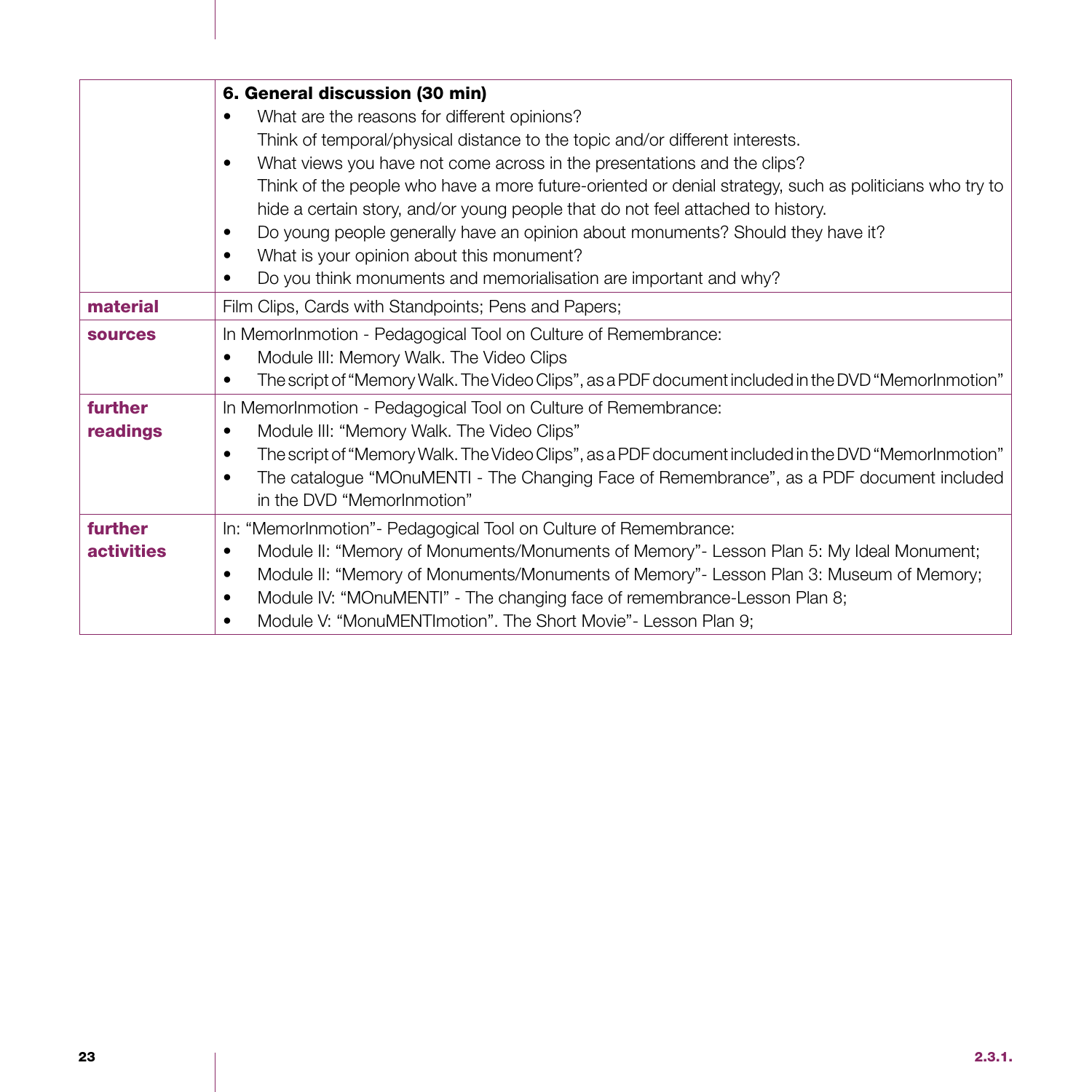|                   | 6. General discussion (30 min)                                                                                   |
|-------------------|------------------------------------------------------------------------------------------------------------------|
|                   | What are the reasons for different opinions?                                                                     |
|                   | Think of temporal/physical distance to the topic and/or different interests.                                     |
|                   | What views you have not come across in the presentations and the clips?<br>٠                                     |
|                   | Think of the people who have a more future-oriented or denial strategy, such as politicians who try to           |
|                   | hide a certain story, and/or young people that do not feel attached to history.                                  |
|                   | Do young people generally have an opinion about monuments? Should they have it?<br>$\bullet$                     |
|                   | What is your opinion about this monument?<br>$\bullet$                                                           |
|                   | Do you think monuments and memorialisation are important and why?                                                |
| material          | Film Clips, Cards with Standpoints; Pens and Papers;                                                             |
| <b>sources</b>    | In MemorInmotion - Pedagogical Tool on Culture of Remembrance:                                                   |
|                   | Module III: Memory Walk. The Video Clips<br>٠                                                                    |
|                   | The script of "Memory Walk. The Video Clips", as a PDF document included in the DVD "MemorInmotion"<br>$\bullet$ |
| further           | In MemorInmotion - Pedagogical Tool on Culture of Remembrance:                                                   |
| readings          | Module III: "Memory Walk. The Video Clips"<br>٠                                                                  |
|                   | The script of "Memory Walk. The Video Clips", as a PDF document included in the DVD "MemorInmotion"<br>$\bullet$ |
|                   | The catalogue "MOnuMENTI - The Changing Face of Remembrance", as a PDF document included<br>$\bullet$            |
|                   | in the DVD "MemorInmotion"                                                                                       |
| further           | In: "MemorInmotion"- Pedagogical Tool on Culture of Remembrance:                                                 |
| <b>activities</b> | Module II: "Memory of Monuments/Monuments of Memory"- Lesson Plan 5: My Ideal Monument;<br>$\bullet$             |
|                   | Module II: "Memory of Monuments/Monuments of Memory"- Lesson Plan 3: Museum of Memory;<br>$\bullet$              |
|                   | Module IV: "MOnuMENTI" - The changing face of remembrance-Lesson Plan 8;                                         |
|                   | Module V: "MonuMENTImotion". The Short Movie" - Lesson Plan 9;                                                   |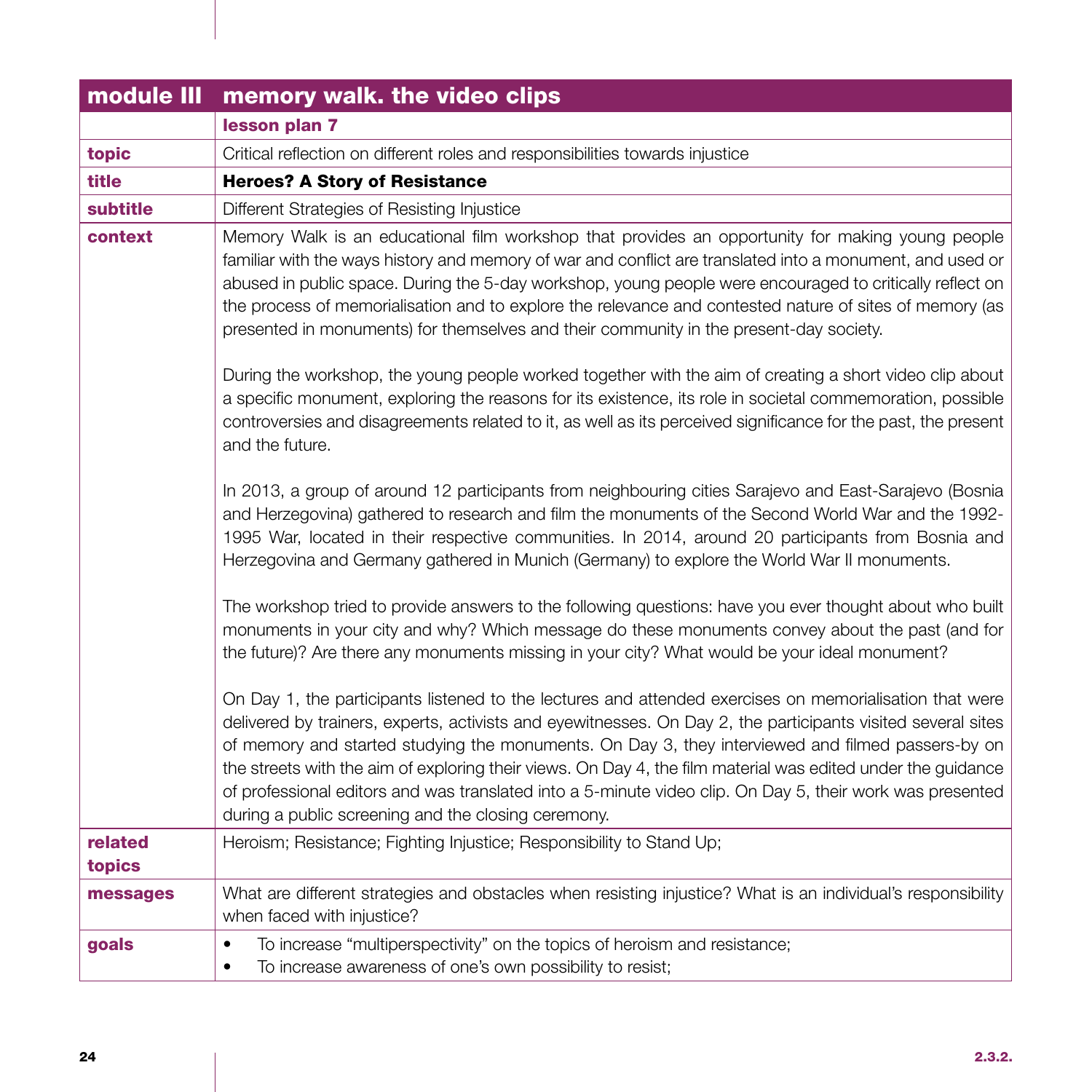|                   | module III memory walk. the video clips                                                                                                                                                                                                                                                                                                                                                                                                                                                                                                                                                                          |
|-------------------|------------------------------------------------------------------------------------------------------------------------------------------------------------------------------------------------------------------------------------------------------------------------------------------------------------------------------------------------------------------------------------------------------------------------------------------------------------------------------------------------------------------------------------------------------------------------------------------------------------------|
|                   | lesson plan 7                                                                                                                                                                                                                                                                                                                                                                                                                                                                                                                                                                                                    |
| topic             | Critical reflection on different roles and responsibilities towards injustice                                                                                                                                                                                                                                                                                                                                                                                                                                                                                                                                    |
| title             | <b>Heroes? A Story of Resistance</b>                                                                                                                                                                                                                                                                                                                                                                                                                                                                                                                                                                             |
| subtitle          | Different Strategies of Resisting Injustice                                                                                                                                                                                                                                                                                                                                                                                                                                                                                                                                                                      |
| context           | Memory Walk is an educational film workshop that provides an opportunity for making young people<br>familiar with the ways history and memory of war and conflict are translated into a monument, and used or<br>abused in public space. During the 5-day workshop, young people were encouraged to critically reflect on<br>the process of memorialisation and to explore the relevance and contested nature of sites of memory (as<br>presented in monuments) for themselves and their community in the present-day society.                                                                                   |
|                   | During the workshop, the young people worked together with the aim of creating a short video clip about<br>a specific monument, exploring the reasons for its existence, its role in societal commemoration, possible<br>controversies and disagreements related to it, as well as its perceived significance for the past, the present<br>and the future.                                                                                                                                                                                                                                                       |
|                   | In 2013, a group of around 12 participants from neighbouring cities Sarajevo and East-Sarajevo (Bosnia<br>and Herzegovina) gathered to research and film the monuments of the Second World War and the 1992-<br>1995 War, located in their respective communities. In 2014, around 20 participants from Bosnia and<br>Herzegovina and Germany gathered in Munich (Germany) to explore the World War II monuments.                                                                                                                                                                                                |
|                   | The workshop tried to provide answers to the following questions: have you ever thought about who built<br>monuments in your city and why? Which message do these monuments convey about the past (and for<br>the future)? Are there any monuments missing in your city? What would be your ideal monument?                                                                                                                                                                                                                                                                                                      |
|                   | On Day 1, the participants listened to the lectures and attended exercises on memorialisation that were<br>delivered by trainers, experts, activists and eyewitnesses. On Day 2, the participants visited several sites<br>of memory and started studying the monuments. On Day 3, they interviewed and filmed passers-by on<br>the streets with the aim of exploring their views. On Day 4, the film material was edited under the guidance<br>of professional editors and was translated into a 5-minute video clip. On Day 5, their work was presented<br>during a public screening and the closing ceremony. |
| related<br>topics | Heroism; Resistance; Fighting Injustice; Responsibility to Stand Up;                                                                                                                                                                                                                                                                                                                                                                                                                                                                                                                                             |
| messages          | What are different strategies and obstacles when resisting injustice? What is an individual's responsibility<br>when faced with injustice?                                                                                                                                                                                                                                                                                                                                                                                                                                                                       |
| goals             | To increase "multiperspectivity" on the topics of heroism and resistance;<br>$\bullet$<br>To increase awareness of one's own possibility to resist;<br>$\bullet$                                                                                                                                                                                                                                                                                                                                                                                                                                                 |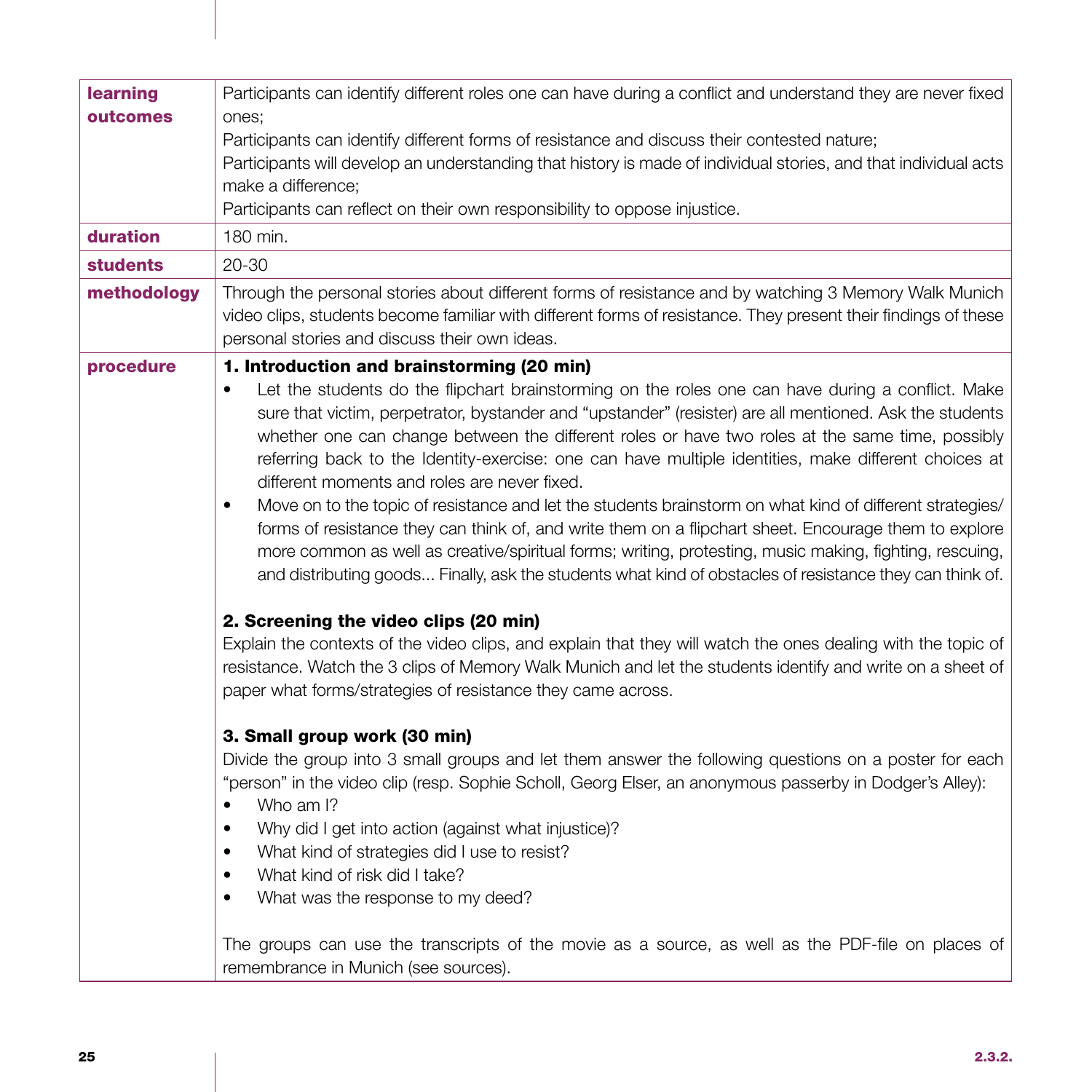| learning<br>outcomes<br>duration<br><b>students</b> | Participants can identify different roles one can have during a conflict and understand they are never fixed<br>ones;<br>Participants can identify different forms of resistance and discuss their contested nature;<br>Participants will develop an understanding that history is made of individual stories, and that individual acts<br>make a difference;<br>Participants can reflect on their own responsibility to oppose injustice.<br>180 min.<br>$20 - 30$                                                                                                                                                                                                                                                                                                                                                                                                                                                                                                                                                                                                                                                                                                                                                                                                                                                                                                                                                                                                                                                                                                                                                                                                                                                                                                                                                                                                                                                                                                             |
|-----------------------------------------------------|---------------------------------------------------------------------------------------------------------------------------------------------------------------------------------------------------------------------------------------------------------------------------------------------------------------------------------------------------------------------------------------------------------------------------------------------------------------------------------------------------------------------------------------------------------------------------------------------------------------------------------------------------------------------------------------------------------------------------------------------------------------------------------------------------------------------------------------------------------------------------------------------------------------------------------------------------------------------------------------------------------------------------------------------------------------------------------------------------------------------------------------------------------------------------------------------------------------------------------------------------------------------------------------------------------------------------------------------------------------------------------------------------------------------------------------------------------------------------------------------------------------------------------------------------------------------------------------------------------------------------------------------------------------------------------------------------------------------------------------------------------------------------------------------------------------------------------------------------------------------------------------------------------------------------------------------------------------------------------|
| methodology                                         | Through the personal stories about different forms of resistance and by watching 3 Memory Walk Munich<br>video clips, students become familiar with different forms of resistance. They present their findings of these<br>personal stories and discuss their own ideas.                                                                                                                                                                                                                                                                                                                                                                                                                                                                                                                                                                                                                                                                                                                                                                                                                                                                                                                                                                                                                                                                                                                                                                                                                                                                                                                                                                                                                                                                                                                                                                                                                                                                                                        |
| procedure                                           | 1. Introduction and brainstorming (20 min)<br>Let the students do the flipchart brainstorming on the roles one can have during a conflict. Make<br>sure that victim, perpetrator, bystander and "upstander" (resister) are all mentioned. Ask the students<br>whether one can change between the different roles or have two roles at the same time, possibly<br>referring back to the Identity-exercise: one can have multiple identities, make different choices at<br>different moments and roles are never fixed.<br>Move on to the topic of resistance and let the students brainstorm on what kind of different strategies/<br>$\bullet$<br>forms of resistance they can think of, and write them on a flipchart sheet. Encourage them to explore<br>more common as well as creative/spiritual forms; writing, protesting, music making, fighting, rescuing,<br>and distributing goods Finally, ask the students what kind of obstacles of resistance they can think of.<br>2. Screening the video clips (20 min)<br>Explain the contexts of the video clips, and explain that they will watch the ones dealing with the topic of<br>resistance. Watch the 3 clips of Memory Walk Munich and let the students identify and write on a sheet of<br>paper what forms/strategies of resistance they came across.<br>3. Small group work (30 min)<br>Divide the group into 3 small groups and let them answer the following questions on a poster for each<br>"person" in the video clip (resp. Sophie Scholl, Georg Elser, an anonymous passerby in Dodger's Alley):<br>Who am I?<br>$\bullet$<br>Why did I get into action (against what injustice)?<br>$\bullet$<br>What kind of strategies did I use to resist?<br>$\bullet$<br>What kind of risk did I take?<br>$\bullet$<br>What was the response to my deed?<br>$\bullet$<br>The groups can use the transcripts of the movie as a source, as well as the PDF-file on places of<br>remembrance in Munich (see sources). |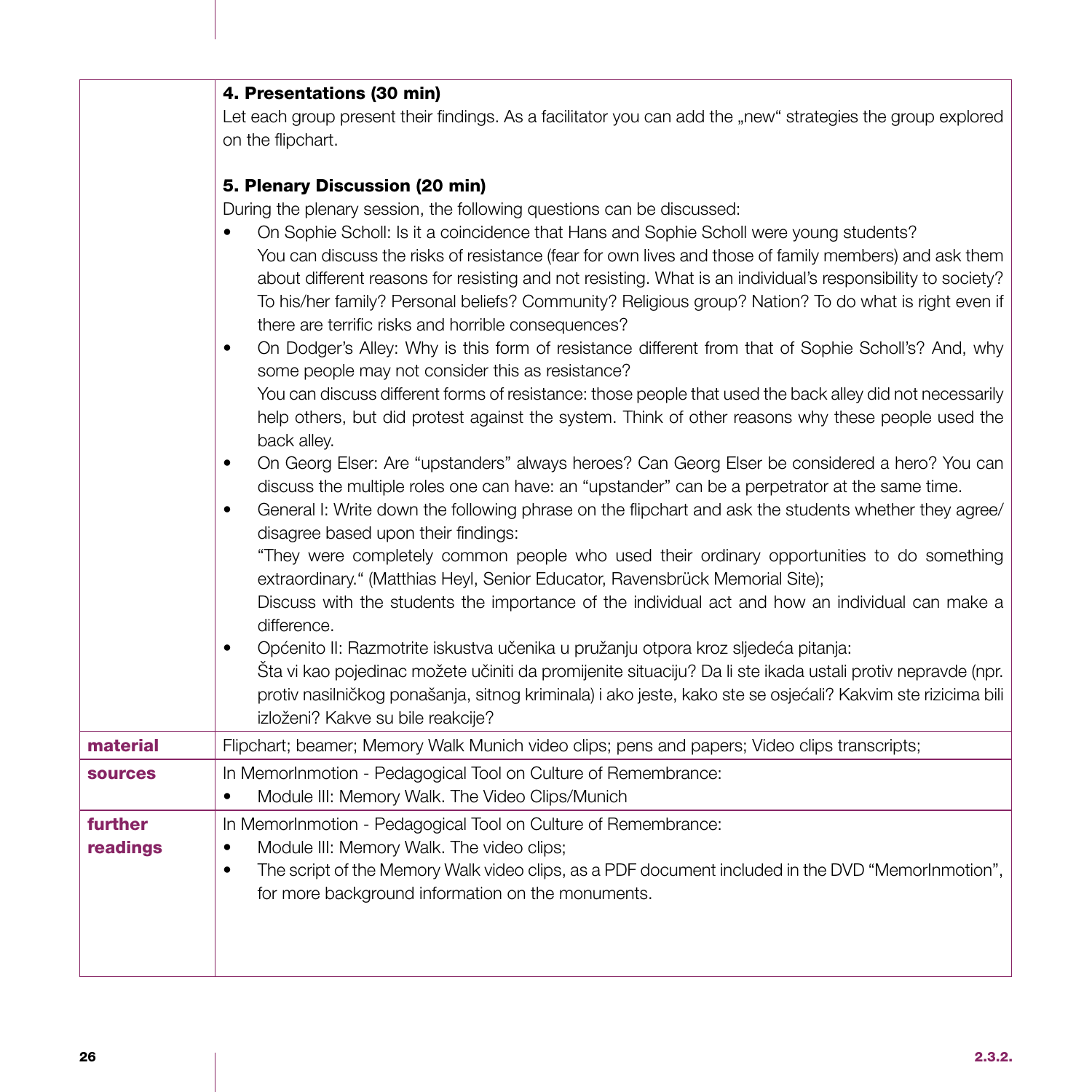|                | 4. Presentations (30 min)                                                                                                                                                                                                 |
|----------------|---------------------------------------------------------------------------------------------------------------------------------------------------------------------------------------------------------------------------|
|                | Let each group present their findings. As a facilitator you can add the "new" strategies the group explored                                                                                                               |
|                | on the flipchart.                                                                                                                                                                                                         |
|                |                                                                                                                                                                                                                           |
|                | 5. Plenary Discussion (20 min)                                                                                                                                                                                            |
|                | During the plenary session, the following questions can be discussed:                                                                                                                                                     |
|                | On Sophie Scholl: Is it a coincidence that Hans and Sophie Scholl were young students?                                                                                                                                    |
|                | You can discuss the risks of resistance (fear for own lives and those of family members) and ask them<br>about different reasons for resisting and not resisting. What is an individual's responsibility to society?      |
|                | To his/her family? Personal beliefs? Community? Religious group? Nation? To do what is right even if                                                                                                                      |
|                | there are terrific risks and horrible consequences?                                                                                                                                                                       |
|                | On Dodger's Alley: Why is this form of resistance different from that of Sophie Scholl's? And, why<br>$\bullet$                                                                                                           |
|                | some people may not consider this as resistance?                                                                                                                                                                          |
|                | You can discuss different forms of resistance: those people that used the back alley did not necessarily                                                                                                                  |
|                | help others, but did protest against the system. Think of other reasons why these people used the                                                                                                                         |
|                | back alley.                                                                                                                                                                                                               |
|                | On Georg Elser: Are "upstanders" always heroes? Can Georg Elser be considered a hero? You can<br>$\bullet$                                                                                                                |
|                | discuss the multiple roles one can have: an "upstander" can be a perpetrator at the same time.                                                                                                                            |
|                | General I: Write down the following phrase on the flipchart and ask the students whether they agree/<br>$\bullet$<br>disagree based upon their findings:                                                                  |
|                | "They were completely common people who used their ordinary opportunities to do something                                                                                                                                 |
|                | extraordinary." (Matthias Heyl, Senior Educator, Ravensbrück Memorial Site);                                                                                                                                              |
|                | Discuss with the students the importance of the individual act and how an individual can make a                                                                                                                           |
|                | difference.                                                                                                                                                                                                               |
|                | Općenito II: Razmotrite iskustva učenika u pružanju otpora kroz sljedeća pitanja:<br>$\bullet$                                                                                                                            |
|                | Šta vi kao pojedinac možete učiniti da promijenite situaciju? Da li ste ikada ustali protiv nepravde (npr.<br>protiv nasilničkog ponašanja, sitnog kriminala) i ako jeste, kako ste se osjećali? Kakvim ste rizicima bili |
|                | izloženi? Kakve su bile reakcije?                                                                                                                                                                                         |
| material       | Flipchart; beamer; Memory Walk Munich video clips; pens and papers; Video clips transcripts;                                                                                                                              |
| <b>sources</b> | In MemorInmotion - Pedagogical Tool on Culture of Remembrance:                                                                                                                                                            |
|                | Module III: Memory Walk. The Video Clips/Munich<br>٠                                                                                                                                                                      |
| further        | In MemorInmotion - Pedagogical Tool on Culture of Remembrance:                                                                                                                                                            |
| readings       | Module III: Memory Walk. The video clips;<br>$\bullet$                                                                                                                                                                    |
|                | The script of the Memory Walk video clips, as a PDF document included in the DVD "MemorInmotion",<br>$\bullet$                                                                                                            |
|                | for more background information on the monuments.                                                                                                                                                                         |
|                |                                                                                                                                                                                                                           |
|                |                                                                                                                                                                                                                           |
|                |                                                                                                                                                                                                                           |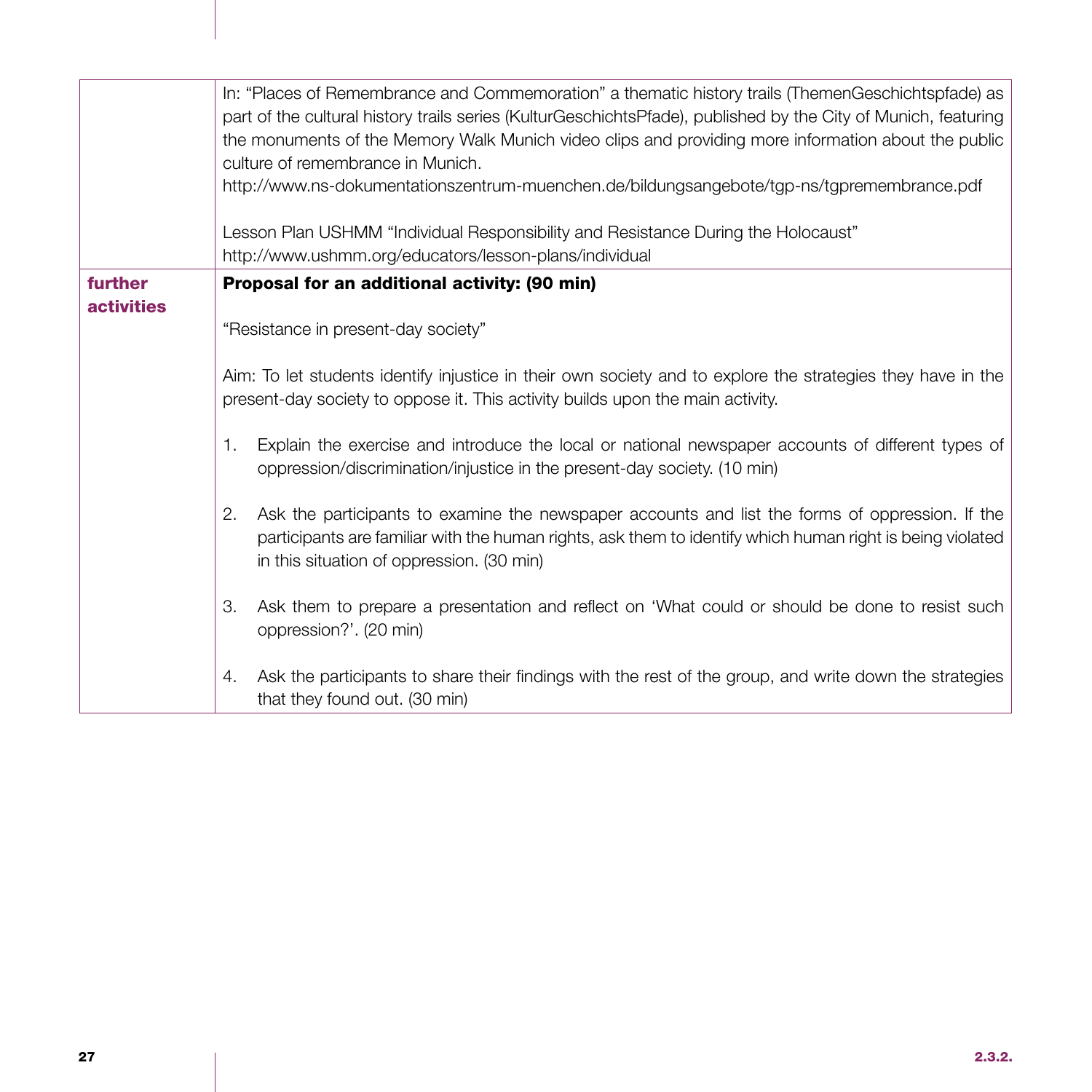|                              | In: "Places of Remembrance and Commemoration" a thematic history trails (ThemenGeschichtspfade) as<br>part of the cultural history trails series (KulturGeschichtsPfade), published by the City of Munich, featuring<br>the monuments of the Memory Walk Munich video clips and providing more information about the public<br>culture of remembrance in Munich.<br>http://www.ns-dokumentationszentrum-muenchen.de/bildungsangebote/tgp-ns/tgpremembrance.pdf<br>Lesson Plan USHMM "Individual Responsibility and Resistance During the Holocaust"<br>http://www.ushmm.org/educators/lesson-plans/individual                                                                                                                                   |
|------------------------------|-------------------------------------------------------------------------------------------------------------------------------------------------------------------------------------------------------------------------------------------------------------------------------------------------------------------------------------------------------------------------------------------------------------------------------------------------------------------------------------------------------------------------------------------------------------------------------------------------------------------------------------------------------------------------------------------------------------------------------------------------|
| further<br><b>activities</b> | Proposal for an additional activity: (90 min)<br>"Resistance in present-day society"<br>Aim: To let students identify injustice in their own society and to explore the strategies they have in the<br>present-day society to oppose it. This activity builds upon the main activity.<br>Explain the exercise and introduce the local or national newspaper accounts of different types of<br>1.<br>oppression/discrimination/injustice in the present-day society. (10 min)<br>Ask the participants to examine the newspaper accounts and list the forms of oppression. If the<br>2.<br>participants are familiar with the human rights, ask them to identify which human right is being violated<br>in this situation of oppression. (30 min) |
|                              | Ask them to prepare a presentation and reflect on 'What could or should be done to resist such<br>З.<br>oppression?'. (20 min)<br>Ask the participants to share their findings with the rest of the group, and write down the strategies<br>4.<br>that they found out. (30 min)                                                                                                                                                                                                                                                                                                                                                                                                                                                                 |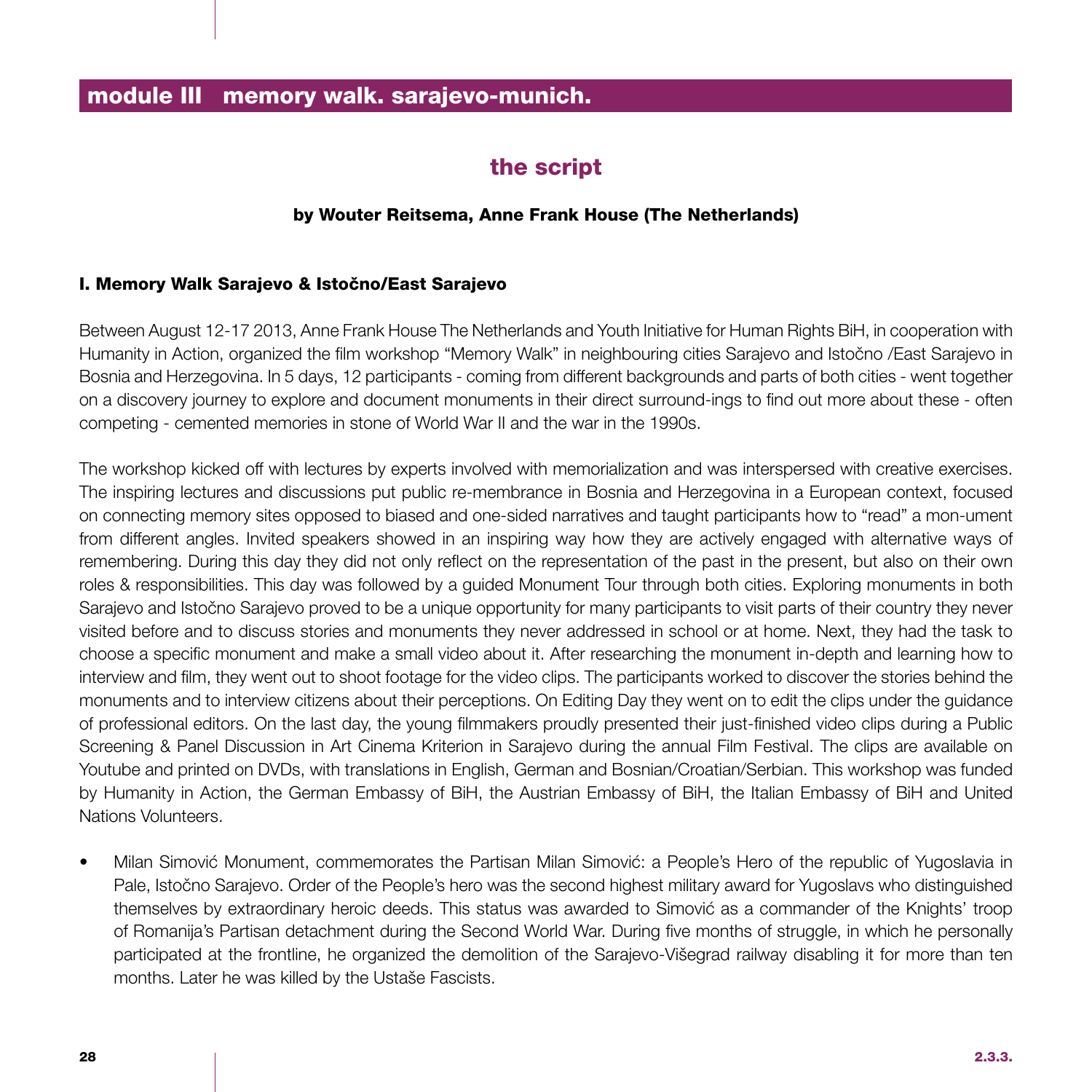# the script

### by Wouter Reitsema, Anne Frank House (The Netherlands)

### I. Memory Walk Sarajevo & Istočno/East Sarajevo

Between August 12-17 2013, Anne Frank House The Netherlands and Youth Initiative for Human Rights BiH, in cooperation with Humanity in Action, organized the film workshop "Memory Walk" in neighbouring cities Sarajevo and Istočno /East Sarajevo in Bosnia and Herzegovina. In 5 days, 12 participants - coming from different backgrounds and parts of both cities - went together on a discovery journey to explore and document monuments in their direct surround-ings to find out more about these - often competing - cemented memories in stone of World War II and the war in the 1990s.

The workshop kicked off with lectures by experts involved with memorialization and was interspersed with creative exercises. The inspiring lectures and discussions put public re-membrance in Bosnia and Herzegovina in a European context, focused on connecting memory sites opposed to biased and one-sided narratives and taught participants how to "read" a mon-ument from different angles. Invited speakers showed in an inspiring way how they are actively engaged with alternative ways of remembering. During this day they did not only reflect on the representation of the past in the present, but also on their own roles & responsibilities. This day was followed by a guided Monument Tour through both cities. Exploring monuments in both Sarajevo and Istočno Sarajevo proved to be a unique opportunity for many participants to visit parts of their country they never visited before and to discuss stories and monuments they never addressed in school or at home. Next, they had the task to choose a specific monument and make a small video about it. After researching the monument in-depth and learning how to interview and film, they went out to shoot footage for the video clips. The participants worked to discover the stories behind the monuments and to interview citizens about their perceptions. On Editing Day they went on to edit the clips under the guidance of professional editors. On the last day, the young filmmakers proudly presented their just-finished video clips during a Public Screening & Panel Discussion in Art Cinema Kriterion in Sarajevo during the annual Film Festival. The clips are available on Youtube and printed on DVDs, with translations in English, German and Bosnian/Croatian/Serbian. This workshop was funded by Humanity in Action, the German Embassy of BiH, the Austrian Embassy of BiH, the Italian Embassy of BiH and United Nations Volunteers.

• Milan Simović Monument, commemorates the Partisan Milan Simović: a People's Hero of the republic of Yugoslavia in Pale, Istočno Sarajevo. Order of the People's hero was the second highest military award for Yugoslavs who distinguished themselves by extraordinary heroic deeds. This status was awarded to Simović as a commander of the Knights' troop of Romanija's Partisan detachment during the Second World War. During five months of struggle, in which he personally participated at the frontline, he organized the demolition of the Sarajevo-Višegrad railway disabling it for more than ten months. Later he was killed by the Ustaše Fascists.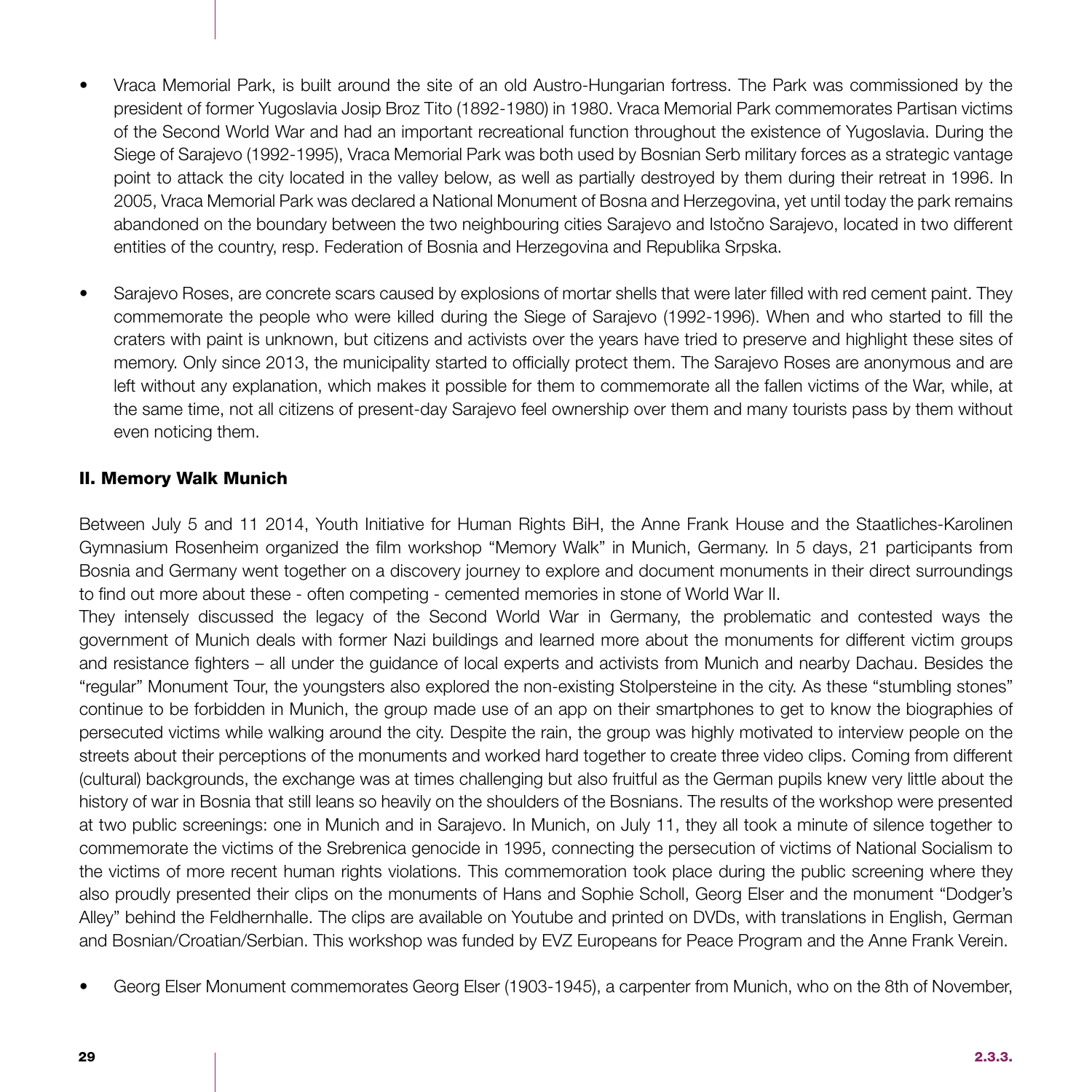- Vraca Memorial Park, is built around the site of an old Austro-Hungarian fortress. The Park was commissioned by the president of former Yugoslavia Josip Broz Tito (1892-1980) in 1980. Vraca Memorial Park commemorates Partisan victims of the Second World War and had an important recreational function throughout the existence of Yugoslavia. During the Siege of Sarajevo (1992-1995), Vraca Memorial Park was both used by Bosnian Serb military forces as a strategic vantage point to attack the city located in the valley below, as well as partially destroyed by them during their retreat in 1996. In 2005, Vraca Memorial Park was declared a National Monument of Bosna and Herzegovina, yet until today the park remains abandoned on the boundary between the two neighbouring cities Sarajevo and Istočno Sarajevo, located in two different entities of the country, resp. Federation of Bosnia and Herzegovina and Republika Srpska.
- Sarajevo Roses, are concrete scars caused by explosions of mortar shells that were later filled with red cement paint. They commemorate the people who were killed during the Siege of Sarajevo (1992-1996). When and who started to fill the craters with paint is unknown, but citizens and activists over the years have tried to preserve and highlight these sites of memory. Only since 2013, the municipality started to officially protect them. The Sarajevo Roses are anonymous and are left without any explanation, which makes it possible for them to commemorate all the fallen victims of the War, while, at the same time, not all citizens of present-day Sarajevo feel ownership over them and many tourists pass by them without even noticing them.

### II. Memory Walk Munich

Between July 5 and 11 2014, Youth Initiative for Human Rights BiH, the Anne Frank House and the Staatliches-Karolinen Gymnasium Rosenheim organized the film workshop "Memory Walk" in Munich, Germany. In 5 days, 21 participants from Bosnia and Germany went together on a discovery journey to explore and document monuments in their direct surroundings to find out more about these - often competing - cemented memories in stone of World War II.

They intensely discussed the legacy of the Second World War in Germany, the problematic and contested ways the government of Munich deals with former Nazi buildings and learned more about the monuments for different victim groups and resistance fighters – all under the guidance of local experts and activists from Munich and nearby Dachau. Besides the "regular" Monument Tour, the youngsters also explored the non-existing Stolpersteine in the city. As these "stumbling stones" continue to be forbidden in Munich, the group made use of an app on their smartphones to get to know the biographies of persecuted victims while walking around the city. Despite the rain, the group was highly motivated to interview people on the streets about their perceptions of the monuments and worked hard together to create three video clips. Coming from different (cultural) backgrounds, the exchange was at times challenging but also fruitful as the German pupils knew very little about the history of war in Bosnia that still leans so heavily on the shoulders of the Bosnians. The results of the workshop were presented at two public screenings: one in Munich and in Sarajevo. In Munich, on July 11, they all took a minute of silence together to commemorate the victims of the Srebrenica genocide in 1995, connecting the persecution of victims of National Socialism to the victims of more recent human rights violations. This commemoration took place during the public screening where they also proudly presented their clips on the monuments of Hans and Sophie Scholl, Georg Elser and the monument "Dodger's Alley" behind the Feldhernhalle. The clips are available on Youtube and printed on DVDs, with translations in English, German and Bosnian/Croatian/Serbian. This workshop was funded by EVZ Europeans for Peace Program and the Anne Frank Verein.

• Georg Elser Monument commemorates Georg Elser (1903-1945), a carpenter from Munich, who on the 8th of November,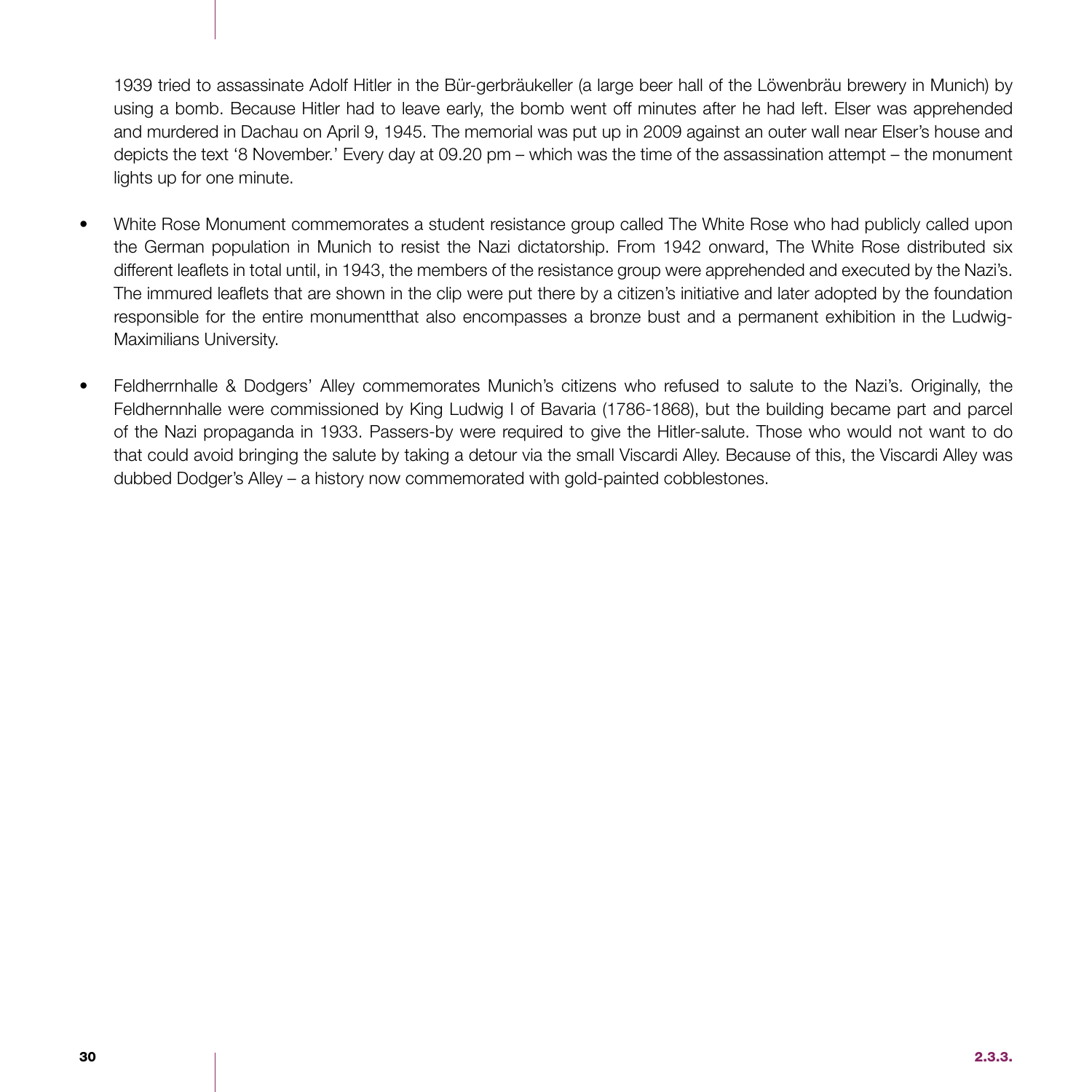1939 tried to assassinate Adolf Hitler in the Bür-gerbräukeller (a large beer hall of the Löwenbräu brewery in Munich) by using a bomb. Because Hitler had to leave early, the bomb went off minutes after he had left. Elser was apprehended and murdered in Dachau on April 9, 1945. The memorial was put up in 2009 against an outer wall near Elser's house and depicts the text '8 November.' Every day at 09.20 pm – which was the time of the assassination attempt – the monument lights up for one minute.

- White Rose Monument commemorates a student resistance group called The White Rose who had publicly called upon the German population in Munich to resist the Nazi dictatorship. From 1942 onward, The White Rose distributed six different leaflets in total until, in 1943, the members of the resistance group were apprehended and executed by the Nazi's. The immured leaflets that are shown in the clip were put there by a citizen's initiative and later adopted by the foundation responsible for the entire monumentthat also encompasses a bronze bust and a permanent exhibition in the Ludwig-Maximilians University.
- Feldherrnhalle & Dodgers' Alley commemorates Munich's citizens who refused to salute to the Nazi's. Originally, the Feldhernnhalle were commissioned by King Ludwig I of Bavaria (1786-1868), but the building became part and parcel of the Nazi propaganda in 1933. Passers-by were required to give the Hitler-salute. Those who would not want to do that could avoid bringing the salute by taking a detour via the small Viscardi Alley. Because of this, the Viscardi Alley was dubbed Dodger's Alley – a history now commemorated with gold-painted cobblestones.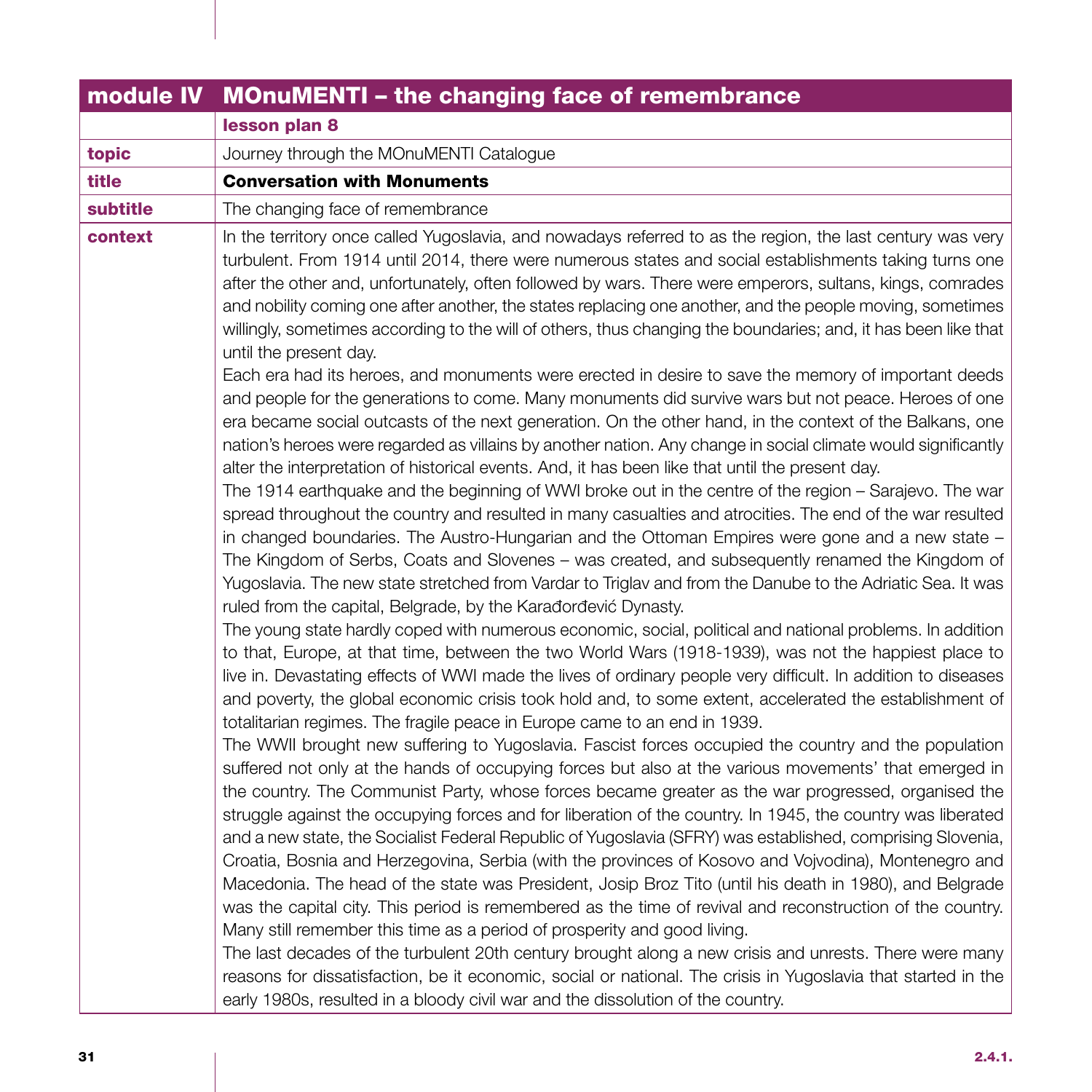| module IV | <b>MOnuMENTI - the changing face of remembrance</b>                                                                                                                                                                                                                                                                                                                                                                                                                                                                                                                                                                                                                                                                                                                                                                                                                                                                                                                                                                                                                                                                                                                                                                                                                                                                                                                                                                                                                                                                                                                                                                                                                                                                                                                                                                                                                                                                                                                                                                                                                                                                                                                                                                                                                                                                                                                                                                                                                                                                                                                                                                                                                                                                                                                                                                                                                                                                                                                                                                                                                                                                                                                                                                                                                                                                                                                                                                                                                              |
|-----------|----------------------------------------------------------------------------------------------------------------------------------------------------------------------------------------------------------------------------------------------------------------------------------------------------------------------------------------------------------------------------------------------------------------------------------------------------------------------------------------------------------------------------------------------------------------------------------------------------------------------------------------------------------------------------------------------------------------------------------------------------------------------------------------------------------------------------------------------------------------------------------------------------------------------------------------------------------------------------------------------------------------------------------------------------------------------------------------------------------------------------------------------------------------------------------------------------------------------------------------------------------------------------------------------------------------------------------------------------------------------------------------------------------------------------------------------------------------------------------------------------------------------------------------------------------------------------------------------------------------------------------------------------------------------------------------------------------------------------------------------------------------------------------------------------------------------------------------------------------------------------------------------------------------------------------------------------------------------------------------------------------------------------------------------------------------------------------------------------------------------------------------------------------------------------------------------------------------------------------------------------------------------------------------------------------------------------------------------------------------------------------------------------------------------------------------------------------------------------------------------------------------------------------------------------------------------------------------------------------------------------------------------------------------------------------------------------------------------------------------------------------------------------------------------------------------------------------------------------------------------------------------------------------------------------------------------------------------------------------------------------------------------------------------------------------------------------------------------------------------------------------------------------------------------------------------------------------------------------------------------------------------------------------------------------------------------------------------------------------------------------------------------------------------------------------------------------------------------------------|
|           | lesson plan 8                                                                                                                                                                                                                                                                                                                                                                                                                                                                                                                                                                                                                                                                                                                                                                                                                                                                                                                                                                                                                                                                                                                                                                                                                                                                                                                                                                                                                                                                                                                                                                                                                                                                                                                                                                                                                                                                                                                                                                                                                                                                                                                                                                                                                                                                                                                                                                                                                                                                                                                                                                                                                                                                                                                                                                                                                                                                                                                                                                                                                                                                                                                                                                                                                                                                                                                                                                                                                                                                    |
| topic     | Journey through the MOnuMENTI Catalogue                                                                                                                                                                                                                                                                                                                                                                                                                                                                                                                                                                                                                                                                                                                                                                                                                                                                                                                                                                                                                                                                                                                                                                                                                                                                                                                                                                                                                                                                                                                                                                                                                                                                                                                                                                                                                                                                                                                                                                                                                                                                                                                                                                                                                                                                                                                                                                                                                                                                                                                                                                                                                                                                                                                                                                                                                                                                                                                                                                                                                                                                                                                                                                                                                                                                                                                                                                                                                                          |
| title     | <b>Conversation with Monuments</b>                                                                                                                                                                                                                                                                                                                                                                                                                                                                                                                                                                                                                                                                                                                                                                                                                                                                                                                                                                                                                                                                                                                                                                                                                                                                                                                                                                                                                                                                                                                                                                                                                                                                                                                                                                                                                                                                                                                                                                                                                                                                                                                                                                                                                                                                                                                                                                                                                                                                                                                                                                                                                                                                                                                                                                                                                                                                                                                                                                                                                                                                                                                                                                                                                                                                                                                                                                                                                                               |
| subtitle  | The changing face of remembrance                                                                                                                                                                                                                                                                                                                                                                                                                                                                                                                                                                                                                                                                                                                                                                                                                                                                                                                                                                                                                                                                                                                                                                                                                                                                                                                                                                                                                                                                                                                                                                                                                                                                                                                                                                                                                                                                                                                                                                                                                                                                                                                                                                                                                                                                                                                                                                                                                                                                                                                                                                                                                                                                                                                                                                                                                                                                                                                                                                                                                                                                                                                                                                                                                                                                                                                                                                                                                                                 |
| context   | In the territory once called Yugoslavia, and nowadays referred to as the region, the last century was very<br>turbulent. From 1914 until 2014, there were numerous states and social establishments taking turns one<br>after the other and, unfortunately, often followed by wars. There were emperors, sultans, kings, comrades<br>and nobility coming one after another, the states replacing one another, and the people moving, sometimes<br>willingly, sometimes according to the will of others, thus changing the boundaries; and, it has been like that<br>until the present day.<br>Each era had its heroes, and monuments were erected in desire to save the memory of important deeds<br>and people for the generations to come. Many monuments did survive wars but not peace. Heroes of one<br>era became social outcasts of the next generation. On the other hand, in the context of the Balkans, one<br>nation's heroes were regarded as villains by another nation. Any change in social climate would significantly<br>alter the interpretation of historical events. And, it has been like that until the present day.<br>The 1914 earthquake and the beginning of WWI broke out in the centre of the region - Sarajevo. The war<br>spread throughout the country and resulted in many casualties and atrocities. The end of the war resulted<br>in changed boundaries. The Austro-Hungarian and the Ottoman Empires were gone and a new state -<br>The Kingdom of Serbs, Coats and Slovenes - was created, and subsequently renamed the Kingdom of<br>Yugoslavia. The new state stretched from Vardar to Triglav and from the Danube to the Adriatic Sea. It was<br>ruled from the capital, Belgrade, by the Karađorđević Dynasty.<br>The young state hardly coped with numerous economic, social, political and national problems. In addition<br>to that, Europe, at that time, between the two World Wars (1918-1939), was not the happiest place to<br>live in. Devastating effects of WWI made the lives of ordinary people very difficult. In addition to diseases<br>and poverty, the global economic crisis took hold and, to some extent, accelerated the establishment of<br>totalitarian regimes. The fragile peace in Europe came to an end in 1939.<br>The WWII brought new suffering to Yugoslavia. Fascist forces occupied the country and the population<br>suffered not only at the hands of occupying forces but also at the various movements' that emerged in<br>the country. The Communist Party, whose forces became greater as the war progressed, organised the<br>struggle against the occupying forces and for liberation of the country. In 1945, the country was liberated<br>and a new state, the Socialist Federal Republic of Yugoslavia (SFRY) was established, comprising Slovenia,<br>Croatia, Bosnia and Herzegovina, Serbia (with the provinces of Kosovo and Vojvodina), Montenegro and<br>Macedonia. The head of the state was President, Josip Broz Tito (until his death in 1980), and Belgrade<br>was the capital city. This period is remembered as the time of revival and reconstruction of the country.<br>Many still remember this time as a period of prosperity and good living.<br>The last decades of the turbulent 20th century brought along a new crisis and unrests. There were many<br>reasons for dissatisfaction, be it economic, social or national. The crisis in Yugoslavia that started in the |
|           | early 1980s, resulted in a bloody civil war and the dissolution of the country.                                                                                                                                                                                                                                                                                                                                                                                                                                                                                                                                                                                                                                                                                                                                                                                                                                                                                                                                                                                                                                                                                                                                                                                                                                                                                                                                                                                                                                                                                                                                                                                                                                                                                                                                                                                                                                                                                                                                                                                                                                                                                                                                                                                                                                                                                                                                                                                                                                                                                                                                                                                                                                                                                                                                                                                                                                                                                                                                                                                                                                                                                                                                                                                                                                                                                                                                                                                                  |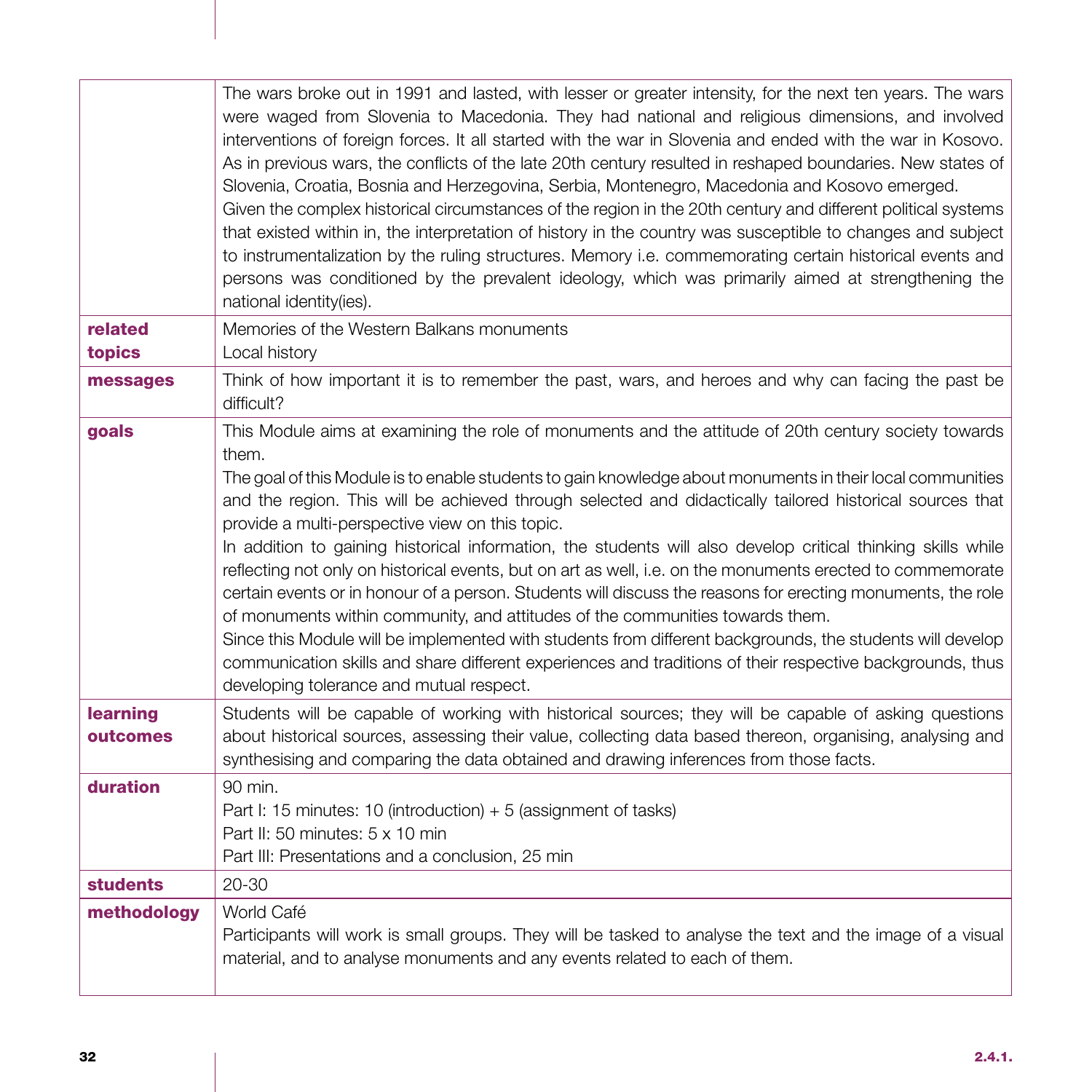|                      | The wars broke out in 1991 and lasted, with lesser or greater intensity, for the next ten years. The wars<br>were waged from Slovenia to Macedonia. They had national and religious dimensions, and involved<br>interventions of foreign forces. It all started with the war in Slovenia and ended with the war in Kosovo.<br>As in previous wars, the conflicts of the late 20th century resulted in reshaped boundaries. New states of<br>Slovenia, Croatia, Bosnia and Herzegovina, Serbia, Montenegro, Macedonia and Kosovo emerged.<br>Given the complex historical circumstances of the region in the 20th century and different political systems<br>that existed within in, the interpretation of history in the country was susceptible to changes and subject<br>to instrumentalization by the ruling structures. Memory i.e. commemorating certain historical events and<br>persons was conditioned by the prevalent ideology, which was primarily aimed at strengthening the<br>national identity(ies).                                                                            |
|----------------------|------------------------------------------------------------------------------------------------------------------------------------------------------------------------------------------------------------------------------------------------------------------------------------------------------------------------------------------------------------------------------------------------------------------------------------------------------------------------------------------------------------------------------------------------------------------------------------------------------------------------------------------------------------------------------------------------------------------------------------------------------------------------------------------------------------------------------------------------------------------------------------------------------------------------------------------------------------------------------------------------------------------------------------------------------------------------------------------------|
| related<br>topics    | Memories of the Western Balkans monuments<br>Local history                                                                                                                                                                                                                                                                                                                                                                                                                                                                                                                                                                                                                                                                                                                                                                                                                                                                                                                                                                                                                                     |
| messages             | Think of how important it is to remember the past, wars, and heroes and why can facing the past be<br>difficult?                                                                                                                                                                                                                                                                                                                                                                                                                                                                                                                                                                                                                                                                                                                                                                                                                                                                                                                                                                               |
| goals                | This Module aims at examining the role of monuments and the attitude of 20th century society towards<br>them.<br>The goal of this Module is to enable students to gain knowledge about monuments in their local communities<br>and the region. This will be achieved through selected and didactically tailored historical sources that<br>provide a multi-perspective view on this topic.<br>In addition to gaining historical information, the students will also develop critical thinking skills while<br>reflecting not only on historical events, but on art as well, i.e. on the monuments erected to commemorate<br>certain events or in honour of a person. Students will discuss the reasons for erecting monuments, the role<br>of monuments within community, and attitudes of the communities towards them.<br>Since this Module will be implemented with students from different backgrounds, the students will develop<br>communication skills and share different experiences and traditions of their respective backgrounds, thus<br>developing tolerance and mutual respect. |
| learning<br>outcomes | Students will be capable of working with historical sources; they will be capable of asking questions<br>about historical sources, assessing their value, collecting data based thereon, organising, analysing and<br>synthesising and comparing the data obtained and drawing inferences from those facts.                                                                                                                                                                                                                                                                                                                                                                                                                                                                                                                                                                                                                                                                                                                                                                                    |
| duration             | 90 min.<br>Part I: 15 minutes: 10 (introduction) $+ 5$ (assignment of tasks)<br>Part II: 50 minutes: 5 x 10 min<br>Part III: Presentations and a conclusion, 25 min                                                                                                                                                                                                                                                                                                                                                                                                                                                                                                                                                                                                                                                                                                                                                                                                                                                                                                                            |
| <b>students</b>      | 20-30                                                                                                                                                                                                                                                                                                                                                                                                                                                                                                                                                                                                                                                                                                                                                                                                                                                                                                                                                                                                                                                                                          |
| methodology          | World Café<br>Participants will work is small groups. They will be tasked to analyse the text and the image of a visual<br>material, and to analyse monuments and any events related to each of them.                                                                                                                                                                                                                                                                                                                                                                                                                                                                                                                                                                                                                                                                                                                                                                                                                                                                                          |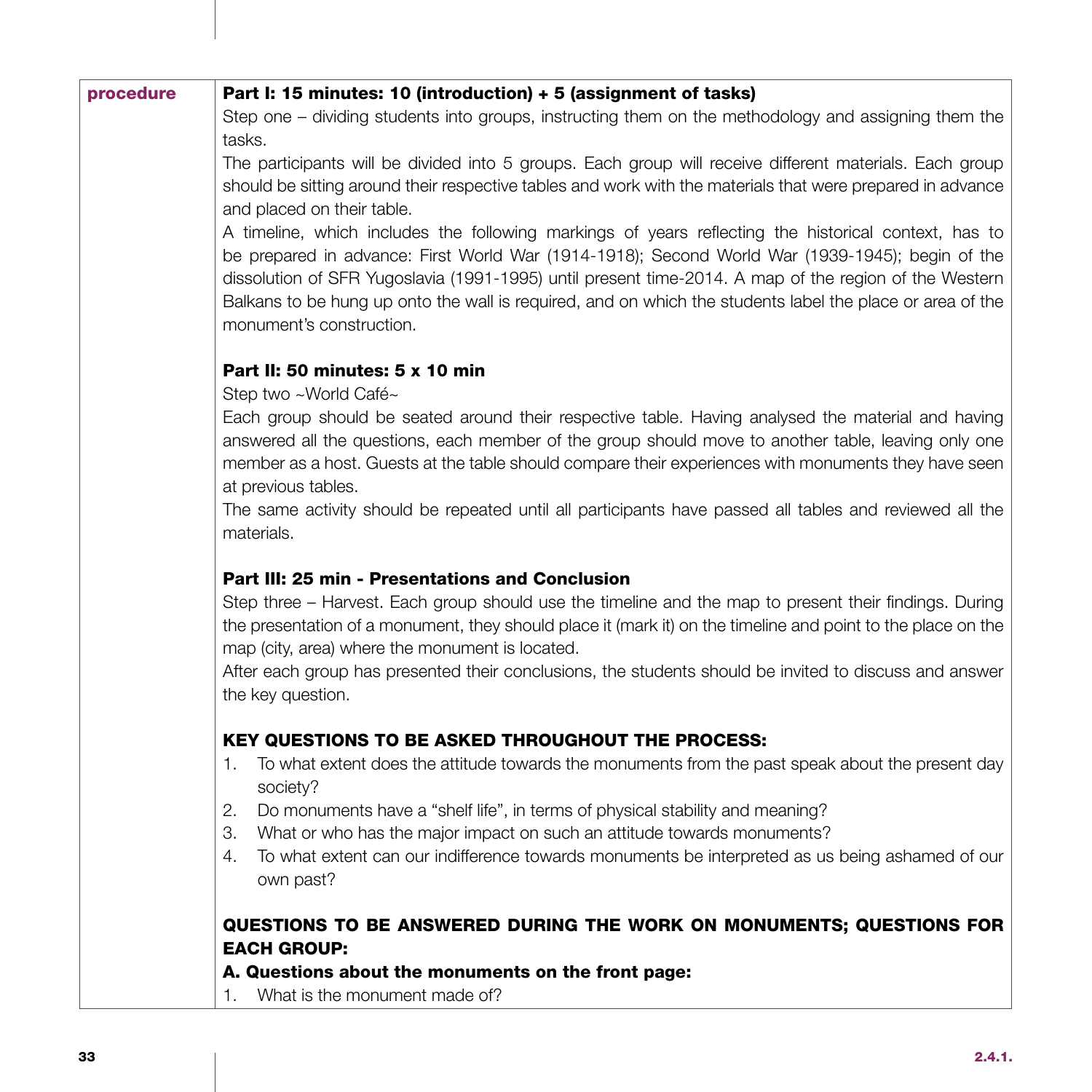| procedure | Part I: 15 minutes: 10 (introduction) + 5 (assignment of tasks)                                                                                                                                                                                                                                                                                                                                                                                                                            |
|-----------|--------------------------------------------------------------------------------------------------------------------------------------------------------------------------------------------------------------------------------------------------------------------------------------------------------------------------------------------------------------------------------------------------------------------------------------------------------------------------------------------|
|           | Step one - dividing students into groups, instructing them on the methodology and assigning them the                                                                                                                                                                                                                                                                                                                                                                                       |
|           | tasks.                                                                                                                                                                                                                                                                                                                                                                                                                                                                                     |
|           | The participants will be divided into 5 groups. Each group will receive different materials. Each group<br>should be sitting around their respective tables and work with the materials that were prepared in advance<br>and placed on their table.                                                                                                                                                                                                                                        |
|           | A timeline, which includes the following markings of years reflecting the historical context, has to<br>be prepared in advance: First World War (1914-1918); Second World War (1939-1945); begin of the<br>dissolution of SFR Yugoslavia (1991-1995) until present time-2014. A map of the region of the Western<br>Balkans to be hung up onto the wall is required, and on which the students label the place or area of the<br>monument's construction.                                  |
|           | Part II: 50 minutes: 5 x 10 min                                                                                                                                                                                                                                                                                                                                                                                                                                                            |
|           | Step two ~World Café~<br>Each group should be seated around their respective table. Having analysed the material and having<br>answered all the questions, each member of the group should move to another table, leaving only one<br>member as a host. Guests at the table should compare their experiences with monuments they have seen<br>at previous tables.<br>The same activity should be repeated until all participants have passed all tables and reviewed all the<br>materials. |
|           |                                                                                                                                                                                                                                                                                                                                                                                                                                                                                            |
|           | Part III: 25 min - Presentations and Conclusion                                                                                                                                                                                                                                                                                                                                                                                                                                            |
|           | Step three - Harvest. Each group should use the timeline and the map to present their findings. During<br>the presentation of a monument, they should place it (mark it) on the timeline and point to the place on the<br>map (city, area) where the monument is located.                                                                                                                                                                                                                  |
|           | After each group has presented their conclusions, the students should be invited to discuss and answer<br>the key question.                                                                                                                                                                                                                                                                                                                                                                |
|           | <b>KEY QUESTIONS TO BE ASKED THROUGHOUT THE PROCESS:</b>                                                                                                                                                                                                                                                                                                                                                                                                                                   |
|           | To what extent does the attitude towards the monuments from the past speak about the present day<br>1.<br>society?                                                                                                                                                                                                                                                                                                                                                                         |
|           | 2.<br>Do monuments have a "shelf life", in terms of physical stability and meaning?                                                                                                                                                                                                                                                                                                                                                                                                        |
|           | З.<br>What or who has the major impact on such an attitude towards monuments?                                                                                                                                                                                                                                                                                                                                                                                                              |
|           | To what extent can our indifference towards monuments be interpreted as us being ashamed of our<br>4.<br>own past?                                                                                                                                                                                                                                                                                                                                                                         |
|           | QUESTIONS TO BE ANSWERED DURING THE WORK ON MONUMENTS; QUESTIONS FOR                                                                                                                                                                                                                                                                                                                                                                                                                       |
|           | <b>EACH GROUP:</b>                                                                                                                                                                                                                                                                                                                                                                                                                                                                         |
|           | A. Questions about the monuments on the front page:                                                                                                                                                                                                                                                                                                                                                                                                                                        |
|           | What is the monument made of?<br>$\mathbf{1}$ .                                                                                                                                                                                                                                                                                                                                                                                                                                            |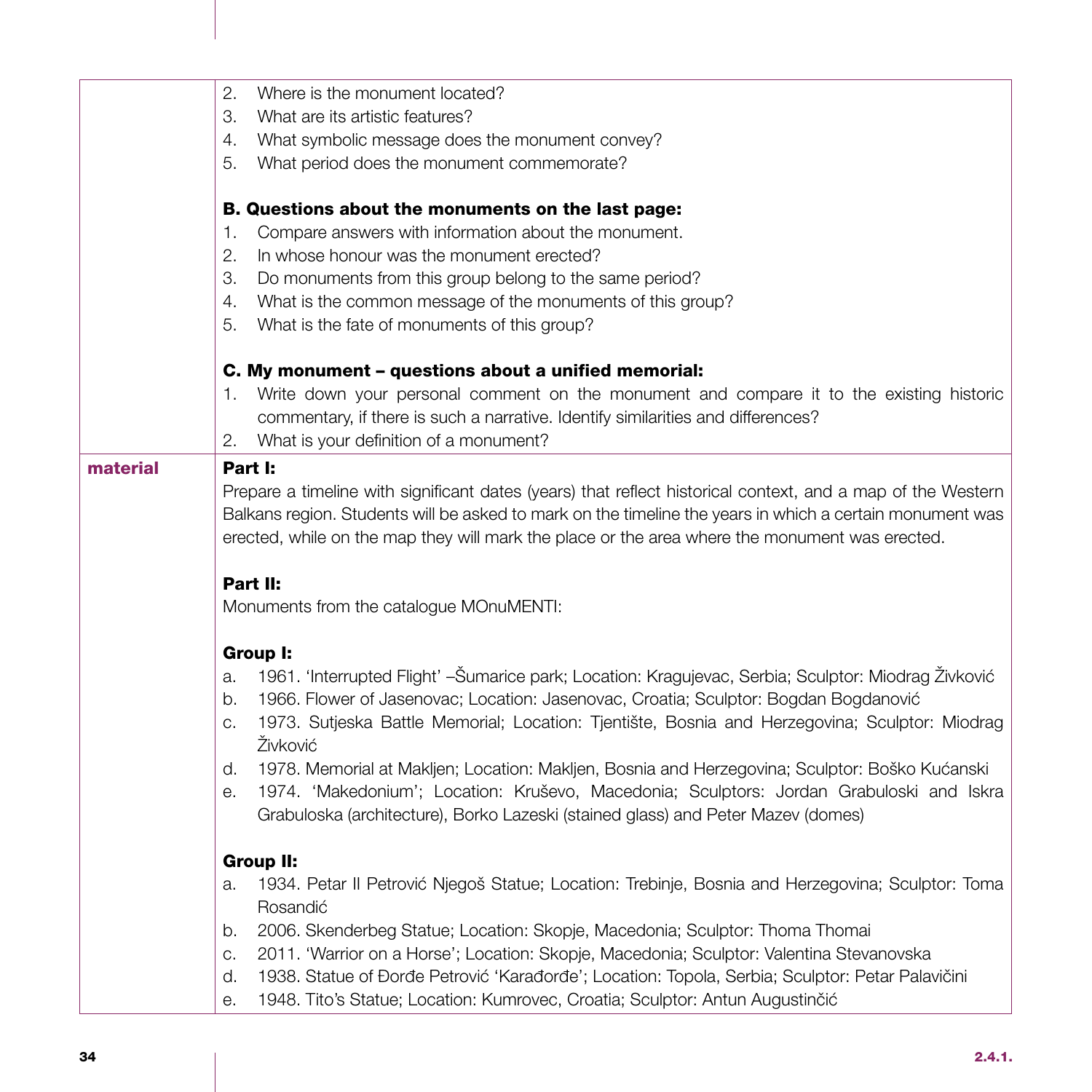|          | 2.<br>Where is the monument located?                                                                                                                                           |
|----------|--------------------------------------------------------------------------------------------------------------------------------------------------------------------------------|
|          | З.<br>What are its artistic features?                                                                                                                                          |
|          | What symbolic message does the monument convey?<br>4.                                                                                                                          |
|          | 5.<br>What period does the monument commemorate?                                                                                                                               |
|          | B. Questions about the monuments on the last page:                                                                                                                             |
|          | Compare answers with information about the monument.<br>1.                                                                                                                     |
|          | 2.<br>In whose honour was the monument erected?                                                                                                                                |
|          | З.<br>Do monuments from this group belong to the same period?                                                                                                                  |
|          | 4.<br>What is the common message of the monuments of this group?                                                                                                               |
|          | What is the fate of monuments of this group?<br>5.                                                                                                                             |
|          | C. My monument - questions about a unified memorial:                                                                                                                           |
|          | 1. Write down your personal comment on the monument and compare it to the existing historic                                                                                    |
|          | commentary, if there is such a narrative. Identify similarities and differences?                                                                                               |
|          | What is your definition of a monument?<br>2.                                                                                                                                   |
| material | Part I:                                                                                                                                                                        |
|          | Prepare a timeline with significant dates (years) that reflect historical context, and a map of the Western                                                                    |
|          | Balkans region. Students will be asked to mark on the timeline the years in which a certain monument was                                                                       |
|          | erected, while on the map they will mark the place or the area where the monument was erected.                                                                                 |
|          | Part II:                                                                                                                                                                       |
|          | Monuments from the catalogue MOnuMENTI:                                                                                                                                        |
|          | Group I:                                                                                                                                                                       |
|          | 1961. 'Interrupted Flight' - Šumarice park; Location: Kragujevac, Serbia; Sculptor: Miodrag Živković<br>a.                                                                     |
|          | 1966. Flower of Jasenovac; Location: Jasenovac, Croatia; Sculptor: Bogdan Bogdanović<br>b.                                                                                     |
|          | 1973. Sutjeska Battle Memorial; Location: Tjentište, Bosnia and Herzegovina; Sculptor: Miodrag<br>C.                                                                           |
|          | Živković                                                                                                                                                                       |
|          | 1978. Memorial at Makljen; Location: Makljen, Bosnia and Herzegovina; Sculptor: Boško Kućanski<br>d.                                                                           |
|          | 1974. 'Makedonium'; Location: Kruševo, Macedonia; Sculptors: Jordan Grabuloski and Iskra<br>е.                                                                                 |
|          | Grabuloska (architecture), Borko Lazeski (stained glass) and Peter Mazev (domes)                                                                                               |
|          | <b>Group II:</b>                                                                                                                                                               |
|          | 1934. Petar II Petrović Njegoš Statue; Location: Trebinje, Bosnia and Herzegovina; Sculptor: Toma<br>a.                                                                        |
|          | Rosandić                                                                                                                                                                       |
|          | 2006. Skenderbeg Statue; Location: Skopje, Macedonia; Sculptor: Thoma Thomai<br>b.<br>2011. 'Warrior on a Horse'; Location: Skopje, Macedonia; Sculptor: Valentina Stevanovska |
|          | C.<br>1938. Statue of Đorđe Petrović 'Karađorđe'; Location: Topola, Serbia; Sculptor: Petar Palavičini<br>d.                                                                   |
|          | 1948. Tito's Statue; Location: Kumrovec, Croatia; Sculptor: Antun Augustinčić<br>е.                                                                                            |
|          |                                                                                                                                                                                |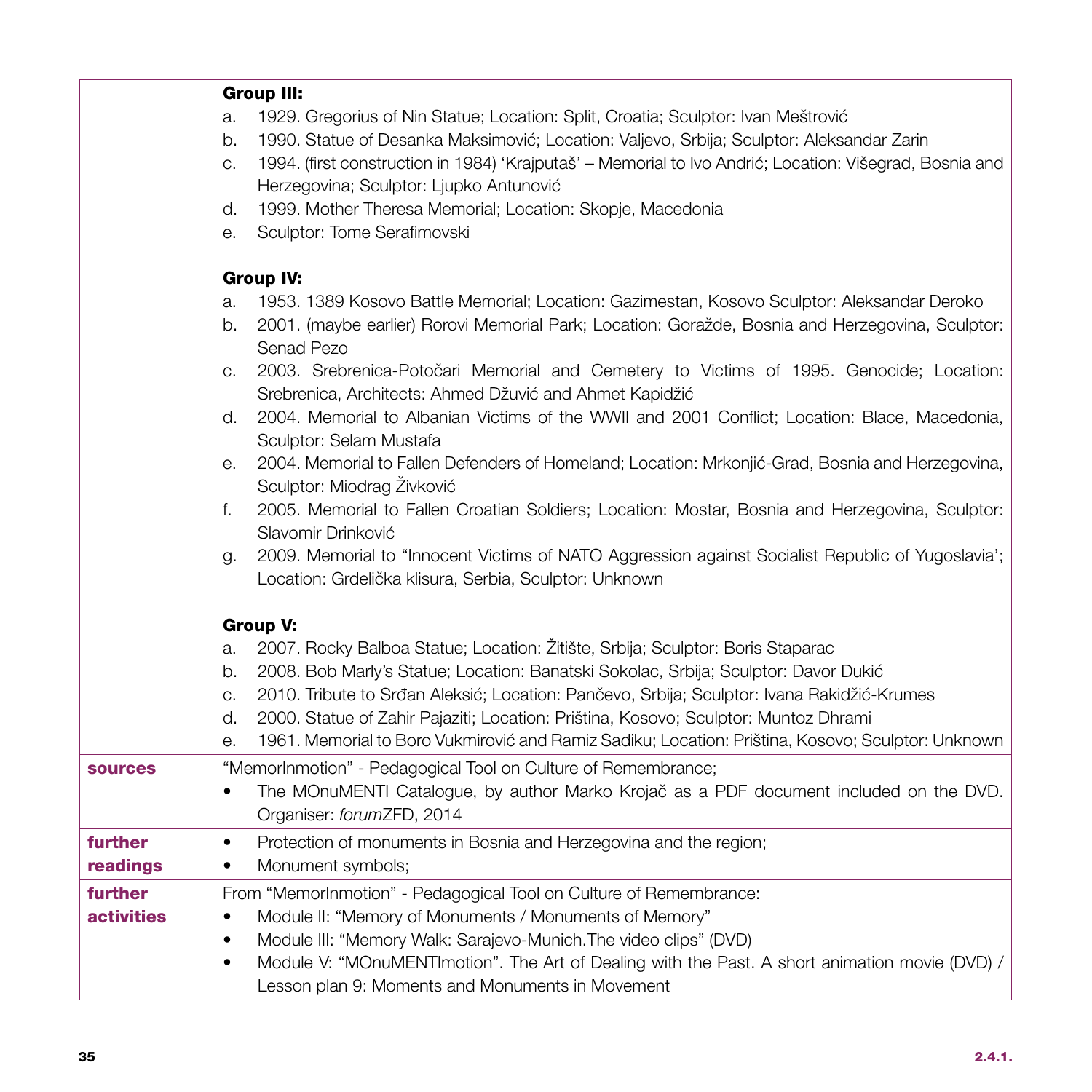|                   | <b>Group III:</b>                                                                                                              |
|-------------------|--------------------------------------------------------------------------------------------------------------------------------|
|                   | 1929. Gregorius of Nin Statue; Location: Split, Croatia; Sculptor: Ivan Meštrović<br>a.                                        |
|                   | 1990. Statue of Desanka Maksimović; Location: Valjevo, Srbija; Sculptor: Aleksandar Zarin<br>b.                                |
|                   | 1994. (first construction in 1984) 'Krajputaš' - Memorial to Ivo Andrić; Location: Višegrad, Bosnia and<br>C.                  |
|                   | Herzegovina; Sculptor: Ljupko Antunović<br>1999. Mother Theresa Memorial; Location: Skopje, Macedonia<br>d.                    |
|                   | Sculptor: Tome Serafimovski<br>е.                                                                                              |
|                   |                                                                                                                                |
|                   | <b>Group IV:</b>                                                                                                               |
|                   | 1953. 1389 Kosovo Battle Memorial; Location: Gazimestan, Kosovo Sculptor: Aleksandar Deroko<br>a.                              |
|                   | 2001. (maybe earlier) Rorovi Memorial Park; Location: Goražde, Bosnia and Herzegovina, Sculptor:<br>b.                         |
|                   | Senad Pezo                                                                                                                     |
|                   | 2003. Srebrenica-Potočari Memorial and Cemetery to Victims of 1995. Genocide; Location:<br>C.                                  |
|                   | Srebrenica, Architects: Ahmed Džuvić and Ahmet Kapidžić                                                                        |
|                   | 2004. Memorial to Albanian Victims of the WWII and 2001 Conflict; Location: Blace, Macedonia,<br>d.<br>Sculptor: Selam Mustafa |
|                   | 2004. Memorial to Fallen Defenders of Homeland; Location: Mrkonjić-Grad, Bosnia and Herzegovina,<br>е.                         |
|                   | Sculptor: Miodrag Živković                                                                                                     |
|                   | 2005. Memorial to Fallen Croatian Soldiers; Location: Mostar, Bosnia and Herzegovina, Sculptor:<br>f.                          |
|                   | Slavomir Drinković                                                                                                             |
|                   | 2009. Memorial to "Innocent Victims of NATO Aggression against Socialist Republic of Yugoslavia';<br>g.                        |
|                   | Location: Grdelička klisura, Serbia, Sculptor: Unknown                                                                         |
|                   | <b>Group V:</b>                                                                                                                |
|                   | 2007. Rocky Balboa Statue; Location: Žitište, Srbija; Sculptor: Boris Staparac<br>a.                                           |
|                   | 2008. Bob Marly's Statue; Location: Banatski Sokolac, Srbija; Sculptor: Davor Dukić<br>b.                                      |
|                   | 2010. Tribute to Srđan Aleksić; Location: Pančevo, Srbija; Sculptor: Ivana Rakidžić-Krumes<br>C.                               |
|                   | 2000. Statue of Zahir Pajaziti; Location: Priština, Kosovo; Sculptor: Muntoz Dhrami<br>d.                                      |
|                   | 1961. Memorial to Boro Vukmirović and Ramiz Sadiku; Location: Priština, Kosovo; Sculptor: Unknown<br>е.                        |
| <b>sources</b>    | "MemorInmotion" - Pedagogical Tool on Culture of Remembrance;                                                                  |
|                   | The MOnuMENTI Catalogue, by author Marko Krojač as a PDF document included on the DVD.<br>$\bullet$                            |
|                   | Organiser: forumZFD, 2014                                                                                                      |
| further           | Protection of monuments in Bosnia and Herzegovina and the region;<br>$\bullet$                                                 |
| readings          | Monument symbols;<br>٠                                                                                                         |
| further           | From "MemorInmotion" - Pedagogical Tool on Culture of Remembrance:                                                             |
| <b>activities</b> | Module II: "Memory of Monuments / Monuments of Memory"<br>$\bullet$                                                            |
|                   | Module III: "Memory Walk: Sarajevo-Munich. The video clips" (DVD)<br>٠                                                         |
|                   | Module V: "MOnuMENTImotion". The Art of Dealing with the Past. A short animation movie (DVD) /<br>$\bullet$                    |
|                   | Lesson plan 9: Moments and Monuments in Movement                                                                               |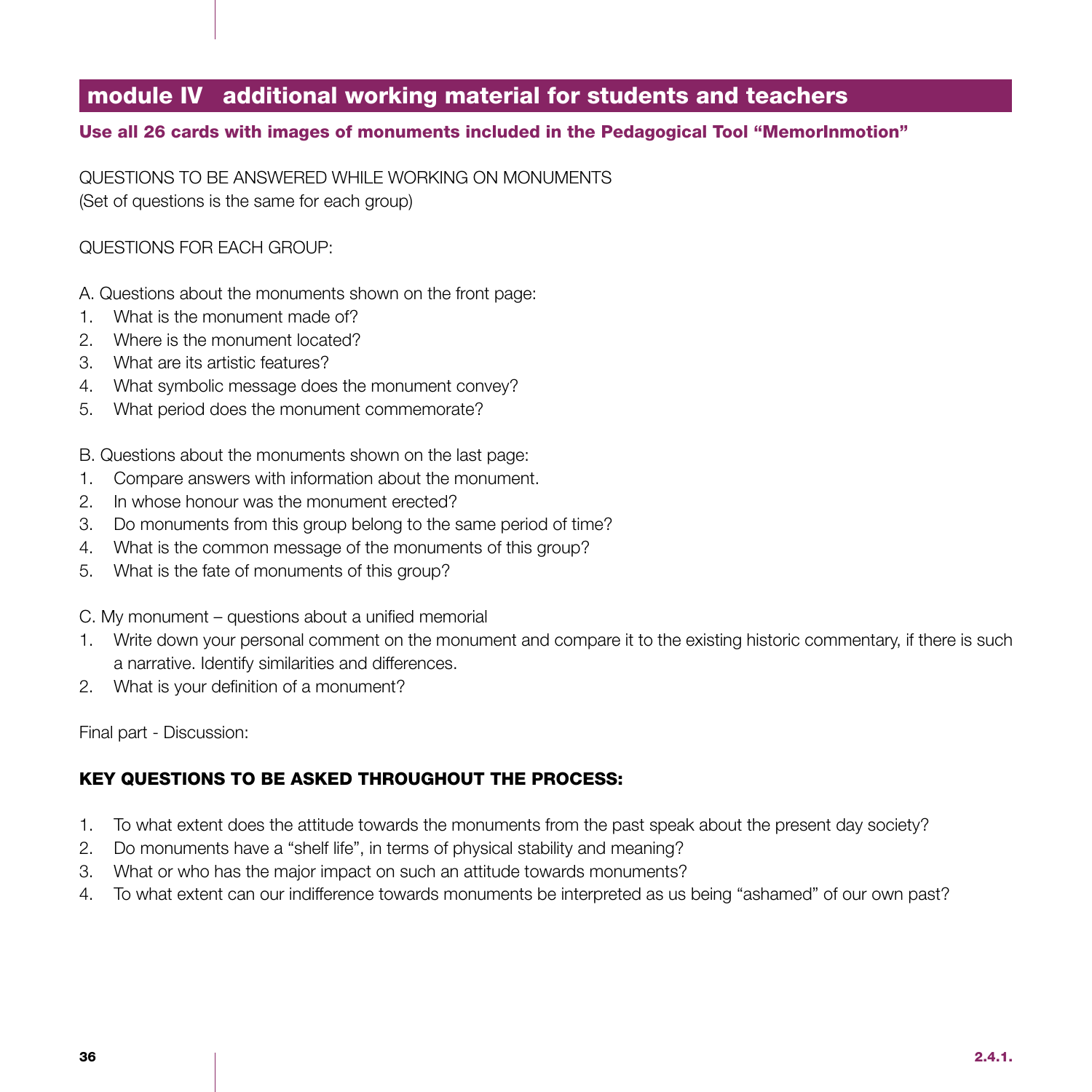## module IV additional working material for students and teachers

### Use all 26 cards with images of monuments included in the Pedagogical Tool "MemorInmotion"

QUESTIONS TO BE ANSWERED WHILE WORKING ON MONUMENTS (Set of questions is the same for each group)

### QUESTIONS FOR EACH GROUP:

- A. Questions about the monuments shown on the front page:
- 1. What is the monument made of?
- 2. Where is the monument located?
- 3. What are its artistic features?
- 4. What symbolic message does the monument convey?
- 5. What period does the monument commemorate?

B. Questions about the monuments shown on the last page:

- 1. Compare answers with information about the monument.
- 2. In whose honour was the monument erected?
- 3. Do monuments from this group belong to the same period of time?
- 4. What is the common message of the monuments of this group?
- 5. What is the fate of monuments of this group?

C. My monument – questions about a unified memorial

- 1. Write down your personal comment on the monument and compare it to the existing historic commentary, if there is such a narrative. Identify similarities and differences.
- 2. What is your definition of a monument?

Final part - Discussion:

### KEY QUESTIONS TO BE ASKED THROUGHOUT THE PROCESS:

- 1. To what extent does the attitude towards the monuments from the past speak about the present day society?
- 2. Do monuments have a "shelf life", in terms of physical stability and meaning?
- 3. What or who has the major impact on such an attitude towards monuments?
- 4. To what extent can our indifference towards monuments be interpreted as us being "ashamed" of our own past?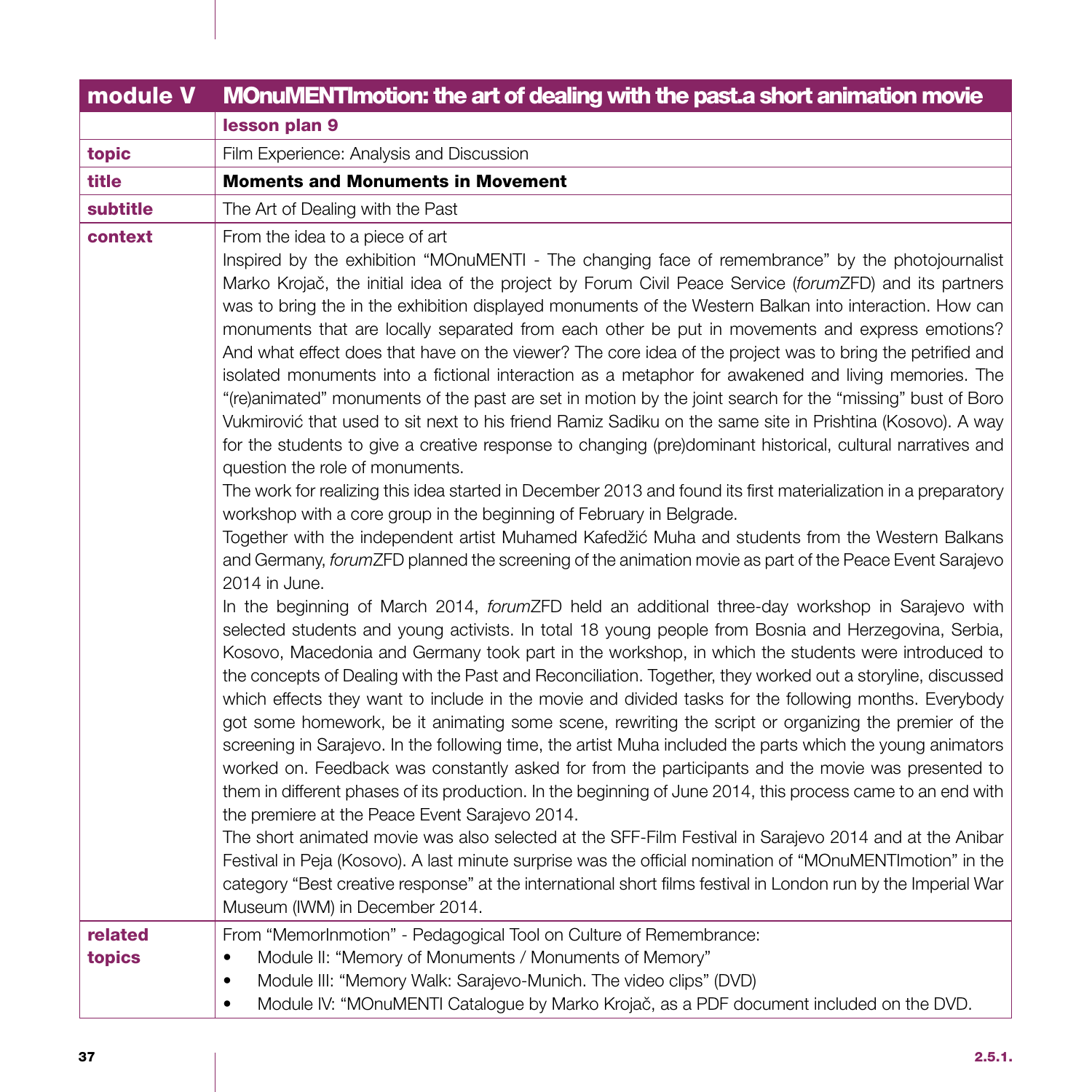| module V          | MOnuMENTImotion: the art of dealing with the past a short animation movie                                                                                                                                                                                                                                                                                                                                                                                                                                                                                                                                                                                                                                                                                                                                                                                                                                                                                                                                                                                                                                                                                                                                                                                                                                                                                                                                                                                                                                                                                                                                                                                                                                                                                                                                                                                                                                                                                                                                                                                                                                                                                                                                                                                                                                                                                                                                                                                                                                                                                                                                                                                                                                                                                                                                                                                                                      |
|-------------------|------------------------------------------------------------------------------------------------------------------------------------------------------------------------------------------------------------------------------------------------------------------------------------------------------------------------------------------------------------------------------------------------------------------------------------------------------------------------------------------------------------------------------------------------------------------------------------------------------------------------------------------------------------------------------------------------------------------------------------------------------------------------------------------------------------------------------------------------------------------------------------------------------------------------------------------------------------------------------------------------------------------------------------------------------------------------------------------------------------------------------------------------------------------------------------------------------------------------------------------------------------------------------------------------------------------------------------------------------------------------------------------------------------------------------------------------------------------------------------------------------------------------------------------------------------------------------------------------------------------------------------------------------------------------------------------------------------------------------------------------------------------------------------------------------------------------------------------------------------------------------------------------------------------------------------------------------------------------------------------------------------------------------------------------------------------------------------------------------------------------------------------------------------------------------------------------------------------------------------------------------------------------------------------------------------------------------------------------------------------------------------------------------------------------------------------------------------------------------------------------------------------------------------------------------------------------------------------------------------------------------------------------------------------------------------------------------------------------------------------------------------------------------------------------------------------------------------------------------------------------------------------------|
|                   | lesson plan 9                                                                                                                                                                                                                                                                                                                                                                                                                                                                                                                                                                                                                                                                                                                                                                                                                                                                                                                                                                                                                                                                                                                                                                                                                                                                                                                                                                                                                                                                                                                                                                                                                                                                                                                                                                                                                                                                                                                                                                                                                                                                                                                                                                                                                                                                                                                                                                                                                                                                                                                                                                                                                                                                                                                                                                                                                                                                                  |
| topic             | Film Experience: Analysis and Discussion                                                                                                                                                                                                                                                                                                                                                                                                                                                                                                                                                                                                                                                                                                                                                                                                                                                                                                                                                                                                                                                                                                                                                                                                                                                                                                                                                                                                                                                                                                                                                                                                                                                                                                                                                                                                                                                                                                                                                                                                                                                                                                                                                                                                                                                                                                                                                                                                                                                                                                                                                                                                                                                                                                                                                                                                                                                       |
| title             | <b>Moments and Monuments in Movement</b>                                                                                                                                                                                                                                                                                                                                                                                                                                                                                                                                                                                                                                                                                                                                                                                                                                                                                                                                                                                                                                                                                                                                                                                                                                                                                                                                                                                                                                                                                                                                                                                                                                                                                                                                                                                                                                                                                                                                                                                                                                                                                                                                                                                                                                                                                                                                                                                                                                                                                                                                                                                                                                                                                                                                                                                                                                                       |
| subtitle          | The Art of Dealing with the Past                                                                                                                                                                                                                                                                                                                                                                                                                                                                                                                                                                                                                                                                                                                                                                                                                                                                                                                                                                                                                                                                                                                                                                                                                                                                                                                                                                                                                                                                                                                                                                                                                                                                                                                                                                                                                                                                                                                                                                                                                                                                                                                                                                                                                                                                                                                                                                                                                                                                                                                                                                                                                                                                                                                                                                                                                                                               |
| context           | From the idea to a piece of art<br>Inspired by the exhibition "MOnuMENTI - The changing face of remembrance" by the photojournalist<br>Marko Krojač, the initial idea of the project by Forum Civil Peace Service (forumZFD) and its partners<br>was to bring the in the exhibition displayed monuments of the Western Balkan into interaction. How can<br>monuments that are locally separated from each other be put in movements and express emotions?<br>And what effect does that have on the viewer? The core idea of the project was to bring the petrified and<br>isolated monuments into a fictional interaction as a metaphor for awakened and living memories. The<br>"(re)animated" monuments of the past are set in motion by the joint search for the "missing" bust of Boro<br>Vukmirović that used to sit next to his friend Ramiz Sadiku on the same site in Prishtina (Kosovo). A way<br>for the students to give a creative response to changing (pre)dominant historical, cultural narratives and<br>question the role of monuments.<br>The work for realizing this idea started in December 2013 and found its first materialization in a preparatory<br>workshop with a core group in the beginning of February in Belgrade.<br>Together with the independent artist Muhamed Kafedžić Muha and students from the Western Balkans<br>and Germany, forumZFD planned the screening of the animation movie as part of the Peace Event Sarajevo<br>2014 in June.<br>In the beginning of March 2014, forumZFD held an additional three-day workshop in Sarajevo with<br>selected students and young activists. In total 18 young people from Bosnia and Herzegovina, Serbia,<br>Kosovo, Macedonia and Germany took part in the workshop, in which the students were introduced to<br>the concepts of Dealing with the Past and Reconciliation. Together, they worked out a storyline, discussed<br>which effects they want to include in the movie and divided tasks for the following months. Everybody<br>got some homework, be it animating some scene, rewriting the script or organizing the premier of the<br>screening in Sarajevo. In the following time, the artist Muha included the parts which the young animators<br>worked on. Feedback was constantly asked for from the participants and the movie was presented to<br>them in different phases of its production. In the beginning of June 2014, this process came to an end with<br>the premiere at the Peace Event Sarajevo 2014.<br>The short animated movie was also selected at the SFF-Film Festival in Sarajevo 2014 and at the Anibar<br>Festival in Peja (Kosovo). A last minute surprise was the official nomination of "MOnuMENTImotion" in the<br>category "Best creative response" at the international short films festival in London run by the Imperial War<br>Museum (IWM) in December 2014. |
| related<br>topics | From "MemorInmotion" - Pedagogical Tool on Culture of Remembrance:<br>Module II: "Memory of Monuments / Monuments of Memory"<br>$\bullet$<br>Module III: "Memory Walk: Sarajevo-Munich. The video clips" (DVD)<br>$\bullet$                                                                                                                                                                                                                                                                                                                                                                                                                                                                                                                                                                                                                                                                                                                                                                                                                                                                                                                                                                                                                                                                                                                                                                                                                                                                                                                                                                                                                                                                                                                                                                                                                                                                                                                                                                                                                                                                                                                                                                                                                                                                                                                                                                                                                                                                                                                                                                                                                                                                                                                                                                                                                                                                    |
|                   | Module IV: "MOnuMENTI Catalogue by Marko Krojač, as a PDF document included on the DVD.<br>$\bullet$                                                                                                                                                                                                                                                                                                                                                                                                                                                                                                                                                                                                                                                                                                                                                                                                                                                                                                                                                                                                                                                                                                                                                                                                                                                                                                                                                                                                                                                                                                                                                                                                                                                                                                                                                                                                                                                                                                                                                                                                                                                                                                                                                                                                                                                                                                                                                                                                                                                                                                                                                                                                                                                                                                                                                                                           |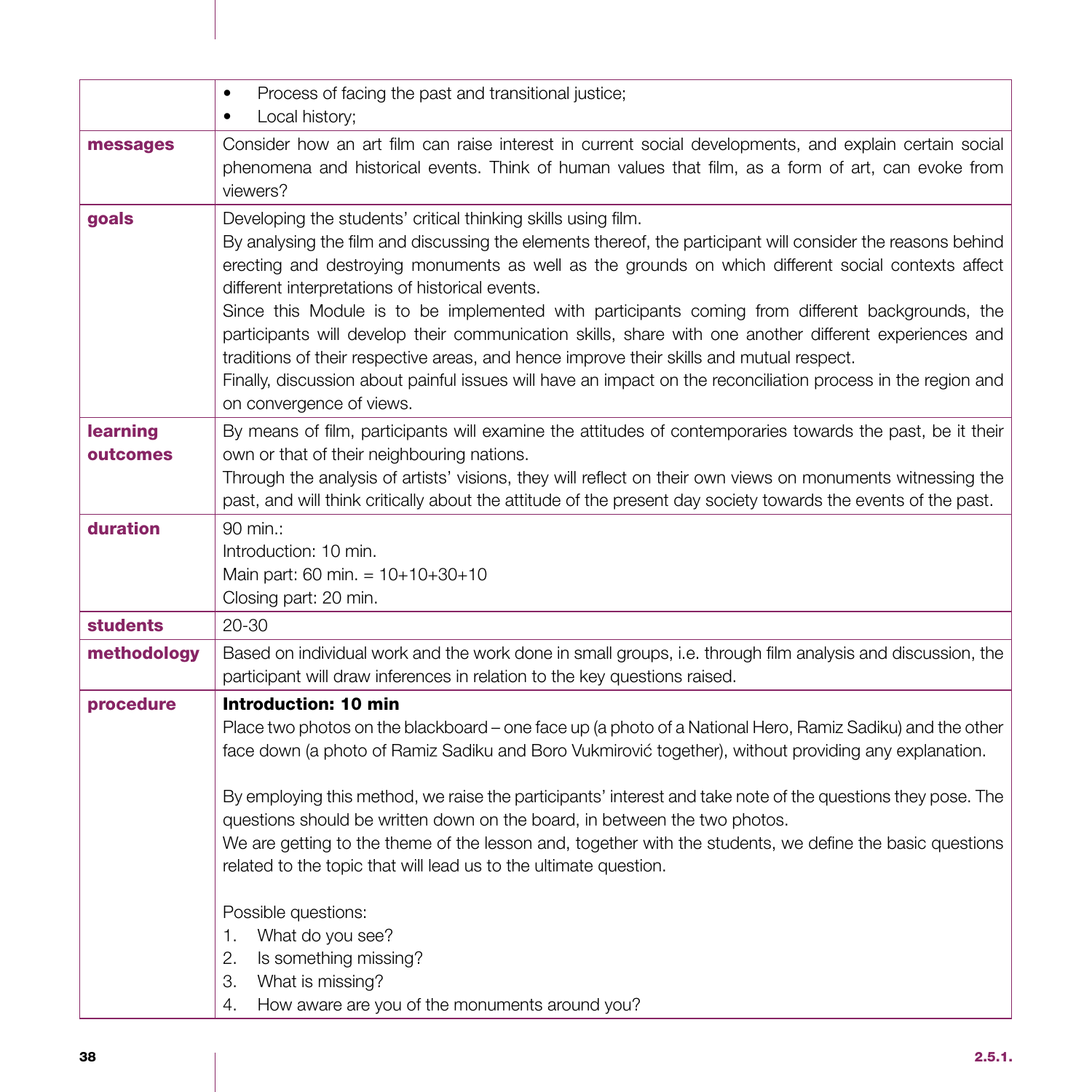|                      | Process of facing the past and transitional justice;<br>$\bullet$<br>Local history;<br>٠                                                                                                                                                                                                                                                                                                                                                                                                                                                                                                                                                                                                                                                                                                   |
|----------------------|--------------------------------------------------------------------------------------------------------------------------------------------------------------------------------------------------------------------------------------------------------------------------------------------------------------------------------------------------------------------------------------------------------------------------------------------------------------------------------------------------------------------------------------------------------------------------------------------------------------------------------------------------------------------------------------------------------------------------------------------------------------------------------------------|
| messages             | Consider how an art film can raise interest in current social developments, and explain certain social<br>phenomena and historical events. Think of human values that film, as a form of art, can evoke from<br>viewers?                                                                                                                                                                                                                                                                                                                                                                                                                                                                                                                                                                   |
| goals                | Developing the students' critical thinking skills using film.<br>By analysing the film and discussing the elements thereof, the participant will consider the reasons behind<br>erecting and destroying monuments as well as the grounds on which different social contexts affect<br>different interpretations of historical events.<br>Since this Module is to be implemented with participants coming from different backgrounds, the<br>participants will develop their communication skills, share with one another different experiences and<br>traditions of their respective areas, and hence improve their skills and mutual respect.<br>Finally, discussion about painful issues will have an impact on the reconciliation process in the region and<br>on convergence of views. |
| learning<br>outcomes | By means of film, participants will examine the attitudes of contemporaries towards the past, be it their<br>own or that of their neighbouring nations.<br>Through the analysis of artists' visions, they will reflect on their own views on monuments witnessing the<br>past, and will think critically about the attitude of the present day society towards the events of the past.                                                                                                                                                                                                                                                                                                                                                                                                     |
| duration             | 90 min.:<br>Introduction: 10 min.<br>Main part: 60 min. = 10+10+30+10<br>Closing part: 20 min.                                                                                                                                                                                                                                                                                                                                                                                                                                                                                                                                                                                                                                                                                             |
| <b>students</b>      | 20-30                                                                                                                                                                                                                                                                                                                                                                                                                                                                                                                                                                                                                                                                                                                                                                                      |
| methodology          | Based on individual work and the work done in small groups, i.e. through film analysis and discussion, the<br>participant will draw inferences in relation to the key questions raised.                                                                                                                                                                                                                                                                                                                                                                                                                                                                                                                                                                                                    |
| procedure            | Introduction: 10 min<br>Place two photos on the blackboard - one face up (a photo of a National Hero, Ramiz Sadiku) and the other<br>face down (a photo of Ramiz Sadiku and Boro Vukmirović together), without providing any explanation.<br>By employing this method, we raise the participants' interest and take note of the questions they pose. The<br>questions should be written down on the board, in between the two photos.<br>We are getting to the theme of the lesson and, together with the students, we define the basic questions<br>related to the topic that will lead us to the ultimate question.<br>Possible questions:<br>What do you see?<br>1.<br>2.<br>Is something missing?<br>З.<br>What is missing?                                                            |
|                      | How aware are you of the monuments around you?<br>4.                                                                                                                                                                                                                                                                                                                                                                                                                                                                                                                                                                                                                                                                                                                                       |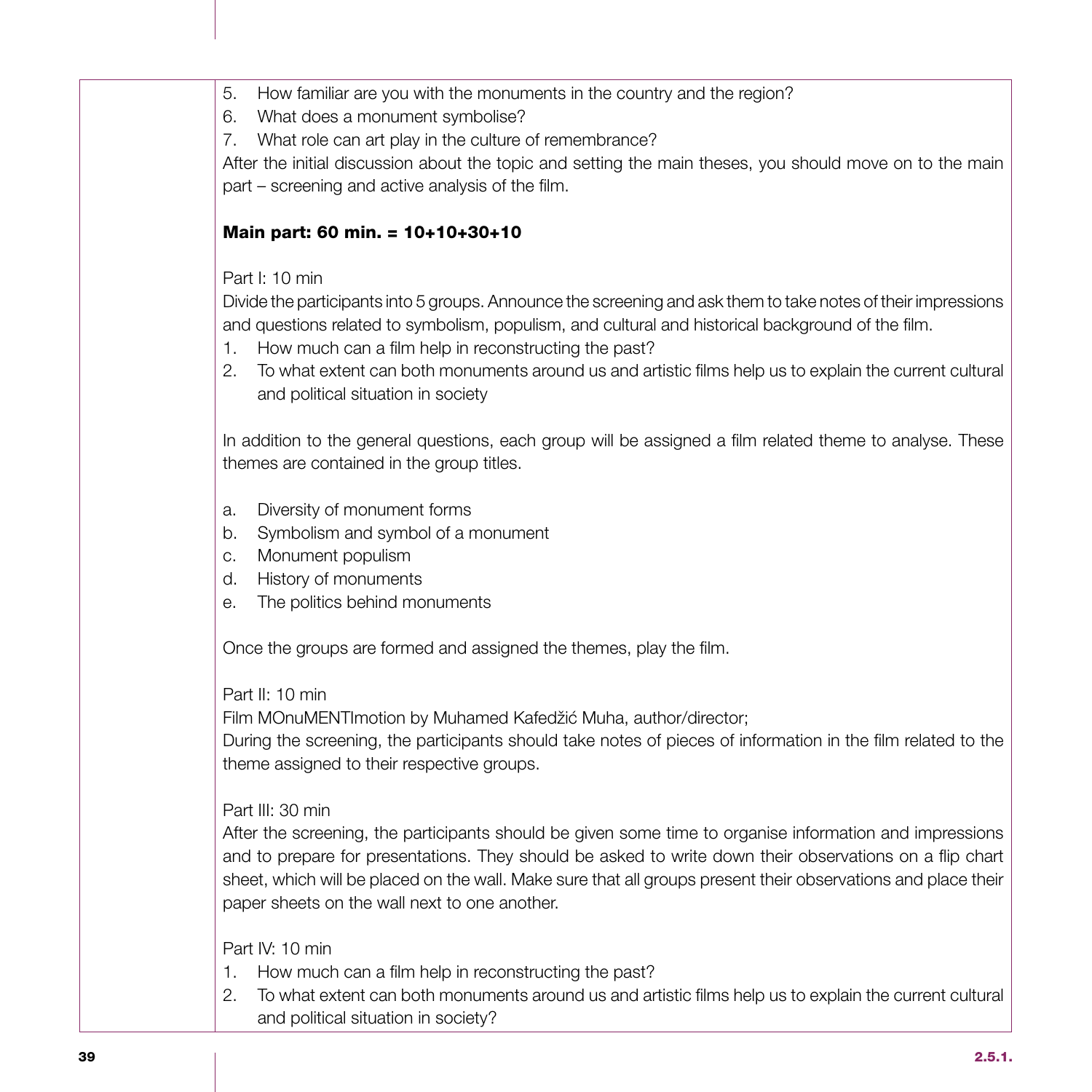- 5. How familiar are you with the monuments in the country and the region?
- 6. What does a monument symbolise?
- 7. What role can art play in the culture of remembrance?

After the initial discussion about the topic and setting the main theses, you should move on to the main part – screening and active analysis of the film.

### Main part: 60 min. = 10+10+30+10

### Part I: 10 min

Divide the participants into 5 groups. Announce the screening and ask them to take notes of their impressions and questions related to symbolism, populism, and cultural and historical background of the film.

- 1. How much can a film help in reconstructing the past?
- 2. To what extent can both monuments around us and artistic films help us to explain the current cultural and political situation in society

In addition to the general questions, each group will be assigned a film related theme to analyse. These themes are contained in the group titles.

- a. Diversity of monument forms
- b. Symbolism and symbol of a monument
- c. Monument populism
- d. History of monuments
- e. The politics behind monuments

Once the groups are formed and assigned the themes, play the film.

### Part II: 10 min

Film MOnuMENTImotion by Muhamed Kafedžić Muha, author/director;

During the screening, the participants should take notes of pieces of information in the film related to the theme assigned to their respective groups.

### Part III: 30 min

After the screening, the participants should be given some time to organise information and impressions and to prepare for presentations. They should be asked to write down their observations on a flip chart sheet, which will be placed on the wall. Make sure that all groups present their observations and place their paper sheets on the wall next to one another.

### Part IV: 10 min

- 1. How much can a film help in reconstructing the past?
- 2. To what extent can both monuments around us and artistic films help us to explain the current cultural and political situation in society?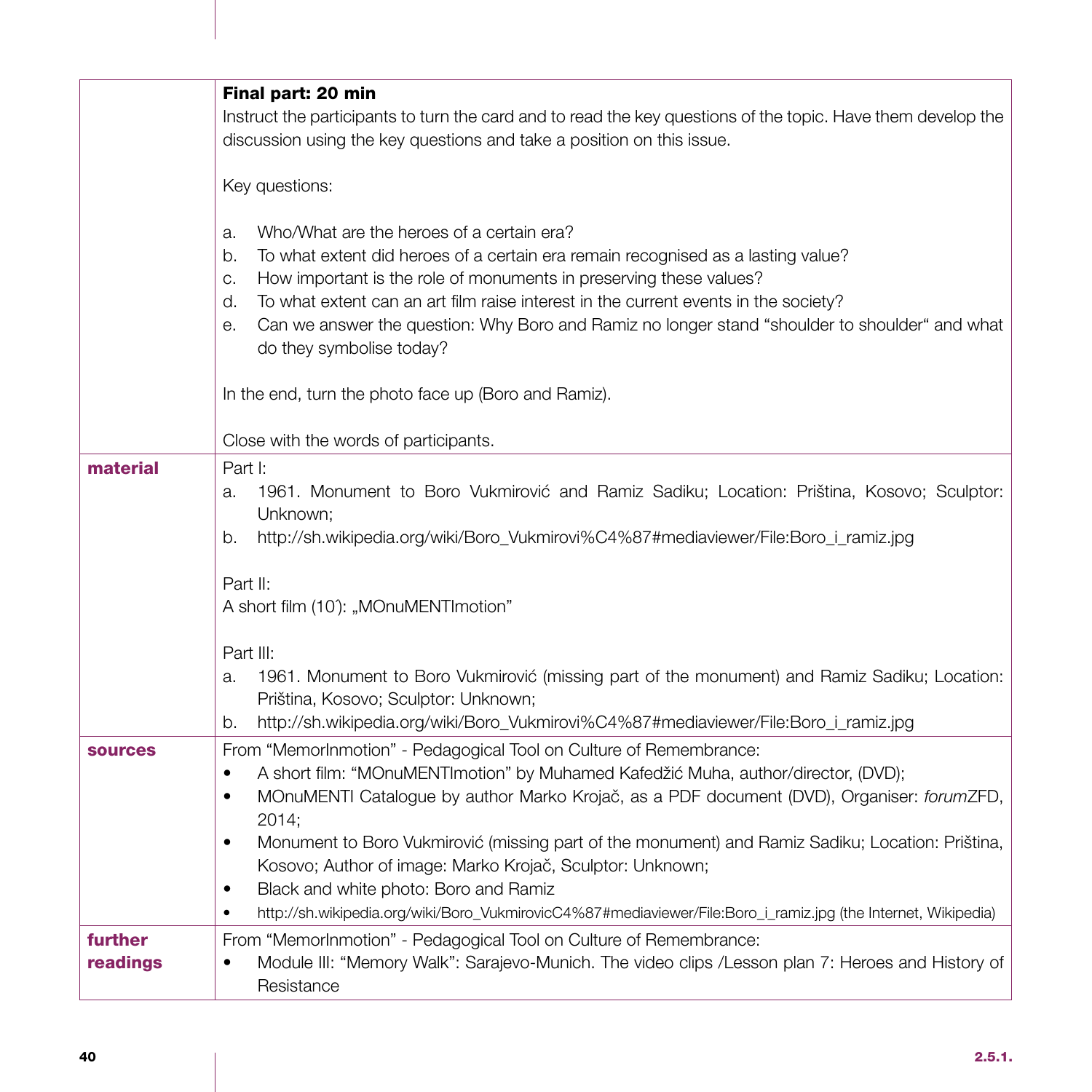|                     | Final part: 20 min                                                                                                                                                                                                                                                                                                                                                                                                                                                                                                          |
|---------------------|-----------------------------------------------------------------------------------------------------------------------------------------------------------------------------------------------------------------------------------------------------------------------------------------------------------------------------------------------------------------------------------------------------------------------------------------------------------------------------------------------------------------------------|
|                     | Instruct the participants to turn the card and to read the key questions of the topic. Have them develop the<br>discussion using the key questions and take a position on this issue.                                                                                                                                                                                                                                                                                                                                       |
|                     | Key questions:                                                                                                                                                                                                                                                                                                                                                                                                                                                                                                              |
|                     | Who/What are the heroes of a certain era?<br>a.<br>To what extent did heroes of a certain era remain recognised as a lasting value?<br>b.<br>How important is the role of monuments in preserving these values?<br>C.<br>To what extent can an art film raise interest in the current events in the society?<br>d.<br>Can we answer the question: Why Boro and Ramiz no longer stand "shoulder to shoulder" and what<br>е.<br>do they symbolise today?                                                                      |
|                     | In the end, turn the photo face up (Boro and Ramiz).                                                                                                                                                                                                                                                                                                                                                                                                                                                                        |
|                     | Close with the words of participants.                                                                                                                                                                                                                                                                                                                                                                                                                                                                                       |
| material            | Part I:<br>1961. Monument to Boro Vukmirović and Ramiz Sadiku; Location: Priština, Kosovo; Sculptor:<br>a.<br>Unknown:<br>http://sh.wikipedia.org/wiki/Boro_Vukmirovi%C4%87#mediaviewer/File:Boro_i_ramiz.jpg<br>b.                                                                                                                                                                                                                                                                                                         |
|                     | Part II:<br>A short film (10): "MOnuMENTImotion"                                                                                                                                                                                                                                                                                                                                                                                                                                                                            |
|                     | Part III:<br>1961. Monument to Boro Vukmirović (missing part of the monument) and Ramiz Sadiku; Location:<br>a.<br>Priština, Kosovo; Sculptor: Unknown;<br>http://sh.wikipedia.org/wiki/Boro_Vukmirovi%C4%87#mediaviewer/File:Boro_i_ramiz.jpg<br>b.                                                                                                                                                                                                                                                                        |
| <b>sources</b>      | From "MemorInmotion" - Pedagogical Tool on Culture of Remembrance:<br>A short film: "MOnuMENTImotion" by Muhamed Kafedžić Muha, author/director, (DVD);<br>$\bullet$<br>MOnuMENTI Catalogue by author Marko Krojač, as a PDF document (DVD), Organiser: forumZFD,<br>$\bullet$<br>2014;<br>Monument to Boro Vukmirović (missing part of the monument) and Ramiz Sadiku; Location: Priština,<br>$\bullet$<br>Kosovo; Author of image: Marko Krojač, Sculptor: Unknown;<br>Black and white photo: Boro and Ramiz<br>$\bullet$ |
|                     | http://sh.wikipedia.org/wiki/Boro_VukmirovicC4%87#mediaviewer/File:Boro_i_ramiz.jpg (the Internet, Wikipedia)                                                                                                                                                                                                                                                                                                                                                                                                               |
| further<br>readings | From "MemorInmotion" - Pedagogical Tool on Culture of Remembrance:<br>Module III: "Memory Walk": Sarajevo-Munich. The video clips /Lesson plan 7: Heroes and History of<br>Resistance                                                                                                                                                                                                                                                                                                                                       |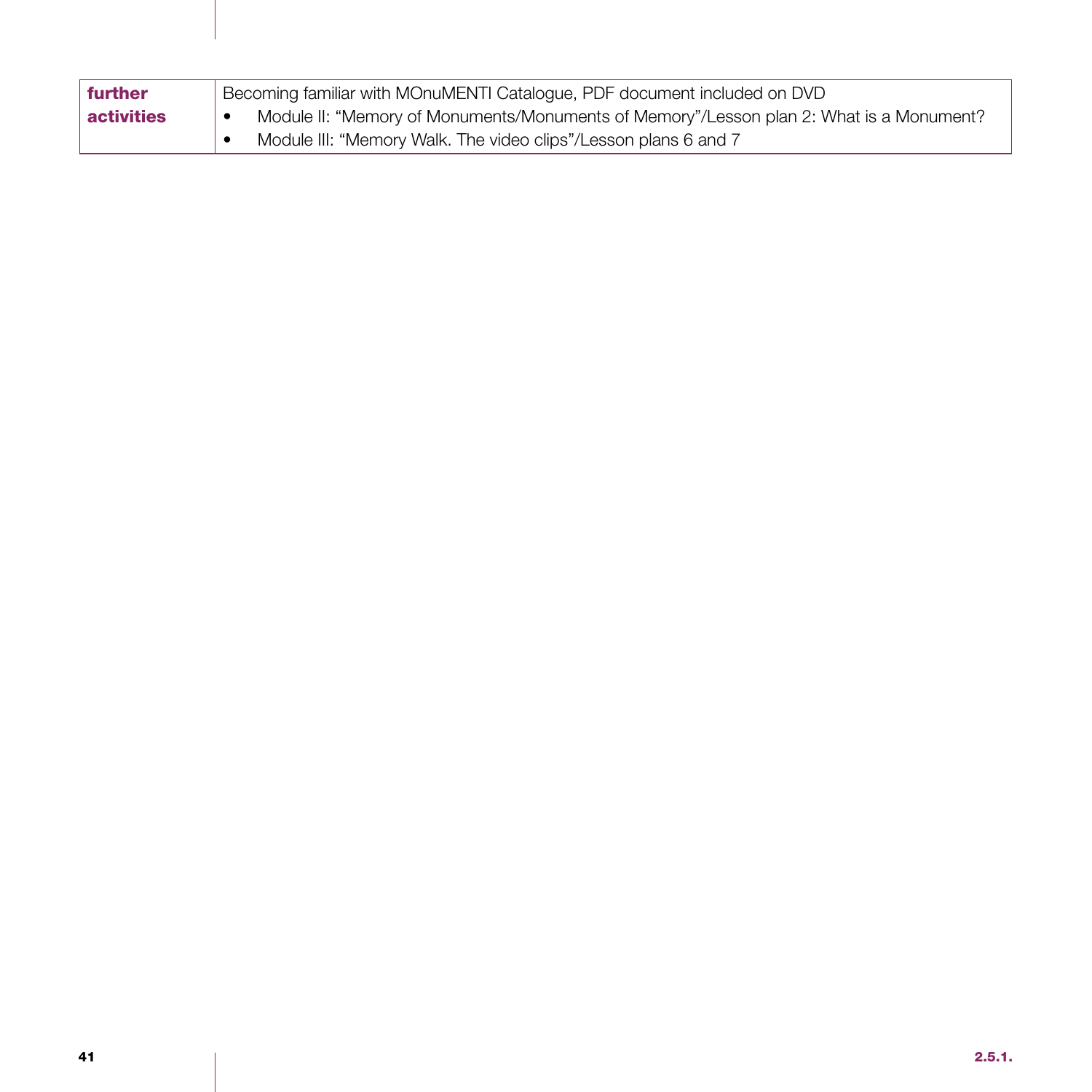| <b>further</b>    | Becoming familiar with MOnuMENTI Catalogue, PDF document included on DVD                |
|-------------------|-----------------------------------------------------------------------------------------|
| <b>activities</b> | Module II: "Memory of Monuments/Monuments of Memory"/Lesson plan 2: What is a Monument? |
|                   | Module III: "Memory Walk. The video clips"/Lesson plans 6 and 7                         |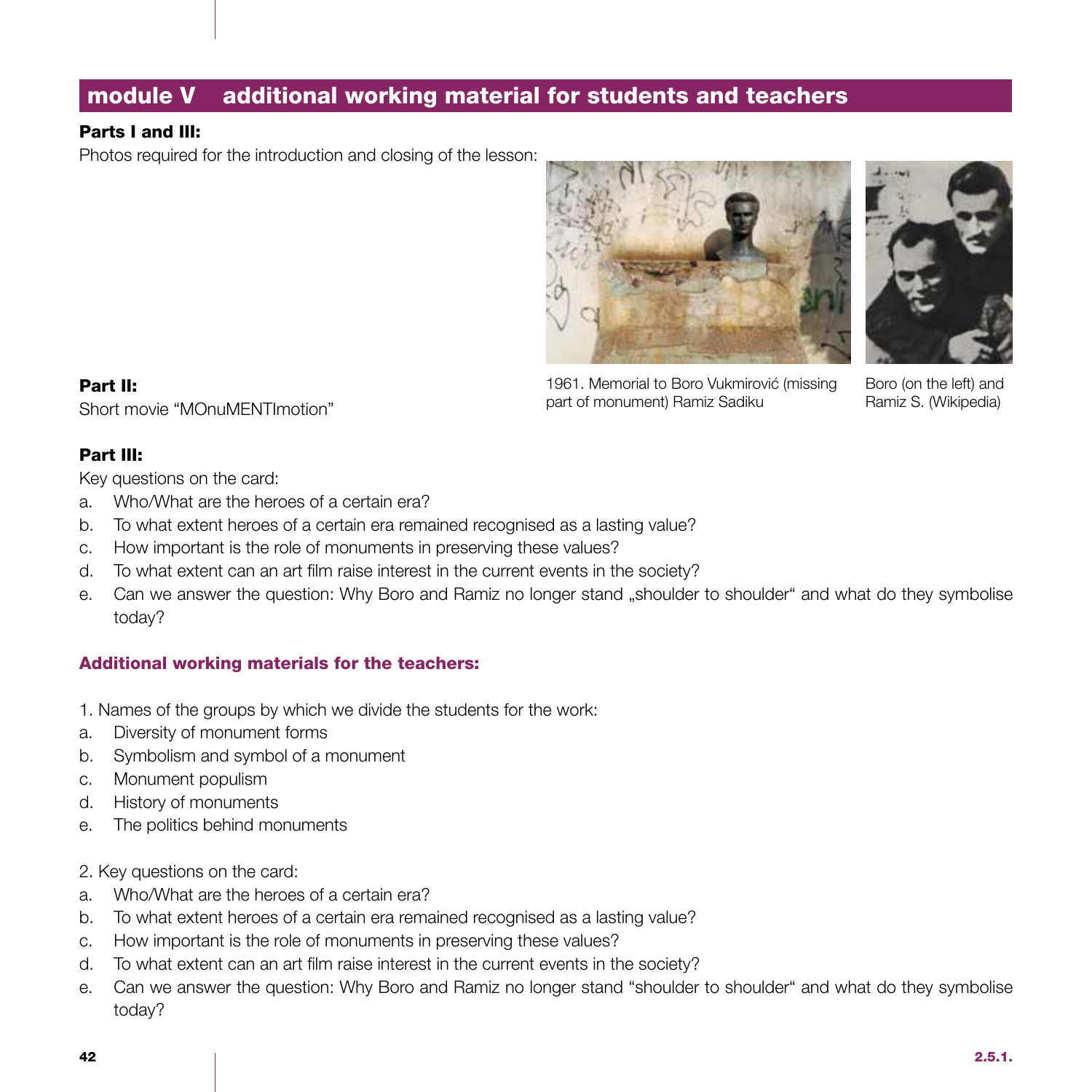## module V additional working material for students and teachers

### Parts I and III:

Photos required for the introduction and closing of the lesson:





1961. Memorial to Boro Vukmirović (missing part of monument) Ramiz Sadiku

Boro (on the left) and Ramiz S. (Wikipedia)

Part II: Short movie "MOnuMENTImotion"

#### Part III:

Key questions on the card:

- a. Who/What are the heroes of a certain era?
- b. To what extent heroes of a certain era remained recognised as a lasting value?
- c. How important is the role of monuments in preserving these values?
- d. To what extent can an art film raise interest in the current events in the society?
- e. Can we answer the question: Why Boro and Ramiz no longer stand "shoulder to shoulder" and what do they symbolise today?

### Additional working materials for the teachers:

- 1. Names of the groups by which we divide the students for the work:
- a. Diversity of monument forms
- b. Symbolism and symbol of a monument
- c. Monument populism
- d. History of monuments
- e. The politics behind monuments
- 2. Key questions on the card:
- a. Who/What are the heroes of a certain era?
- b. To what extent heroes of a certain era remained recognised as a lasting value?
- c. How important is the role of monuments in preserving these values?
- d. To what extent can an art film raise interest in the current events in the society?
- e. Can we answer the question: Why Boro and Ramiz no longer stand "shoulder to shoulder" and what do they symbolise today?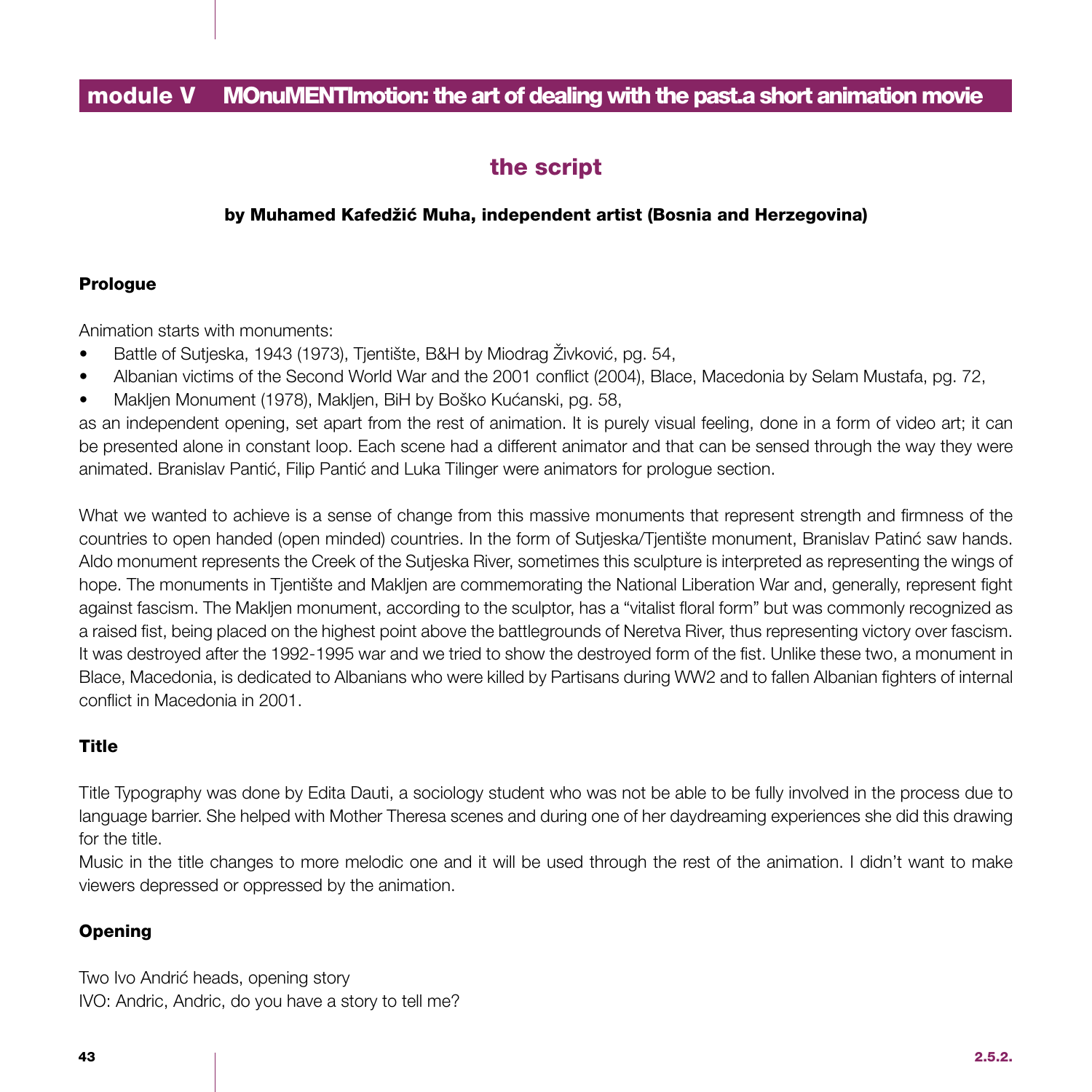### module V MOnuMENTImotion: the art of dealing with the past.a short animation movie

## the script

#### by Muhamed Kafedžić Muha, independent artist (Bosnia and Herzegovina)

#### Prologue

Animation starts with monuments:

- Battle of Sutjeska, 1943 (1973), Tjentište, B&H by Miodrag Živković, pg. 54,
- Albanian victims of the Second World War and the 2001 conflict (2004), Blace, Macedonia by Selam Mustafa, pg. 72,
- Makljen Monument (1978), Makljen, BiH by Boško Kućanski, pg. 58,

as an independent opening, set apart from the rest of animation. It is purely visual feeling, done in a form of video art; it can be presented alone in constant loop. Each scene had a different animator and that can be sensed through the way they were animated. Branislav Pantić, Filip Pantić and Luka Tilinger were animators for prologue section.

What we wanted to achieve is a sense of change from this massive monuments that represent strength and firmness of the countries to open handed (open minded) countries. In the form of Sutjeska/Tjentište monument, Branislav Patinć saw hands. Aldo monument represents the Creek of the Sutjeska River, sometimes this sculpture is interpreted as representing the wings of hope. The monuments in Tjentište and Makljen are commemorating the National Liberation War and, generally, represent fight against fascism. The Makljen monument, according to the sculptor, has a "vitalist floral form" but was commonly recognized as a raised fist, being placed on the highest point above the battlegrounds of Neretva River, thus representing victory over fascism. It was destroyed after the 1992-1995 war and we tried to show the destroyed form of the fist. Unlike these two, a monument in Blace, Macedonia, is dedicated to Albanians who were killed by Partisans during WW2 and to fallen Albanian fighters of internal conflict in Macedonia in 2001.

### **Title**

Title Typography was done by Edita Dauti, a sociology student who was not be able to be fully involved in the process due to language barrier. She helped with Mother Theresa scenes and during one of her daydreaming experiences she did this drawing for the title.

Music in the title changes to more melodic one and it will be used through the rest of the animation. I didn't want to make viewers depressed or oppressed by the animation.

#### **Opening**

Two Ivo Andrić heads, opening story IVO: Andric, Andric, do you have a story to tell me?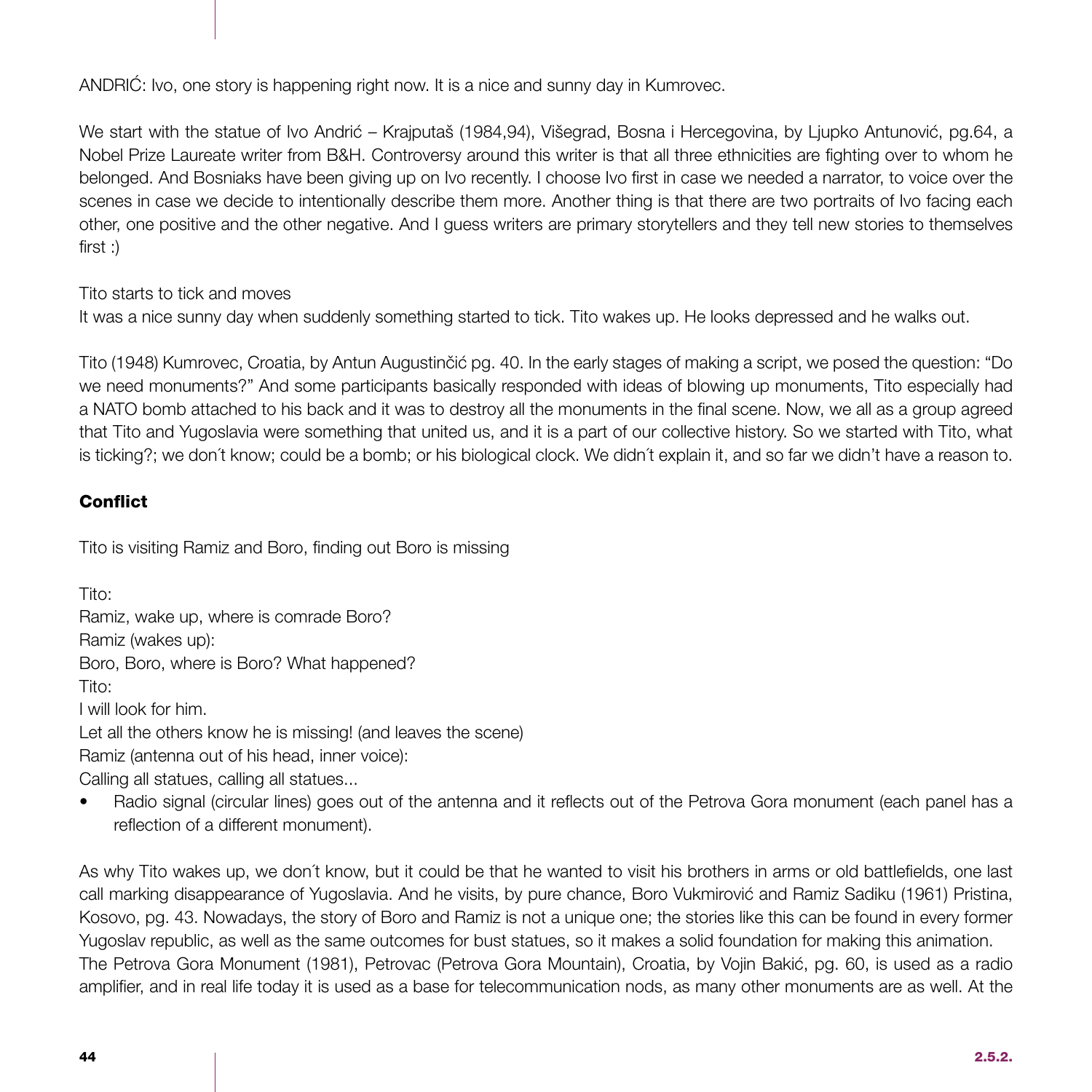ANDRIĆ: Ivo, one story is happening right now. It is a nice and sunny day in Kumrovec.

We start with the statue of Ivo Andrić – Krajputaš (1984,94), Višegrad, Bosna i Hercegovina, by Ljupko Antunović, pg.64, a Nobel Prize Laureate writer from B&H. Controversy around this writer is that all three ethnicities are fighting over to whom he belonged. And Bosniaks have been giving up on Ivo recently. I choose Ivo first in case we needed a narrator, to voice over the scenes in case we decide to intentionally describe them more. Another thing is that there are two portraits of Ivo facing each other, one positive and the other negative. And I guess writers are primary storytellers and they tell new stories to themselves first :)

Tito starts to tick and moves

It was a nice sunny day when suddenly something started to tick. Tito wakes up. He looks depressed and he walks out.

Tito (1948) Kumrovec, Croatia, by Antun Augustinčić pg. 40. In the early stages of making a script, we posed the question: "Do we need monuments?" And some participants basically responded with ideas of blowing up monuments, Tito especially had a NATO bomb attached to his back and it was to destroy all the monuments in the final scene. Now, we all as a group agreed that Tito and Yugoslavia were something that united us, and it is a part of our collective history. So we started with Tito, what is ticking?; we don´t know; could be a bomb; or his biological clock. We didn´t explain it, and so far we didn't have a reason to.

### **Conflict**

Tito is visiting Ramiz and Boro, finding out Boro is missing

Tito: Ramiz, wake up, where is comrade Boro? Ramiz (wakes up): Boro, Boro, where is Boro? What happened? Tito: I will look for him. Let all the others know he is missing! (and leaves the scene) Ramiz (antenna out of his head, inner voice):

Calling all statues, calling all statues...

• Radio signal (circular lines) goes out of the antenna and it reflects out of the Petrova Gora monument (each panel has a reflection of a different monument).

As why Tito wakes up, we don´t know, but it could be that he wanted to visit his brothers in arms or old battlefields, one last call marking disappearance of Yugoslavia. And he visits, by pure chance, Boro Vukmirović and Ramiz Sadiku (1961) Pristina, Kosovo, pg. 43. Nowadays, the story of Boro and Ramiz is not a unique one; the stories like this can be found in every former Yugoslav republic, as well as the same outcomes for bust statues, so it makes a solid foundation for making this animation. The Petrova Gora Monument (1981), Petrovac (Petrova Gora Mountain), Croatia, by Vojin Bakić, pg. 60, is used as a radio amplifier, and in real life today it is used as a base for telecommunication nods, as many other monuments are as well. At the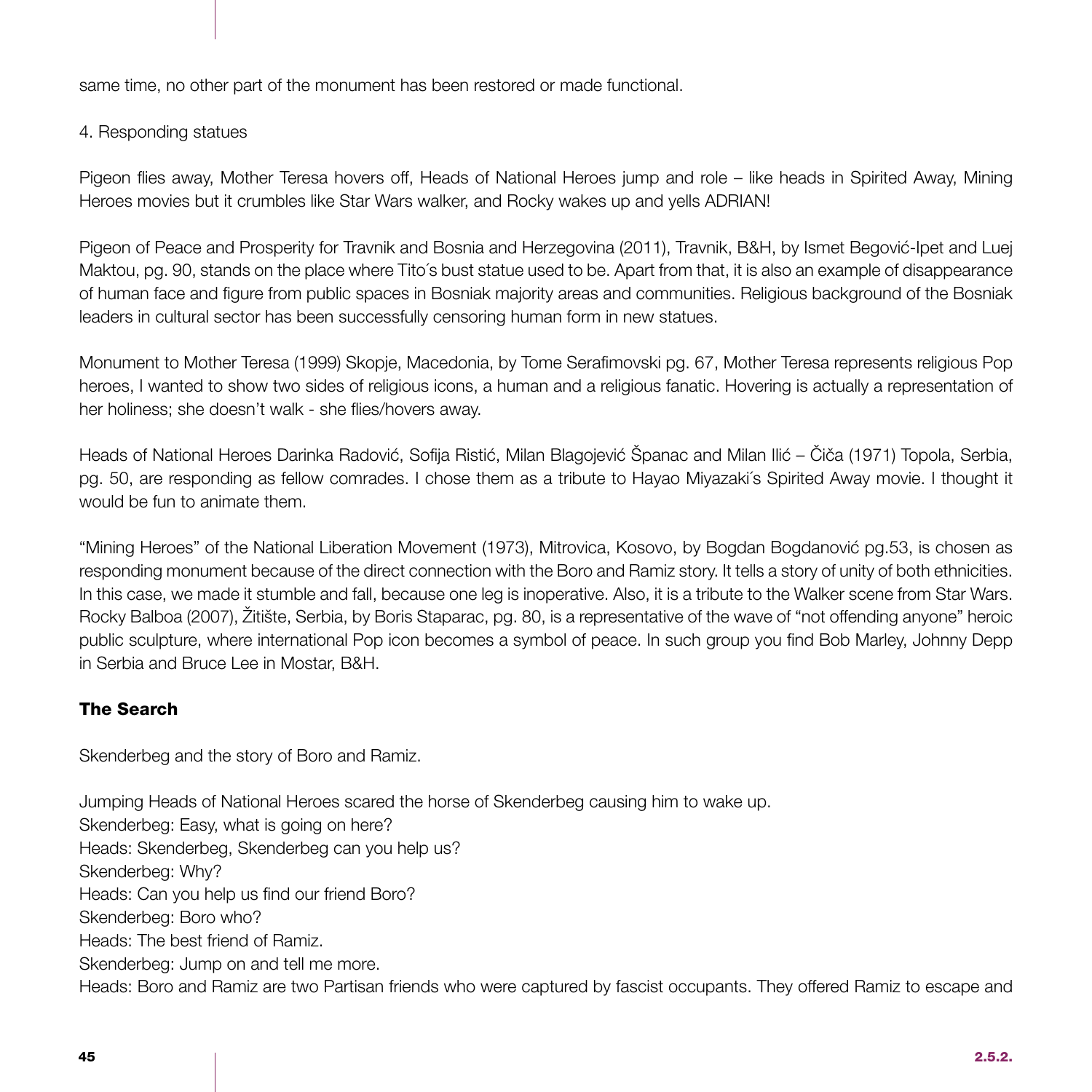same time, no other part of the monument has been restored or made functional.

### 4. Responding statues

Pigeon flies away, Mother Teresa hovers off, Heads of National Heroes jump and role – like heads in Spirited Away, Mining Heroes movies but it crumbles like Star Wars walker, and Rocky wakes up and yells ADRIAN!

Pigeon of Peace and Prosperity for Travnik and Bosnia and Herzegovina (2011), Travnik, B&H, by Ismet Begović-Ipet and Luej Maktou, pg. 90, stands on the place where Tito´s bust statue used to be. Apart from that, it is also an example of disappearance of human face and figure from public spaces in Bosniak majority areas and communities. Religious background of the Bosniak leaders in cultural sector has been successfully censoring human form in new statues.

Monument to Mother Teresa (1999) Skopje, Macedonia, by Tome Serafimovski pg. 67, Mother Teresa represents religious Pop heroes, I wanted to show two sides of religious icons, a human and a religious fanatic. Hovering is actually a representation of her holiness; she doesn't walk - she flies/hovers away.

Heads of National Heroes Darinka Radović, Sofija Ristić, Milan Blagojević Španac and Milan Ilić – Čiča (1971) Topola, Serbia, pg. 50, are responding as fellow comrades. I chose them as a tribute to Hayao Miyazaki´s Spirited Away movie. I thought it would be fun to animate them.

"Mining Heroes" of the National Liberation Movement (1973), Mitrovica, Kosovo, by Bogdan Bogdanović pg.53, is chosen as responding monument because of the direct connection with the Boro and Ramiz story. It tells a story of unity of both ethnicities. In this case, we made it stumble and fall, because one leg is inoperative. Also, it is a tribute to the Walker scene from Star Wars. Rocky Balboa (2007), Žitište, Serbia, by Boris Staparac, pg. 80, is a representative of the wave of "not offending anyone" heroic public sculpture, where international Pop icon becomes a symbol of peace. In such group you find Bob Marley, Johnny Depp in Serbia and Bruce Lee in Mostar, B&H.

### The Search

Skenderbeg and the story of Boro and Ramiz.

Jumping Heads of National Heroes scared the horse of Skenderbeg causing him to wake up. Skenderbeg: Easy, what is going on here? Heads: Skenderbeg, Skenderbeg can you help us? Skenderbeg: Why? Heads: Can you help us find our friend Boro? Skenderbeg: Boro who? Heads: The best friend of Ramiz. Skenderbeg: Jump on and tell me more. Heads: Boro and Ramiz are two Partisan friends who were captured by fascist occupants. They offered Ramiz to escape and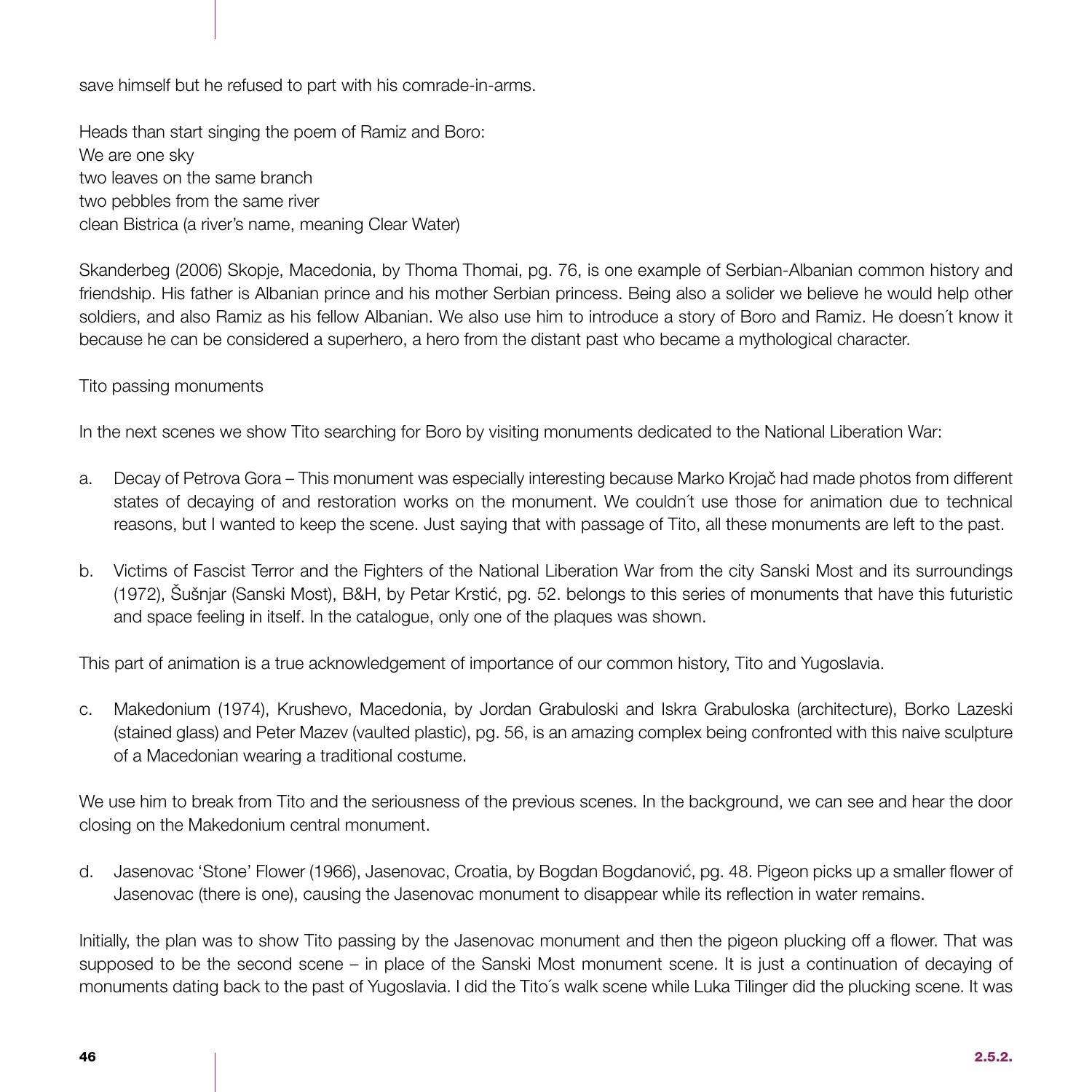save himself but he refused to part with his comrade-in-arms.

Heads than start singing the poem of Ramiz and Boro: We are one sky two leaves on the same branch two pebbles from the same river clean Bistrica (a river's name, meaning Clear Water)

Skanderbeg (2006) Skopje, Macedonia, by Thoma Thomai, pg. 76, is one example of Serbian-Albanian common history and friendship. His father is Albanian prince and his mother Serbian princess. Being also a solider we believe he would help other soldiers, and also Ramiz as his fellow Albanian. We also use him to introduce a story of Boro and Ramiz. He doesn´t know it because he can be considered a superhero, a hero from the distant past who became a mythological character.

#### Tito passing monuments

In the next scenes we show Tito searching for Boro by visiting monuments dedicated to the National Liberation War:

- a. Decay of Petrova Gora This monument was especially interesting because Marko Krojač had made photos from different states of decaying of and restoration works on the monument. We couldn´t use those for animation due to technical reasons, but I wanted to keep the scene. Just saying that with passage of Tito, all these monuments are left to the past.
- b. Victims of Fascist Terror and the Fighters of the National Liberation War from the city Sanski Most and its surroundings (1972), Šušnjar (Sanski Most), B&H, by Petar Krstić, pg. 52. belongs to this series of monuments that have this futuristic and space feeling in itself. In the catalogue, only one of the plaques was shown.

This part of animation is a true acknowledgement of importance of our common history, Tito and Yugoslavia.

c. Makedonium (1974), Krushevo, Macedonia, by Jordan Grabuloski and Iskra Grabuloska (architecture), Borko Lazeski (stained glass) and Peter Mazev (vaulted plastic), pg. 56, is an amazing complex being confronted with this naive sculpture of a Macedonian wearing a traditional costume.

We use him to break from Tito and the seriousness of the previous scenes. In the background, we can see and hear the door closing on the Makedonium central monument.

d. Jasenovac 'Stone' Flower (1966), Jasenovac, Croatia, by Bogdan Bogdanović, pg. 48. Pigeon picks up a smaller flower of Jasenovac (there is one), causing the Jasenovac monument to disappear while its reflection in water remains.

Initially, the plan was to show Tito passing by the Jasenovac monument and then the pigeon plucking off a flower. That was supposed to be the second scene – in place of the Sanski Most monument scene. It is just a continuation of decaying of monuments dating back to the past of Yugoslavia. I did the Tito´s walk scene while Luka Tilinger did the plucking scene. It was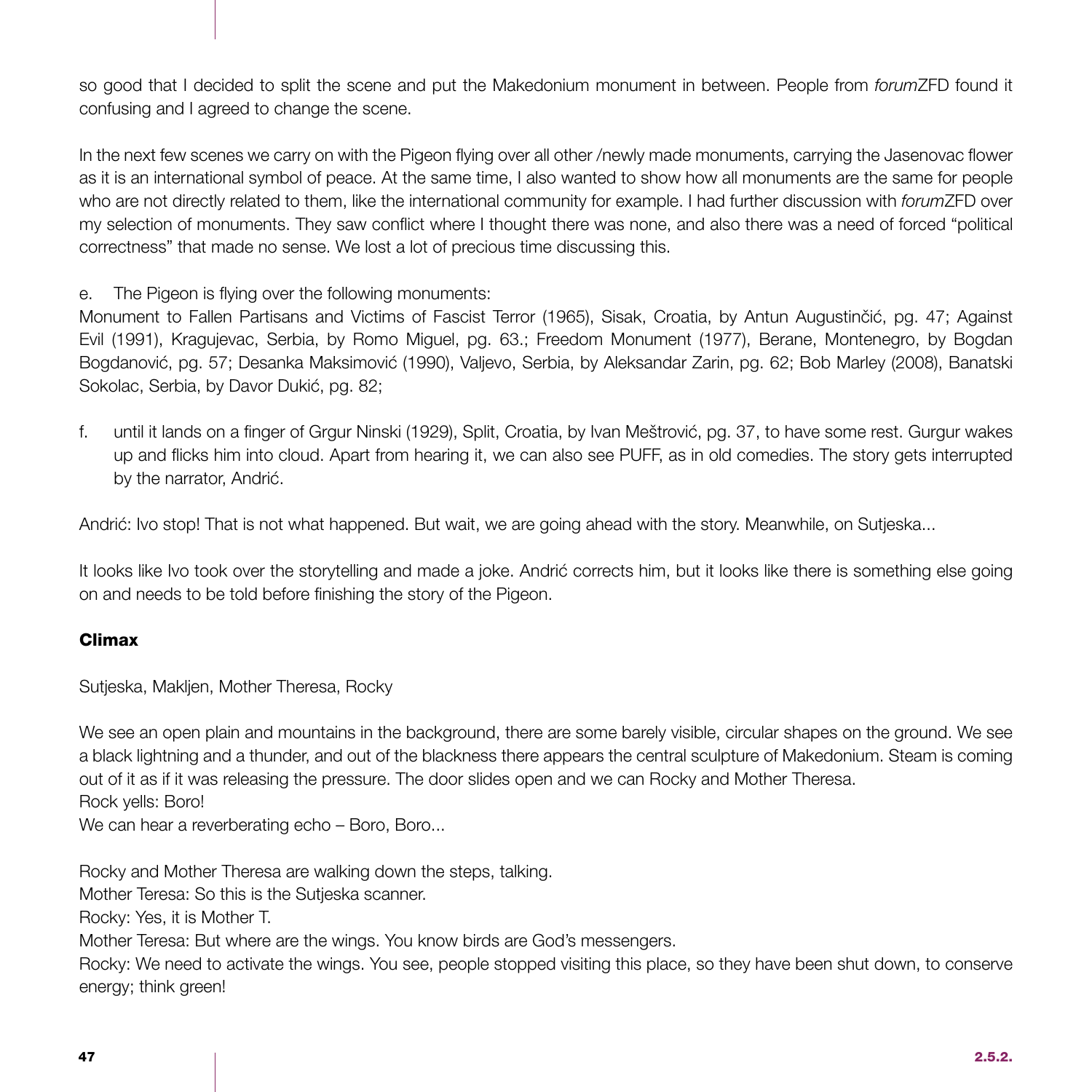so good that I decided to split the scene and put the Makedonium monument in between. People from *forum*ZFD found it confusing and I agreed to change the scene.

In the next few scenes we carry on with the Pigeon flying over all other /newly made monuments, carrying the Jasenovac flower as it is an international symbol of peace. At the same time, I also wanted to show how all monuments are the same for people who are not directly related to them, like the international community for example. I had further discussion with *forum*ZFD over my selection of monuments. They saw conflict where I thought there was none, and also there was a need of forced "political correctness" that made no sense. We lost a lot of precious time discussing this.

e. The Pigeon is flying over the following monuments:

Monument to Fallen Partisans and Victims of Fascist Terror (1965), Sisak, Croatia, by Antun Augustinčić, pg. 47; Against Evil (1991), Kragujevac, Serbia, by Romo Miguel, pg. 63.; Freedom Monument (1977), Berane, Montenegro, by Bogdan Bogdanović, pg. 57; Desanka Maksimović (1990), Valjevo, Serbia, by Aleksandar Zarin, pg. 62; Bob Marley (2008), Banatski Sokolac, Serbia, by Davor Dukić, pg. 82;

f. until it lands on a finger of Grgur Ninski (1929), Split, Croatia, by Ivan Meštrović, pg. 37, to have some rest. Gurgur wakes up and flicks him into cloud. Apart from hearing it, we can also see PUFF, as in old comedies. The story gets interrupted by the narrator, Andrić.

Andrić: Ivo stop! That is not what happened. But wait, we are going ahead with the story. Meanwhile, on Sutjeska...

It looks like Ivo took over the storytelling and made a joke. Andrić corrects him, but it looks like there is something else going on and needs to be told before finishing the story of the Pigeon.

### Climax

Sutjeska, Makljen, Mother Theresa, Rocky

We see an open plain and mountains in the background, there are some barely visible, circular shapes on the ground. We see a black lightning and a thunder, and out of the blackness there appears the central sculpture of Makedonium. Steam is coming out of it as if it was releasing the pressure. The door slides open and we can Rocky and Mother Theresa. Rock yells: Boro!

We can hear a reverberating echo - Boro, Boro...

Rocky and Mother Theresa are walking down the steps, talking.

Mother Teresa: So this is the Sutjeska scanner.

Rocky: Yes, it is Mother T.

Mother Teresa: But where are the wings. You know birds are God's messengers.

Rocky: We need to activate the wings. You see, people stopped visiting this place, so they have been shut down, to conserve energy; think green!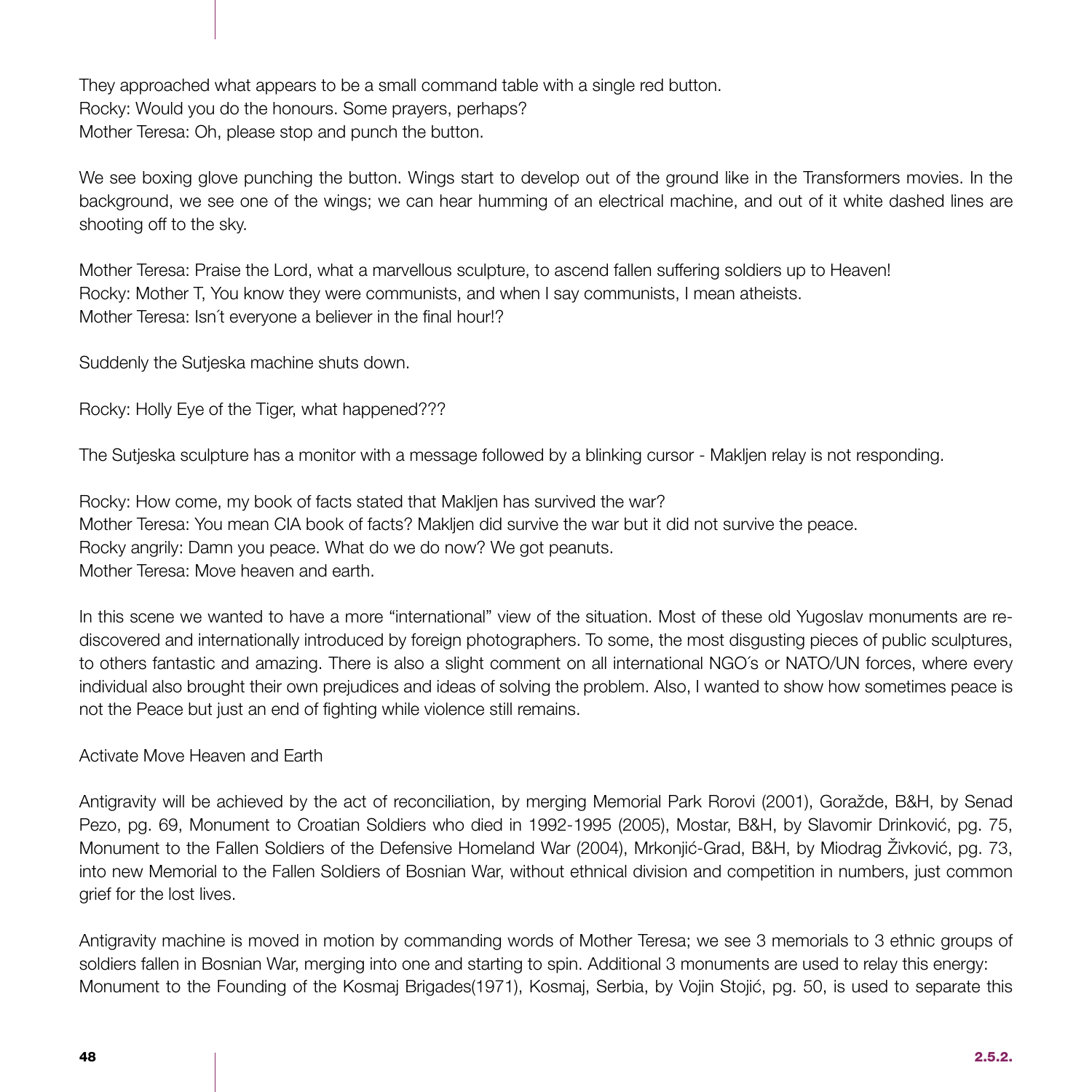They approached what appears to be a small command table with a single red button. Rocky: Would you do the honours. Some prayers, perhaps? Mother Teresa: Oh, please stop and punch the button.

We see boxing glove punching the button. Wings start to develop out of the ground like in the Transformers movies. In the background, we see one of the wings; we can hear humming of an electrical machine, and out of it white dashed lines are shooting off to the sky.

Mother Teresa: Praise the Lord, what a marvellous sculpture, to ascend fallen suffering soldiers up to Heaven! Rocky: Mother T, You know they were communists, and when I say communists, I mean atheists. Mother Teresa: Isn´t everyone a believer in the final hour!?

Suddenly the Sutjeska machine shuts down.

Rocky: Holly Eye of the Tiger, what happened???

The Sutjeska sculpture has a monitor with a message followed by a blinking cursor - Makljen relay is not responding.

Rocky: How come, my book of facts stated that Makljen has survived the war? Mother Teresa: You mean CIA book of facts? Makljen did survive the war but it did not survive the peace. Rocky angrily: Damn you peace. What do we do now? We got peanuts. Mother Teresa: Move heaven and earth.

In this scene we wanted to have a more "international" view of the situation. Most of these old Yugoslav monuments are rediscovered and internationally introduced by foreign photographers. To some, the most disgusting pieces of public sculptures, to others fantastic and amazing. There is also a slight comment on all international NGO´s or NATO/UN forces, where every individual also brought their own prejudices and ideas of solving the problem. Also, I wanted to show how sometimes peace is not the Peace but just an end of fighting while violence still remains.

### Activate Move Heaven and Earth

Antigravity will be achieved by the act of reconciliation, by merging Memorial Park Rorovi (2001), Goražde, B&H, by Senad Pezo, pg. 69, Monument to Croatian Soldiers who died in 1992-1995 (2005), Mostar, B&H, by Slavomir Drinković, pg. 75, Monument to the Fallen Soldiers of the Defensive Homeland War (2004), Mrkonjić-Grad, B&H, by Miodrag Živković, pg. 73, into new Memorial to the Fallen Soldiers of Bosnian War, without ethnical division and competition in numbers, just common grief for the lost lives.

Antigravity machine is moved in motion by commanding words of Mother Teresa; we see 3 memorials to 3 ethnic groups of soldiers fallen in Bosnian War, merging into one and starting to spin. Additional 3 monuments are used to relay this energy: Monument to the Founding of the Kosmaj Brigades(1971), Kosmaj, Serbia, by Vojin Stojić, pg. 50, is used to separate this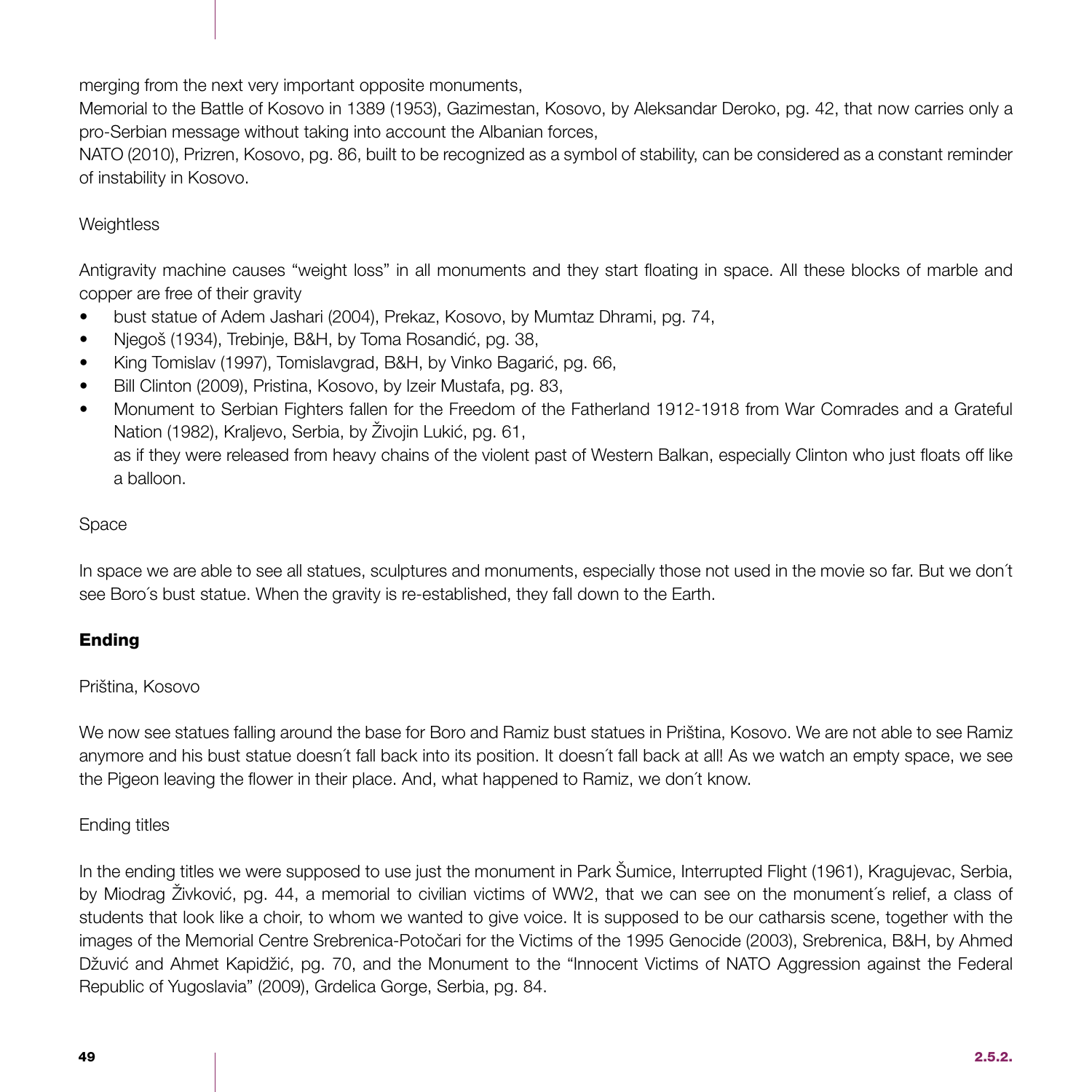merging from the next very important opposite monuments,

Memorial to the Battle of Kosovo in 1389 (1953), Gazimestan, Kosovo, by Aleksandar Deroko, pg. 42, that now carries only a pro-Serbian message without taking into account the Albanian forces,

NATO (2010), Prizren, Kosovo, pg. 86, built to be recognized as a symbol of stability, can be considered as a constant reminder of instability in Kosovo.

### **Weightless**

Antigravity machine causes "weight loss" in all monuments and they start floating in space. All these blocks of marble and copper are free of their gravity

- bust statue of Adem Jashari (2004), Prekaz, Kosovo, by Mumtaz Dhrami, pg. 74,
- Njegoš (1934), Trebinje, B&H, by Toma Rosandić, pg. 38,
- King Tomislav (1997), Tomislavgrad, B&H, by Vinko Bagarić, pg. 66,
- Bill Clinton (2009), Pristina, Kosovo, by Izeir Mustafa, pg. 83,
- Monument to Serbian Fighters fallen for the Freedom of the Fatherland 1912-1918 from War Comrades and a Grateful Nation (1982), Kraljevo, Serbia, by Živojin Lukić, pg. 61,

as if they were released from heavy chains of the violent past of Western Balkan, especially Clinton who just floats off like a balloon.

### Space

In space we are able to see all statues, sculptures and monuments, especially those not used in the movie so far. But we don´t see Boro´s bust statue. When the gravity is re-established, they fall down to the Earth.

### Ending

### Priština, Kosovo

We now see statues falling around the base for Boro and Ramiz bust statues in Priština, Kosovo. We are not able to see Ramiz anymore and his bust statue doesn´t fall back into its position. It doesn´t fall back at all! As we watch an empty space, we see the Pigeon leaving the flower in their place. And, what happened to Ramiz, we don´t know.

### Ending titles

In the ending titles we were supposed to use just the monument in Park Šumice, Interrupted Flight (1961), Kragujevac, Serbia, by Miodrag Živković, pg. 44, a memorial to civilian victims of WW2, that we can see on the monument´s relief, a class of students that look like a choir, to whom we wanted to give voice. It is supposed to be our catharsis scene, together with the images of the Memorial Centre Srebrenica-Potočari for the Victims of the 1995 Genocide (2003), Srebrenica, B&H, by Ahmed Džuvić and Ahmet Kapidžić, pg. 70, and the Monument to the "Innocent Victims of NATO Aggression against the Federal Republic of Yugoslavia" (2009), Grdelica Gorge, Serbia, pg. 84.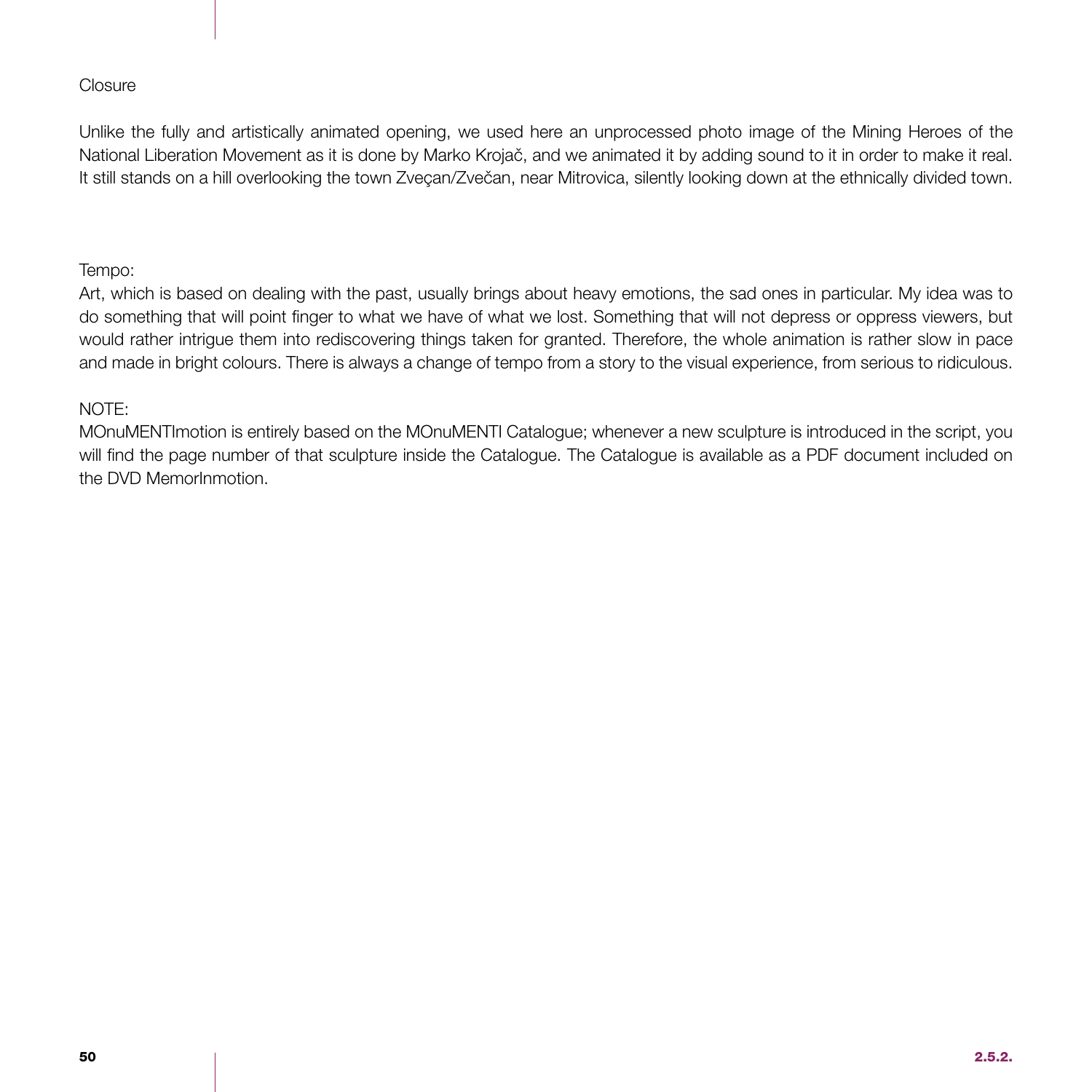### **Closure**

Unlike the fully and artistically animated opening, we used here an unprocessed photo image of the Mining Heroes of the National Liberation Movement as it is done by Marko Krojač, and we animated it by adding sound to it in order to make it real. It still stands on a hill overlooking the town Zveçan/Zvečan, near Mitrovica, silently looking down at the ethnically divided town.

### Tempo:

Art, which is based on dealing with the past, usually brings about heavy emotions, the sad ones in particular. My idea was to do something that will point finger to what we have of what we lost. Something that will not depress or oppress viewers, but would rather intrigue them into rediscovering things taken for granted. Therefore, the whole animation is rather slow in pace and made in bright colours. There is always a change of tempo from a story to the visual experience, from serious to ridiculous.

### NOTE:

MOnuMENTImotion is entirely based on the MOnuMENTI Catalogue; whenever a new sculpture is introduced in the script, you will find the page number of that sculpture inside the Catalogue. The Catalogue is available as a PDF document included on the DVD MemorInmotion.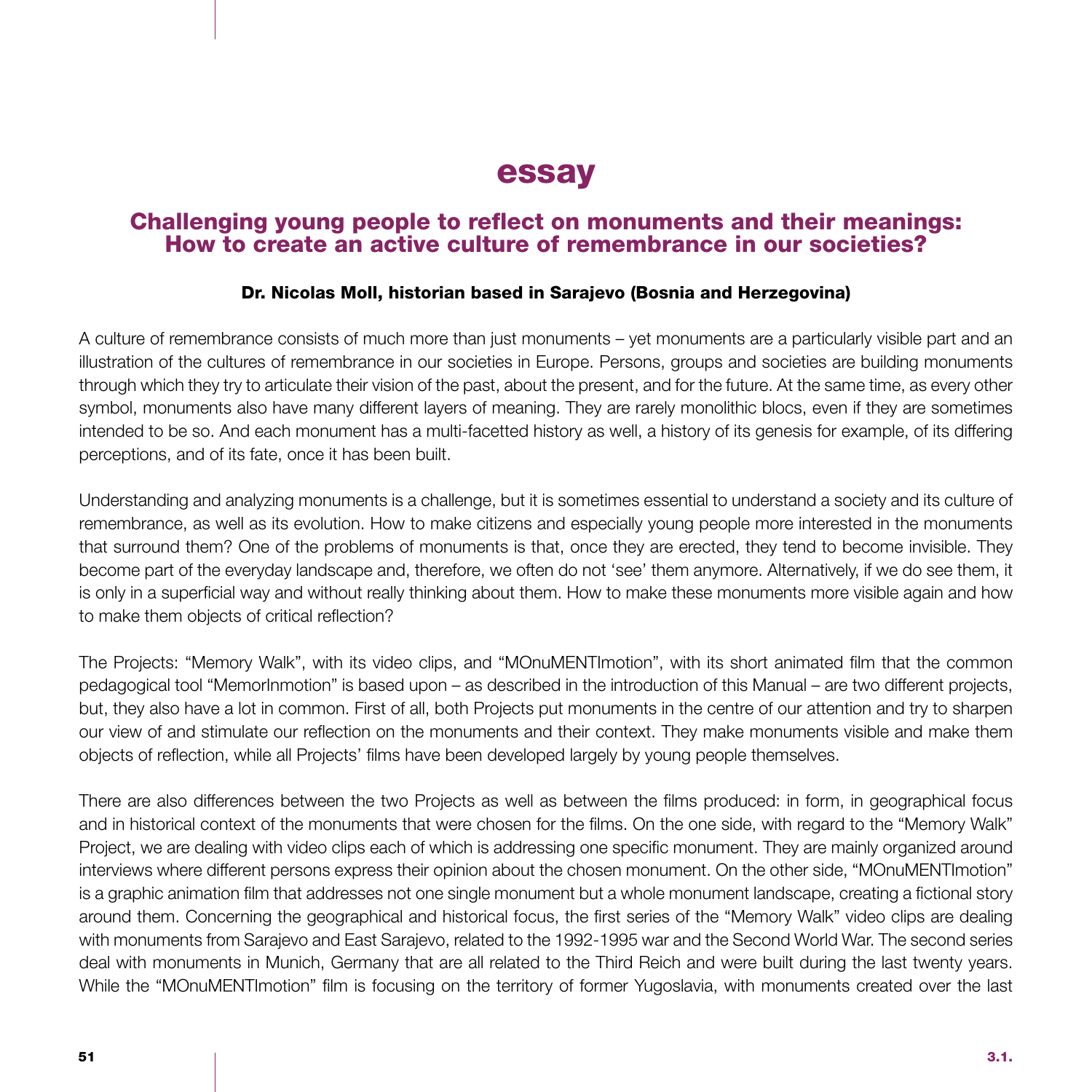# essay

### Challenging young people to reflect on monuments and their meanings: How to create an active culture of remembrance in our societies?

### Dr. Nicolas Moll, historian based in Sarajevo (Bosnia and Herzegovina)

A culture of remembrance consists of much more than just monuments – yet monuments are a particularly visible part and an illustration of the cultures of remembrance in our societies in Europe. Persons, groups and societies are building monuments through which they try to articulate their vision of the past, about the present, and for the future. At the same time, as every other symbol, monuments also have many different layers of meaning. They are rarely monolithic blocs, even if they are sometimes intended to be so. And each monument has a multi-facetted history as well, a history of its genesis for example, of its differing perceptions, and of its fate, once it has been built.

Understanding and analyzing monuments is a challenge, but it is sometimes essential to understand a society and its culture of remembrance, as well as its evolution. How to make citizens and especially young people more interested in the monuments that surround them? One of the problems of monuments is that, once they are erected, they tend to become invisible. They become part of the everyday landscape and, therefore, we often do not 'see' them anymore. Alternatively, if we do see them, it is only in a superficial way and without really thinking about them. How to make these monuments more visible again and how to make them objects of critical reflection?

The Projects: "Memory Walk", with its video clips, and "MOnuMENTImotion", with its short animated film that the common pedagogical tool "MemorInmotion" is based upon – as described in the introduction of this Manual – are two different projects, but, they also have a lot in common. First of all, both Projects put monuments in the centre of our attention and try to sharpen our view of and stimulate our reflection on the monuments and their context. They make monuments visible and make them objects of reflection, while all Projects' films have been developed largely by young people themselves.

There are also differences between the two Projects as well as between the films produced: in form, in geographical focus and in historical context of the monuments that were chosen for the films. On the one side, with regard to the "Memory Walk" Project, we are dealing with video clips each of which is addressing one specific monument. They are mainly organized around interviews where different persons express their opinion about the chosen monument. On the other side, "MOnuMENTImotion" is a graphic animation film that addresses not one single monument but a whole monument landscape, creating a fictional story around them. Concerning the geographical and historical focus, the first series of the "Memory Walk" video clips are dealing with monuments from Sarajevo and East Sarajevo, related to the 1992-1995 war and the Second World War. The second series deal with monuments in Munich, Germany that are all related to the Third Reich and were built during the last twenty years. While the "MOnuMENTImotion" film is focusing on the territory of former Yugoslavia, with monuments created over the last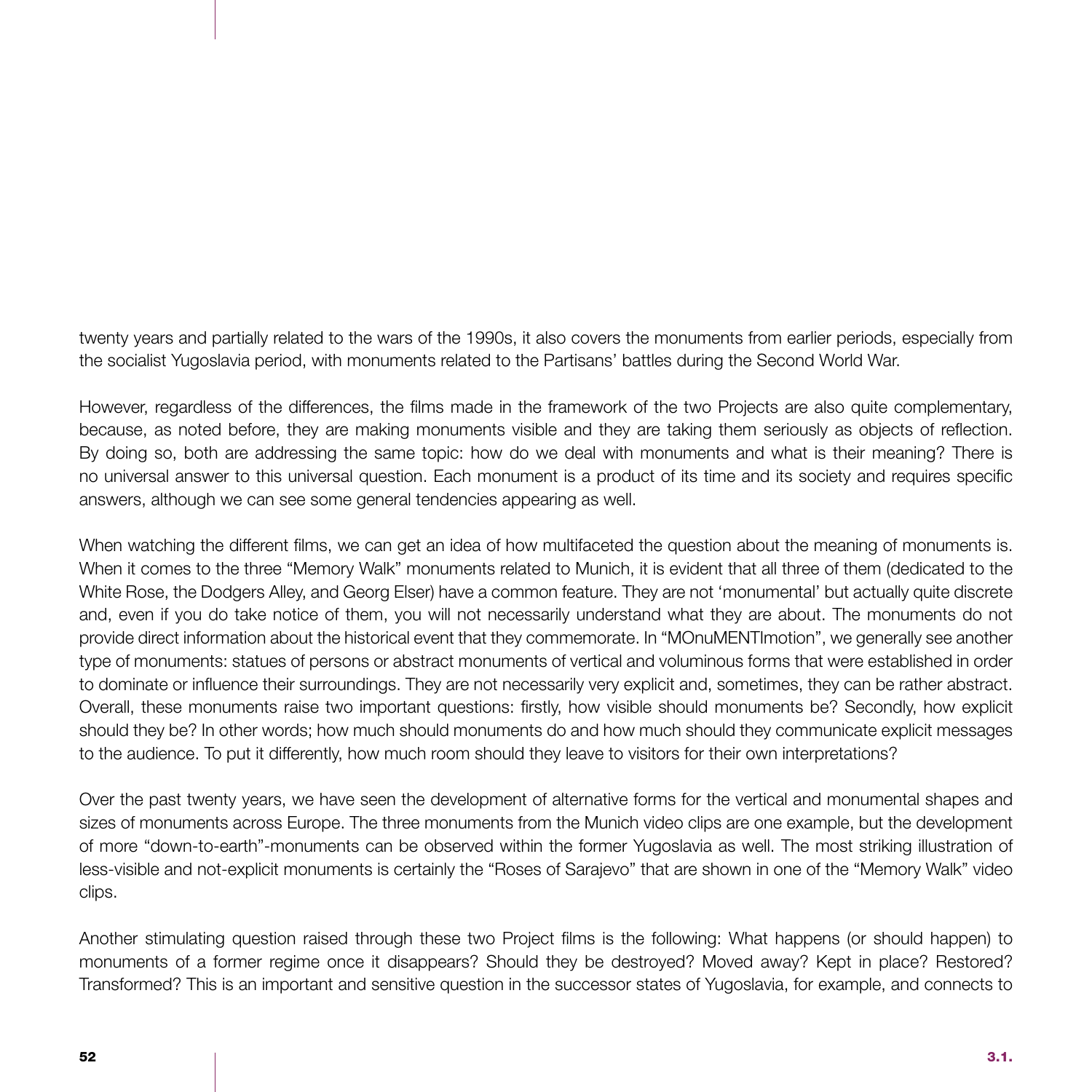twenty years and partially related to the wars of the 1990s, it also covers the monuments from earlier periods, especially from the socialist Yugoslavia period, with monuments related to the Partisans' battles during the Second World War.

However, regardless of the differences, the films made in the framework of the two Projects are also quite complementary, because, as noted before, they are making monuments visible and they are taking them seriously as objects of reflection. By doing so, both are addressing the same topic: how do we deal with monuments and what is their meaning? There is no universal answer to this universal question. Each monument is a product of its time and its society and requires specific answers, although we can see some general tendencies appearing as well.

When watching the different films, we can get an idea of how multifaceted the question about the meaning of monuments is. When it comes to the three "Memory Walk" monuments related to Munich, it is evident that all three of them (dedicated to the White Rose, the Dodgers Alley, and Georg Elser) have a common feature. They are not 'monumental' but actually quite discrete and, even if you do take notice of them, you will not necessarily understand what they are about. The monuments do not provide direct information about the historical event that they commemorate. In "MOnuMENTImotion", we generally see another type of monuments: statues of persons or abstract monuments of vertical and voluminous forms that were established in order to dominate or influence their surroundings. They are not necessarily very explicit and, sometimes, they can be rather abstract. Overall, these monuments raise two important questions: firstly, how visible should monuments be? Secondly, how explicit should they be? In other words; how much should monuments do and how much should they communicate explicit messages to the audience. To put it differently, how much room should they leave to visitors for their own interpretations?

Over the past twenty years, we have seen the development of alternative forms for the vertical and monumental shapes and sizes of monuments across Europe. The three monuments from the Munich video clips are one example, but the development of more "down-to-earth"-monuments can be observed within the former Yugoslavia as well. The most striking illustration of less-visible and not-explicit monuments is certainly the "Roses of Sarajevo" that are shown in one of the "Memory Walk" video clips.

Another stimulating question raised through these two Project films is the following: What happens (or should happen) to monuments of a former regime once it disappears? Should they be destroyed? Moved away? Kept in place? Restored? Transformed? This is an important and sensitive question in the successor states of Yugoslavia, for example, and connects to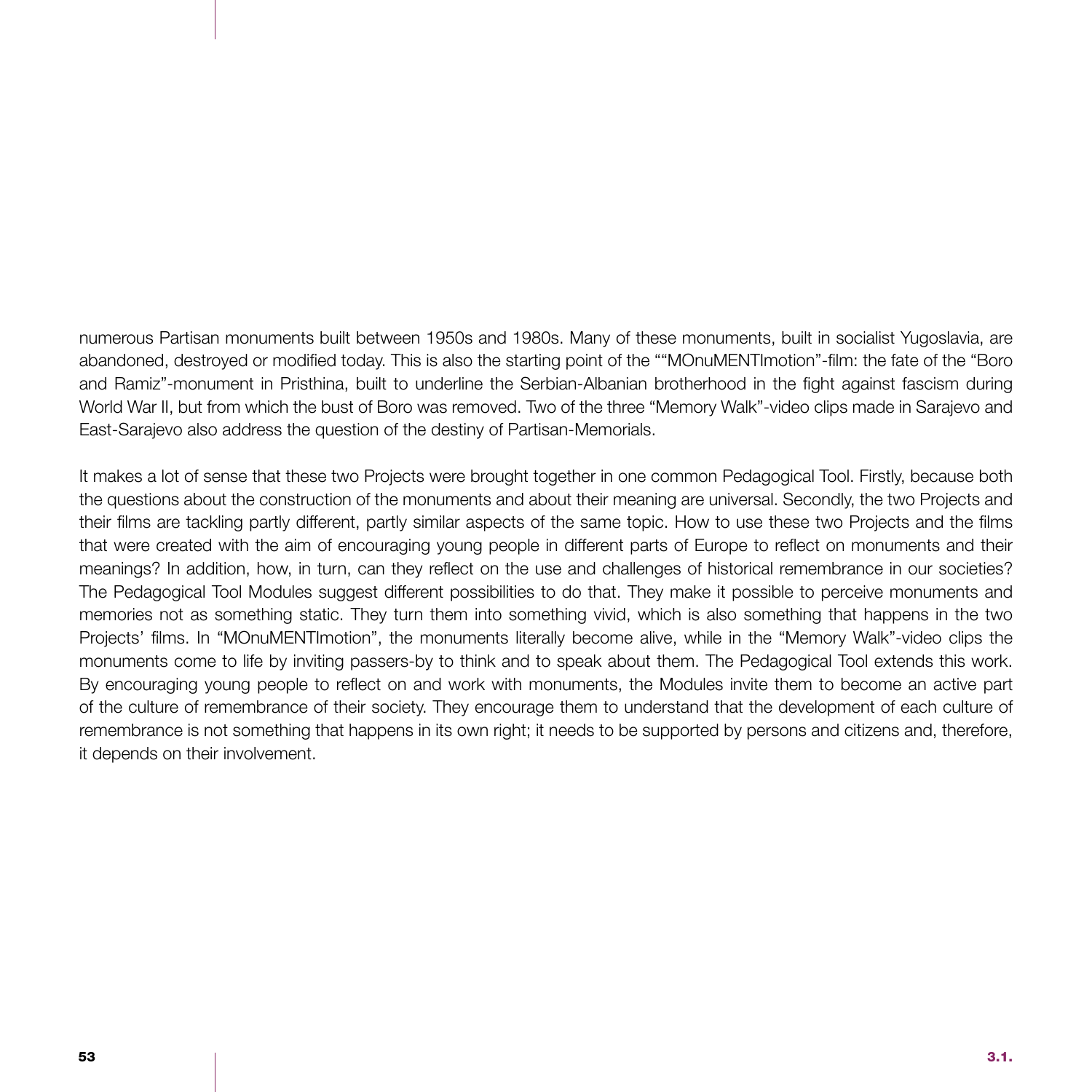numerous Partisan monuments built between 1950s and 1980s. Many of these monuments, built in socialist Yugoslavia, are abandoned, destroyed or modified today. This is also the starting point of the ""MOnuMENTImotion"-film: the fate of the "Boro and Ramiz"-monument in Pristhina, built to underline the Serbian-Albanian brotherhood in the fight against fascism during World War II, but from which the bust of Boro was removed. Two of the three "Memory Walk"-video clips made in Sarajevo and East-Sarajevo also address the question of the destiny of Partisan-Memorials.

It makes a lot of sense that these two Projects were brought together in one common Pedagogical Tool. Firstly, because both the questions about the construction of the monuments and about their meaning are universal. Secondly, the two Projects and their films are tackling partly different, partly similar aspects of the same topic. How to use these two Projects and the films that were created with the aim of encouraging young people in different parts of Europe to reflect on monuments and their meanings? In addition, how, in turn, can they reflect on the use and challenges of historical remembrance in our societies? The Pedagogical Tool Modules suggest different possibilities to do that. They make it possible to perceive monuments and memories not as something static. They turn them into something vivid, which is also something that happens in the two Projects' films. In "MOnuMENTImotion", the monuments literally become alive, while in the "Memory Walk"-video clips the monuments come to life by inviting passers-by to think and to speak about them. The Pedagogical Tool extends this work. By encouraging young people to reflect on and work with monuments, the Modules invite them to become an active part of the culture of remembrance of their society. They encourage them to understand that the development of each culture of remembrance is not something that happens in its own right; it needs to be supported by persons and citizens and, therefore, it depends on their involvement.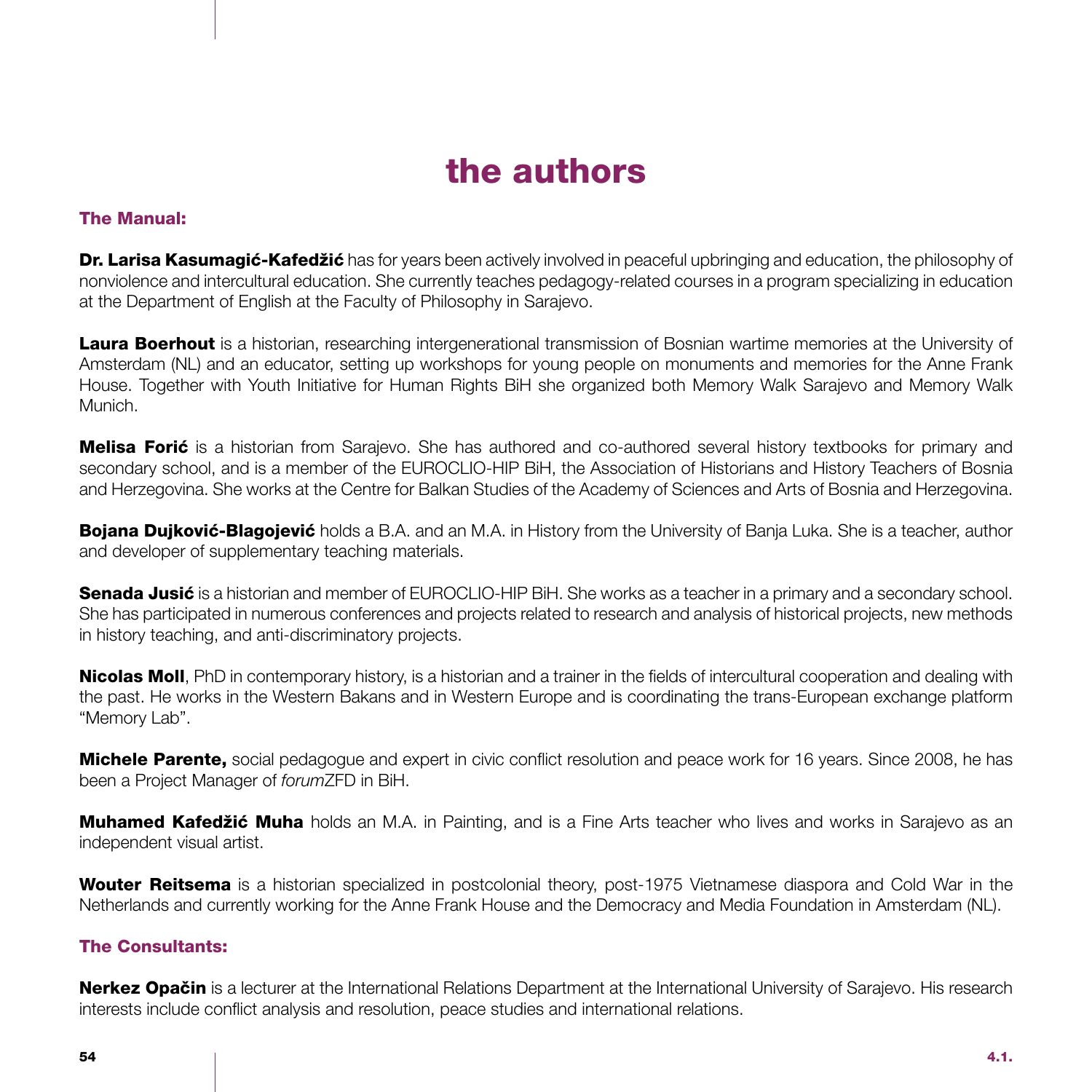# the authors

### The Manual:

Dr. Larisa Kasumagić-Kafedžić has for years been actively involved in peaceful upbringing and education, the philosophy of nonviolence and intercultural education. She currently teaches pedagogy-related courses in a program specializing in education at the Department of English at the Faculty of Philosophy in Sarajevo.

Laura Boerhout is a historian, researching intergenerational transmission of Bosnian wartime memories at the University of Amsterdam (NL) and an educator, setting up workshops for young people on monuments and memories for the Anne Frank House. Together with Youth Initiative for Human Rights BiH she organized both Memory Walk Sarajevo and Memory Walk Munich.

Melisa Forić is a historian from Sarajevo. She has authored and co-authored several history textbooks for primary and secondary school, and is a member of the EUROCLIO-HIP BiH, the Association of Historians and History Teachers of Bosnia and Herzegovina. She works at the Centre for Balkan Studies of the Academy of Sciences and Arts of Bosnia and Herzegovina.

Bojana Dujković-Blagojević holds a B.A. and an M.A. in History from the University of Banja Luka. She is a teacher, author and developer of supplementary teaching materials.

Senada Jusić is a historian and member of EUROCLIO-HIP BiH. She works as a teacher in a primary and a secondary school. She has participated in numerous conferences and projects related to research and analysis of historical projects, new methods in history teaching, and anti-discriminatory projects.

Nicolas Moll, PhD in contemporary history, is a historian and a trainer in the fields of intercultural cooperation and dealing with the past. He works in the Western Bakans and in Western Europe and is coordinating the trans-European exchange platform "Memory Lab".

**Michele Parente,** social pedagogue and expert in civic conflict resolution and peace work for 16 years. Since 2008, he has been a Project Manager of *forum*ZFD in BiH.

Muhamed Kafedžić Muha holds an M.A. in Painting, and is a Fine Arts teacher who lives and works in Sarajevo as an independent visual artist.

Wouter Reitsema is a historian specialized in postcolonial theory, post-1975 Vietnamese diaspora and Cold War in the Netherlands and currently working for the Anne Frank House and the Democracy and Media Foundation in Amsterdam (NL).

### The Consultants:

Nerkez Opačin is a lecturer at the International Relations Department at the International University of Sarajevo. His research interests include conflict analysis and resolution, peace studies and international relations.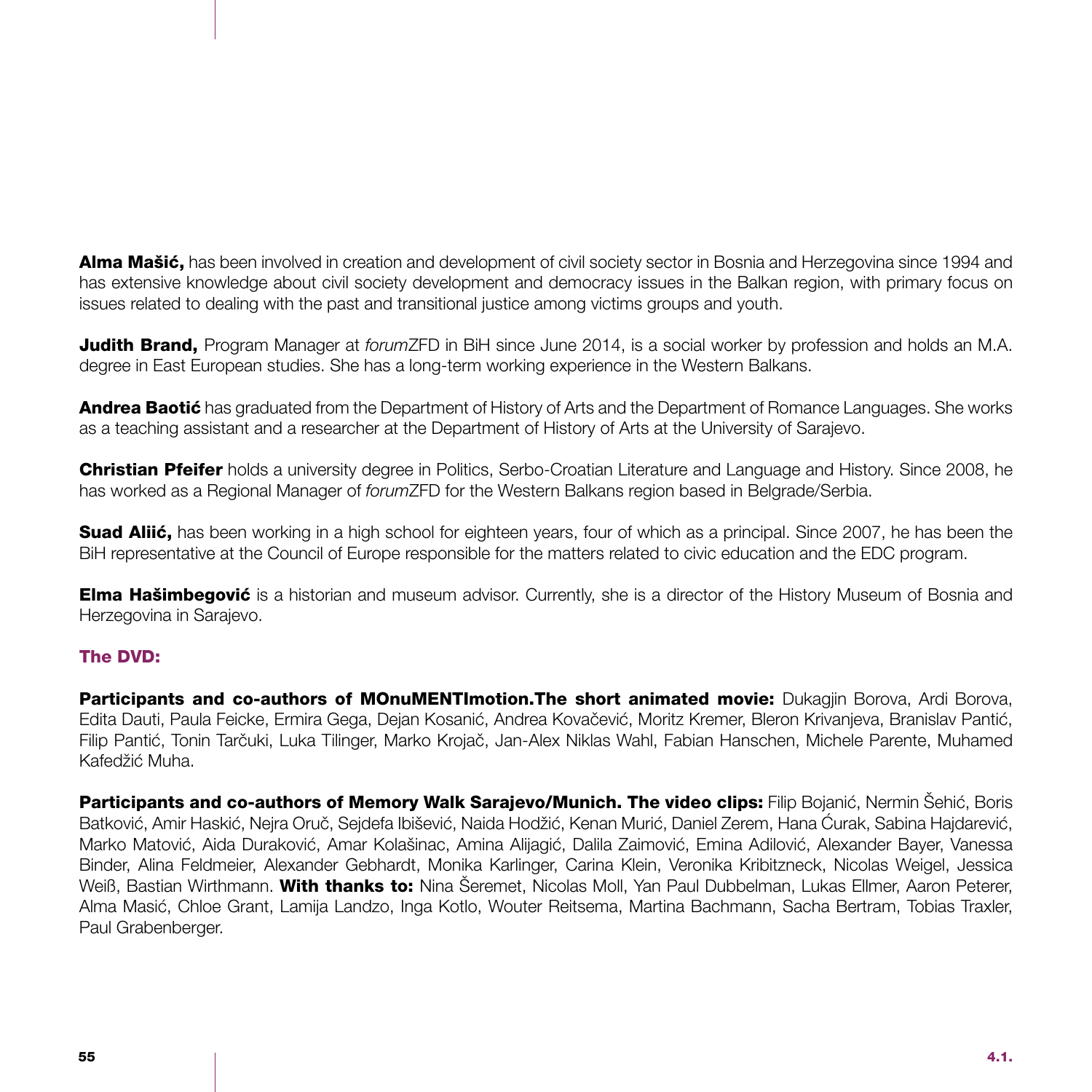Alma Mašić, has been involved in creation and development of civil society sector in Bosnia and Herzegovina since 1994 and has extensive knowledge about civil society development and democracy issues in the Balkan region, with primary focus on issues related to dealing with the past and transitional justice among victims groups and youth.

Judith Brand, Program Manager at *forum*ZFD in BiH since June 2014, is a social worker by profession and holds an M.A. degree in East European studies. She has a long-term working experience in the Western Balkans.

**Andrea Baotić** has graduated from the Department of History of Arts and the Department of Romance Languages. She works as a teaching assistant and a researcher at the Department of History of Arts at the University of Sarajevo.

Christian Pfeifer holds a university degree in Politics, Serbo-Croatian Literature and Language and History. Since 2008, he has worked as a Regional Manager of *forum*ZFD for the Western Balkans region based in Belgrade/Serbia.

Suad Aliić, has been working in a high school for eighteen years, four of which as a principal. Since 2007, he has been the BiH representative at the Council of Europe responsible for the matters related to civic education and the EDC program.

**Elma Hašimbegović** is a historian and museum advisor. Currently, she is a director of the History Museum of Bosnia and Herzegovina in Sarajevo.

### The DVD:

Participants and co-authors of MOnuMENTImotion. The short animated movie: Dukagjin Borova, Ardi Borova, Edita Dauti, Paula Feicke, Ermira Gega, Dejan Kosanić, Andrea Kovačević, Moritz Kremer, Bleron Krivanjeva, Branislav Pantić, Filip Pantić, Tonin Tarčuki, Luka Tilinger, Marko Krojač, Jan-Alex Niklas Wahl, Fabian Hanschen, Michele Parente, Muhamed Kafedžić Muha.

Participants and co-authors of Memory Walk Sarajevo/Munich. The video clips: Filip Bojanić, Nermin Šehić, Boris Batković, Amir Haskić, Nejra Oruč, Sejdefa Ibišević, Naida Hodžić, Kenan Murić, Daniel Zerem, Hana Ćurak, Sabina Hajdarević, Marko Matović, Aida Duraković, Amar Kolašinac, Amina Alijagić, Dalila Zaimović, Emina Adilović, Alexander Bayer, Vanessa Binder, Alina Feldmeier, Alexander Gebhardt, Monika Karlinger, Carina Klein, Veronika Kribitzneck, Nicolas Weigel, Jessica Weiß, Bastian Wirthmann. With thanks to: Nina Šeremet, Nicolas Moll, Yan Paul Dubbelman, Lukas Ellmer, Aaron Peterer, Alma Masić, Chloe Grant, Lamija Landzo, Inga Kotlo, Wouter Reitsema, Martina Bachmann, Sacha Bertram, Tobias Traxler, Paul Grabenberger.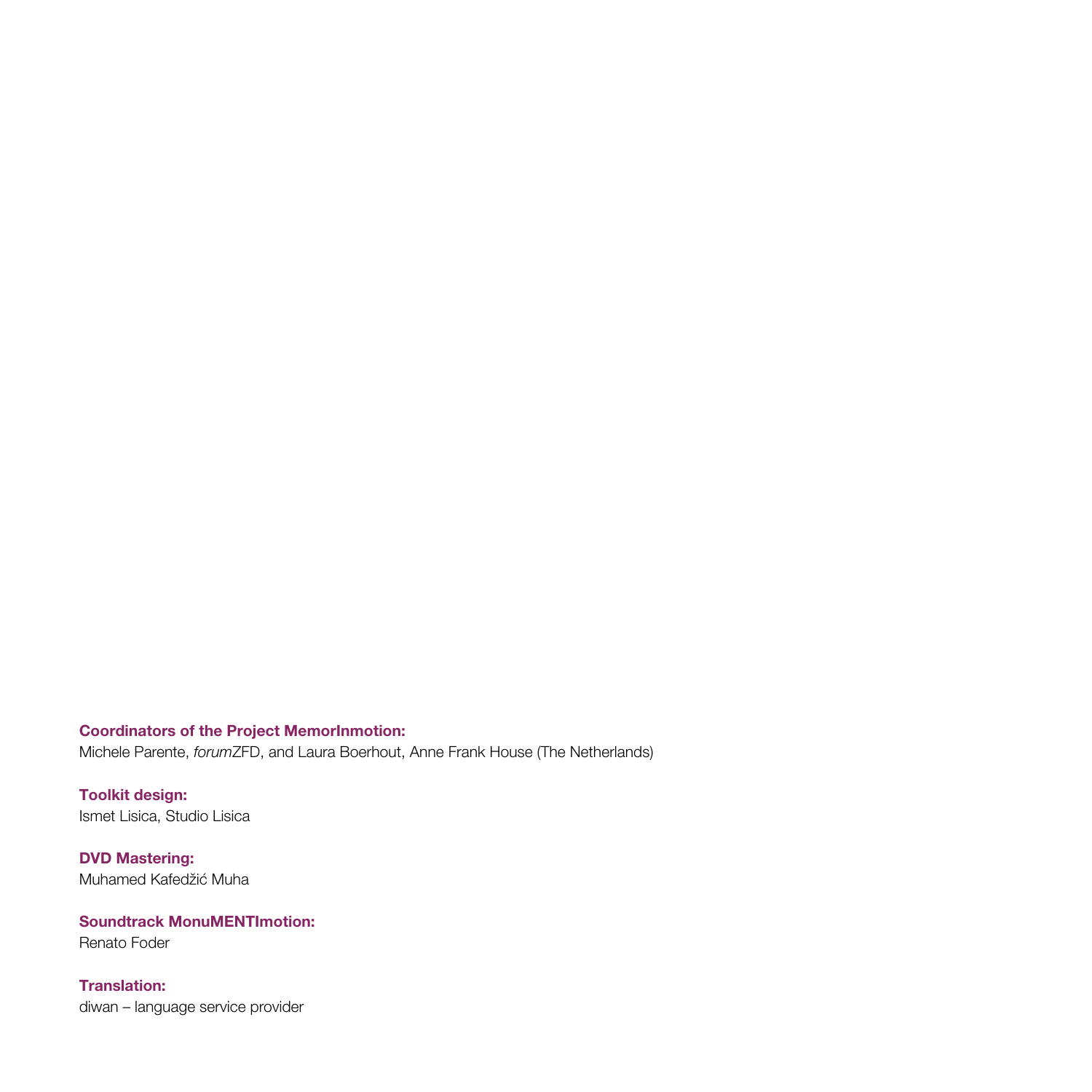### Coordinators of the Project MemorInmotion:

Michele Parente, *forum*ZFD, and Laura Boerhout, Anne Frank House (The Netherlands)

Toolkit design: Ismet Lisica, Studio Lisica

DVD Mastering: Muhamed Kafedžić Muha

# Soundtrack MonuMENTImotion:

Renato Foder

#### Translation:

diwan – language service provider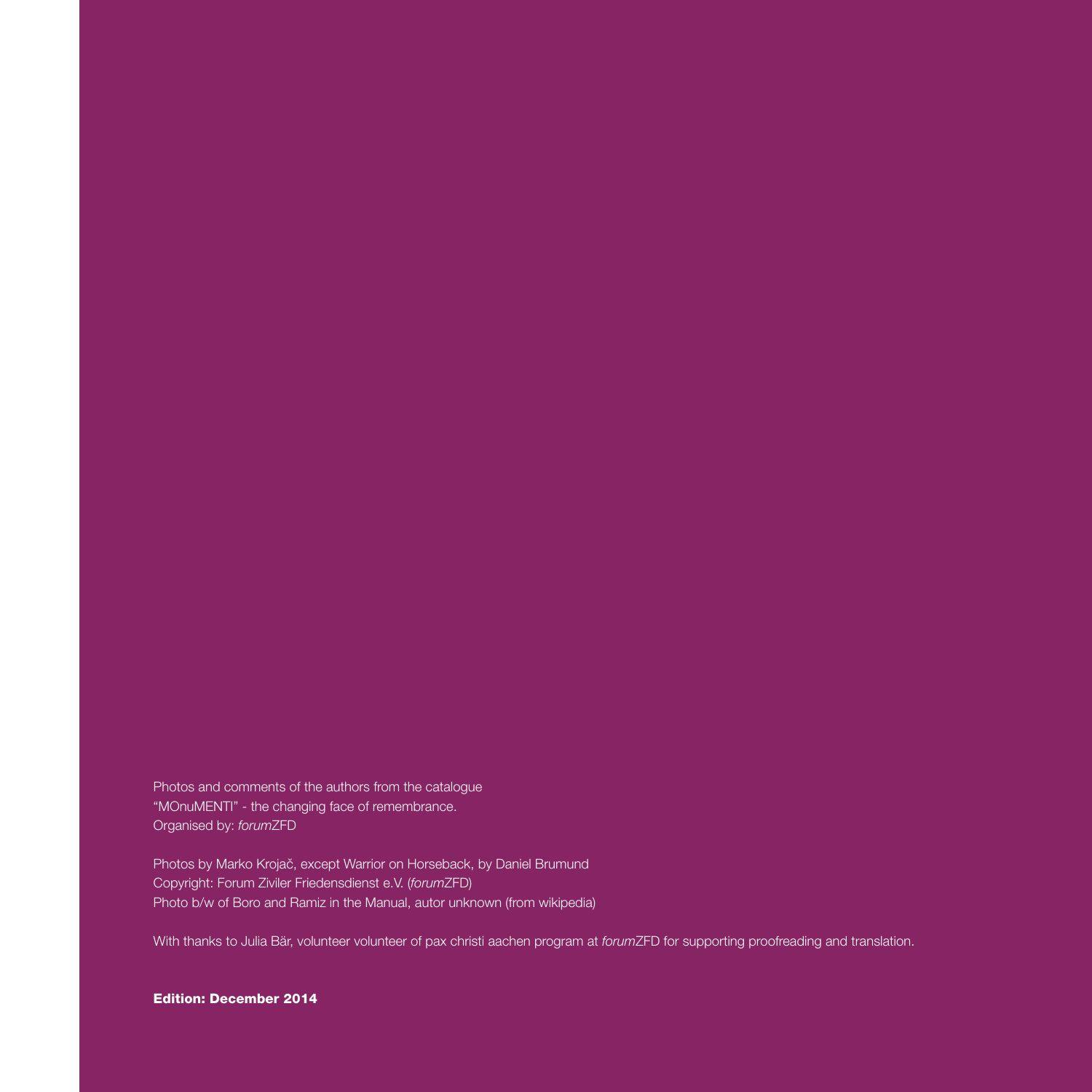Photos and comments of the authors from the catalogue "MOnuMENTI" - the changing face of remembrance. Organised by: *forum*ZFD

Photos by Marko Krojač, except Warrior on Horseback, by Daniel Brumund Copyright: Forum Ziviler Friedensdienst e.V. (*forum*ZFD) Photo b/w of Boro and Ramiz in the Manual, autor unknown (from wikipedia)

With thanks to Julia Bär, volunteer volunteer of pax christi aachen program at *forum*ZFD for supporting proofreading and translation.

#### Edition: December 2014